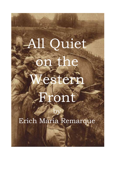# All Quiet the estern

## front

### Erich Maria Remarque

by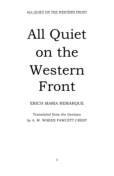# All Quiet on the Western Front

ERICH MARIA REMARQUE

Translated from the German by A. W. WHEEN FAWCETT CREST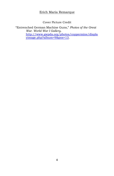#### Erich Maria Remarque

Cover Picture Credit

"Entrenched German Machine Guns," *Photos of the Great War. World War I Gallery*. [http://www.gwpda.org/photos/coppermine/displa](http://www.gwpda.org/photos/coppermine/displayimage.php?album=9&pos=13) [yimage.php?album=9&pos=13.](http://www.gwpda.org/photos/coppermine/displayimage.php?album=9&pos=13)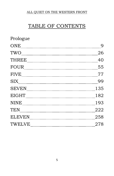### TABLE OF CONTENTS

| $\textsc{ONE}\footnotesize\hspace{1.5cm} \textsc{min}\hspace{1.5cm} \textsc{min}\hspace{1.5cm} \textsc{min}\hspace{1.5cm} \textsc{min}\hspace{1.5cm} \textsc{min}\hspace{1.5cm} \textsc{min}\hspace{1.5cm} \textsc{min}\hspace{1.5cm} \textsc{min}\hspace{1.5cm} \textsc{min}\hspace{1.5cm} \textsc{min}\hspace{1.5cm} \textsc{min}\hspace{1.5cm} \textsc{min}\hspace{1.5cm} \textsc{min}\hspace{1.5cm} \textsc{min}\hspace{1.5cm} \textsc{min}\$<br>- 9                              |
|---------------------------------------------------------------------------------------------------------------------------------------------------------------------------------------------------------------------------------------------------------------------------------------------------------------------------------------------------------------------------------------------------------------------------------------------------------------------------------------|
| 26                                                                                                                                                                                                                                                                                                                                                                                                                                                                                    |
| 40<br>THREE                                                                                                                                                                                                                                                                                                                                                                                                                                                                           |
| FOUR<br>55                                                                                                                                                                                                                                                                                                                                                                                                                                                                            |
| $\textrm{FIVE}\footnotesize\centering\label{FIVE}$<br>77                                                                                                                                                                                                                                                                                                                                                                                                                              |
| 99                                                                                                                                                                                                                                                                                                                                                                                                                                                                                    |
| 135                                                                                                                                                                                                                                                                                                                                                                                                                                                                                   |
| 182                                                                                                                                                                                                                                                                                                                                                                                                                                                                                   |
| NINE ELECTRICITY OF THE REAL PROPERTY OF THE REAL PROPERTY OF THE REAL PROPERTY OF THE REAL PROPERTY OF THE REAL PROPERTY OF THE REAL PROPERTY OF THE REAL PROPERTY OF THE REAL PROPERTY OF THE REAL PROPERTY OF THE REAL PROP<br>193                                                                                                                                                                                                                                                 |
| $\begin{minipage}{.4\linewidth} \textbf{TEN} \end{minipage} \vspace{0.05in} \begin{minipage}{.4\linewidth} \textbf{TEN} \end{minipage} \vspace{0.05in} \begin{minipage}{.4\linewidth} \textbf{TEN} \end{minipage} \vspace{0.05in} \begin{minipage}{.4\linewidth} \textbf{TEN} \end{minipage} \vspace{0.05in} \begin{minipage}{.4\linewidth} \textbf{TEN} \end{minipage} \vspace{0.05in} \begin{minipage}{.4\linewidth} \textbf{TEN} \end{minipage} \vspace{0.05in} \begin{min$<br>222 |
| $\begin{minipage}{.4\linewidth} \textbf{ELEVEN} \end{minipage}$<br>258                                                                                                                                                                                                                                                                                                                                                                                                                |
| 278                                                                                                                                                                                                                                                                                                                                                                                                                                                                                   |
|                                                                                                                                                                                                                                                                                                                                                                                                                                                                                       |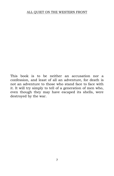<span id="page-6-0"></span>This book is to be neither an accusation nor a confession, and least of all an adventure, for death is not an adventure to those who stand face to face with it. It will try simply to tell of a generation of men who, even though they may have escaped its shells, were destroyed by the war.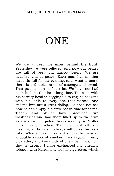### ONE

We are at rest five miles behind the front. Yesterday we were relieved, and now our bellies are full of beef and haricot beans. We are satisfied and at peace. Each man has another mess-tin full for the evening; and, what is more, there is a double ration of sausage and bread. That puts a man in fine trim. We have not had such luck as this for a long time. The cook with his carroty head is begging us to eat; he beckons with his ladle to every one that passes, and spoons him out a great dollop. He does not see how he can empty his stew-pot in time for coffee. Tjaden and Müller have produced two washbasins and had them filled up to the brim as a reserve. In Tjaden this is voracity, in Müller it is foresight. Where Tjaden puts it all is a mystery, for he is and always will be as thin as a rake. What's more important still is the issue of a double ration of smokes. Ten cigars, twenty cigarettes, and two quids of chew per man; now that is decent. I have exchanged my chewing tobacco with Katczinsky for his cigarettes, which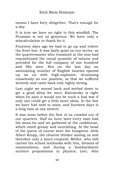means I have forty altogether. That's enough for a day.

It is true we have no right to this windfall. The Prussian is not so generous. We have only a miscalculation to thank for it.

Fourteen days ago we had to go up and relieve the front line. It was fairly quiet on our sector, so the quartermaster who remained in the rear had requisitioned the usual quantity of rations and provided for the full company of one hundred and fifty men. But on the last day an astonishing number of English heavies opened up on us with high-explosive, drumming ceaselessly on our position, so that we suffered severely and came back only eighty strong.

Last night we moved back and settled down to get a good sleep for once: Katczinsky is right when he says it would not be such a bad war if only one could get a little more sleep. In the line we have had next to none, and fourteen days is a long time at one stretch.

It was noon before the first of us crawled out of our quarters. Half an hour later every man had his mess-tin and we gathered at the cookhouse, which smelt greasy and nourishing. At the head of the queue of course were the hungriest--little Albert Kropp, the clearest thinker among us and therefore only a lance-corporal; Müller, who still carries his school textbooks with him, dreams of examinations, and during a bombardment mutters propositions in physics; Leer, who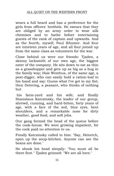wears a full beard and has a preference for the girls from officers' brothels. He swears that they are obliged by an army order to wear silk chemises and to bathe before entertaining guests of the rank of captain and upwards. And as the fourth, myself, Paul BAumer. And four are nineteen years of age, and all four joined up from the same class as volunteers for the war.

Close behind us were our friends: Tjaden, a skinny locksmith of our own age, the biggest eater of the company. He sits down to eat as thin as a grasshopper and gets up as big as a bug in the family way; Haie Westhus, of the same age, a peat-digger, who can easily hold a ration-loaf in his hand and say: Guess what I've got in my fist; then Detering, a peasant, who thinks of nothing but

his farm-yard and his wife; and finally Stanislaus Katczinsky, the leader of our group, shrewd, cunning, and hard-bitten, forty years of age, with a face of the soil, blue eyes, bent shoulders, and a remarkable nose for dirty weather, good food, and soft jobs.

Our gang formed the head of the queue before the cook-house. We were growing impatient, for the cook paid no attention to us.

Finally Katczinsky called to him: "Say, Heinrich, open up the soup-kitchen. Anyone can see the beans are done."

He shook his head sleepily: "You must all be there first." Tjaden grinned: "We are all here."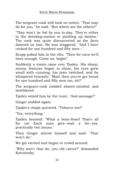The sergeant-cook still took no notice. "That may do for you," he said. "But where are the others?"

"They won't be fed by you to-day. They're either in the dressing-station or pushing up daisies." The cook was quite disconcerted as the facts dawned on him. He was staggered. "And I have cooked for one hundred and fifty men--"

Kropp poked him in the ribs. "Then for once we'll have enough. Come on, begin!"

Suddenly a vision came over Tjaden. His sharp, mousy features began to shine, his eyes grew small with cunning, his jaws twitched, and he whispered hoarsely: "Man! then you've got bread for one hundred and fifty men too, eh?"

The sergeant-cook nodded absent-minded, and bewildered.

Tjaden seized him by the tunic. "And sausage?"

Ginger nodded again.

Tjaden's chaps quivered. "Tobacco too?"

"Yes, everything."

Tjaden beamed: "What a bean-feast! That's all for us! Each man gets--wait a bit--yes, practically two issues."

Then Ginger stirred himself and said: "That won't do."

We got excited and began to crowd around.

"Why won't that do, you old carrot?" demanded Katczinsky.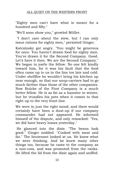"Eighty men can't have what is meant for a hundred and fifty."

"We'll soon show you," growled Müller.

"I don't care about the stew, but I can only issue rations for eighty men," persisted Ginger.

Katczinsky got angry. "You might be generous for once. You haven't drawn food for eighty men. You've drawn it for the Second Company. Good. Let's have it then. We are the Second Company." We began to jostle the fellow. No one felt kindly toward him, for it was his fault that the food often came up to us in the line too late and cold. Under shellfire he wouldn't bring his kitchen up near enough, so that our soup-carriers had to go much farther than those of the other companies. Now Bulcke of the First Company is a much better fellow. He is as fat as a hamster in winter, but he trundles his pots when it comes to that right up to the very front-line.

We were in just the right mood, and there would certainly have been a dust-up if our company commander had not appeared. He informed himself of the dispute, and only remarked: "Yes, we did have heavy losses yesterday."

He glanced into the dixie. "The beans look good." Ginger nodded. "Cooked with meat and fat." The lieutenant looked at us. He knew what we were thinking. And he knew many other things too, because he came to the company as a non-com, and was promoted from the ranks. He lifted the lid from the dixie again and sniffed.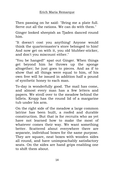Then passing on he said: "Bring me a plate full. Serve out all the rations. We can do with them."

Ginger looked sheepish as Tjaden danced round him.

"It doesn't cost you anything! Anyone would think the quartermaster's store belonged to him! And now get on with it, you old blubber-sticker, and don't you miscount either."

"You be hanged!" spat out Ginger. When things get beyond him he throws up the sponge altogether; he just goes to pieces. And as if to show that all things were equal to him, of his own free will he issued in addition half a pound of synthetic honey to each man.

To-day is wonderfully good. The mail has come, and almost every man has a few letters and papers. We stroll over to the meadow behind the billets. Kropp has the round lid of a margarine tub under his arm.

On the right side of the meadow a large common latrine has been built, a roofed and durable construction. But that is for recruits who as yet have not learned how to make the most of whatever comes their way. We want something better. Scattered about everywhere there are separate, individual boxes for the same purpose. They are square, neat boxes with wooden sides all round, and have unimpeachably satisfactory seats. On the sides are hand grips enabling one to shift them about.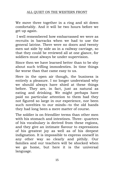We move three together in a ring and sit down comfortably. And it will be two hours before we get up again.

I well remembered how embarrassed we were as recruits in barracks when we had to use the general latrine. There were no doors and twenty men sat side by side as in a railway carriage, so that they could be reviewed all at one glance, for soldiers must always be under supervision.

Since then we have learned better than to be shy about such trifling immodesties. In time things far worse than that came easy to us.

Here in the open air though, the business is entirely a pleasure. I no longer understand why we should always have shied at these things before. They are, in fact, just as natural as eating and drinking. We might perhaps have paid no particular attention to them had they not figured so large in our experience, nor been such novelties to our minds--to the old hands they had long been a mere matter of course.

The soldier is on friendlier terms than other men with his stomach and intestines. Three- quarters of his vocabulary is derived from these regions, and they give an intimate flavour to expressions of his greatest joy as well as of his deepest indignation. It is impossible to express oneself in any other way so clearly and pithily. Our families and our teachers will be shocked when we go home, but here it is the universal language.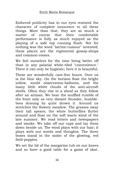Enforced publicity has in our eyes restored the character of complete innocence to all these things. More than that, they are so much a matter of course that their comfortable performance is fully as much enjoyed as the playing of a safe top running flush. Not for nothing was the word "latrine-rumour" invented; these places are the regimental gossip-shops and common-rooms.

We feel ourselves for the time being better off than in any palatial white-tiled "convenience." There it can only be hygienic; here it is beautiful.

These are wonderfully care-free hours. Over us is the blue sky. On the horizon float the bright yellow, sunlit observation-balloons, and the many little white clouds of the anti-aircraft shells. Often they rise in a sheaf as they follow after an airman. We hear the muffled rumble of the front only as very distant thunder, bumblebees droning by quite drown it. Around us stretches the flowery meadow. The grasses sway their tall spears; the white butterflies flutter around and float on the soft warm wind of the late summer. We read letters and newspapers and smoke. We take off our caps and lay them down beside us. The wind plays with our hair; it plays with our words and thoughts. The three boxes stand in the midst of the glowing, red field-poppies.

We set the lid of the margarine tub on our knees and so have a good table for a game of skat.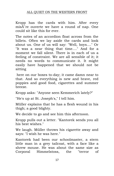Kropp has the cards with him. After every misÅ re ouverte we have a round of nap. One could sit like this for ever.

The notes of an accordion float across from the billets. Often we lay aside the cards and look about us. One of us will say: "Well, boys...." Or "It was a near thing that time...." And for a moment we fall silent. There is in each of us a feeling of constraint. We are all sensible of it; it needs no words to communicate it. It might easily have happened that we should not be sitting

here on our boxes to-day; it came damn near to that. And so everything is new and brave, red poppies and good food, cigarettes and summer breeze.

Kropp asks: "Anyone seen Kemmerich lately?"

"He's up at St. Joseph's," I tell him.

Müller explains that he has a flesh wound in his thigh; a good blighty.

We decide to go and see him this afternoon.

Kropp pulls out a letter. "Kantorek sends you all his best wishes."

We laugh. Müller throws his cigarette away and says: "I wish he was here."

Kantorek had been our schoolmaster, a stern little man in a grey tailcoat, with a face like a shrew mouse. He was about the same size as Corporal Himmelstoss, the "terror of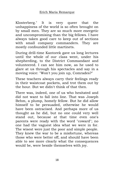Klosterberg." It is very queer that the unhappiness of the world is so often brought on by small men. They are so much more energetic and uncompromising than the big fellows. I have always taken good care to keep out of sections with small company commanders. They are mostly confounded little martinets.

During drill-time Kantorek gave us long lectures until the whole of our class went, under his shepherding, to the District Commandant and volunteered. I can see him now, as he used to glare at us through his spectacles and say in a moving voice: "Won't you join up, Comrades?"

These teachers always carry their feelings ready in their waistcoat pockets, and trot them out by the hour. But we didn't think of that then.

There was, indeed, one of us who hesitated and did not want to fall into line. That was Joseph Behm, a plump, homely fellow. But he did allow himself to be persuaded, otherwise he would have been ostracised. And perhaps more of us thought as he did, but no one could very well stand out, because at that time even one's parents were ready with the word "coward"; no one had the vaguest idea what we were in for. The wisest were just the poor and simple people. They knew the war to be a misfortune, whereas those who were better off, and should have been able to see more clearly what the consequences would be, were beside themselves with joy.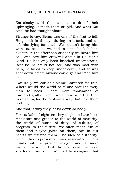Katczinsky said that was a result of their upbringing. It made them stupid. And what Kat said, he had thought about.

Strange to say, Behm was one of the first to fall. He got hit in the eye during an attack, and we left him lying for dead. We couldn't bring him with us, because we had to come back helterskelter. In the afternoon suddenly we heard him call, and saw him crawling about in No Man's Land. He had only been knocked unconscious. Because he could not see, and was mad with pain, he failed to keep under cover, and so was shot down before anyone could go and fetch him in.

Naturally we couldn't blame Kantorek for this. Where would the world be if one brought every man to book? There were thousands of Kantoreks, all of whom were convinced that they were acting for the best--in a way that cost them nothing.

And that is why they let us down so badly.

For us lads of eighteen they ought to have been mediators and guides to the world of maturity, the world of work, of duty, of culture, of progress--to the future. We often made fun of them and played jokes on them, but in our hearts we trusted them. The idea of authority, which they represented, was associated in our minds with a greater insight and a more humane wisdom. But the first death we saw shattered this belief. We had to recognise that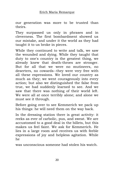our generation was more to be trusted than theirs.

They surpassed us only in phrases and in cleverness. The first bombardment showed us our mistake, and under it the world as they had taught it to us broke in pieces.

While they continued to write and talk, we saw the wounded and dying. While they taught that duty to one's country is the greatest thing, we already knew that death-throes are stronger. But for all that we were no mutineers, no deserters, no cowards--they were very free with all these expressions. We loved our country as much as they; we went courageously into every action; but also we distinguished the false from true, we had suddenly learned to see. And we saw that there was nothing of their world left. We were all at once terribly alone; and alone we must see it through.

Before going over to see Kemmerich we pack up his things: he will need them on the way back.

In the dressing station there is great activity: it reeks as ever of carbolic, pus, and sweat. We are accustomed to a good deal in the billets, but this makes us feel faint. We ask for Kemmerich. He lies in a large room and receives us with feeble expressions of joy and helpless agitation. While he

was unconscious someone had stolen his watch.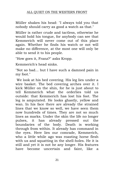Müller shakes his head: "I always told you that nobody should carry as good a watch as that."

Müller is rather crude and tactless, otherwise he would hold his tongue, for anybody can see that Kemmerich will never come out of this place again. Whether he finds his watch or not will make no difference, at the most one will only be able to send it to his people.

"How goes it, Franz?" asks Kropp.

Kemmerich's head sinks.

"Not so bad... but I have such a damned pain in my foot."

We look at his bed covering. His leg lies under a wire basket. The bed covering arches over it. I kick Müller on the shin, for he is just about to tell Kemmerich what the orderlies told us outside: that Kemmerich has lost his foot. The leg is amputated. He looks ghastly, yellow and wan. In his face there are already the strained lines that we know so well, we have seen them now hundreds of times. They are not so much lines as marks. Under the skin the life no longer pulses, it has already pressed out the boundaries of the body. Death is working through from within. It already has command in the eyes. Here lies our comrade, Kemmerich, who a little while ago was roasting horse flesh with us and squatting in the shell-holes. He it is still and yet it is not he any longer. His features have become uncertain and faint, like a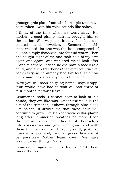photographic plate from which two pictures have been taken. Even his voice sounds like ashes.

I think of the time when we went away. His mother, a good plump matron, brought him to the station. She wept continually, her face was bloated and swollen. Kemmerich felt embarrassed, for she was the least composed of all; she simply dissolved into fat and water. Then she caught sight of me and took hold of my arm again and again, and implored me to look after Franz out there. Indeed he did have a face like a child, and such frail bones that after four weeks' pack-carrying he already had flat feet. But how can a man look after anyone in the field!

"Now you will soon be going home," says Kropp. "You would have had to wait at least three or four months for your leave."

Kemmerich nods. I cannot bear to look at his hands, they are like wax. Under the nails is the dirt of the trenches, it shows through blue-black like poison. It strikes me that these nails will continue to grow like lean fantastic cellar-plants long after Kemmerich breathes no more. I see the picture before me. They twist themselves into corkscrews and grow and grow, and with them the hair on the decaying skull, just like grass in a good soil, just like grass, how can it be possible-- Müller leans over. "We have brought your things, Franz."

Kemmerich signs with his hands. "Put them under the bed."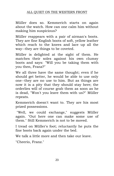Müller does so. Kemmerich starts on again about the watch. How can one calm him without making him suspicious?

Müller reappears with a pair of airman's boots. They are fine English boots of soft, yellow leather which reach to the knees and lace up all the way--they are things to be coveted.

Müller is delighted at the sight of them. He matches their soles against his own clumsy boots and says: "Will you be taking them with you then, Franz?"

We all three have the same thought; even if he should get better, he would be able to use only one--they are no use to him. But as things are now it is a pity that they should stay here; the orderlies will of course grab them as soon as he is dead, "Won't you leave them with us?" Müller repeats.

Kemmerich doesn't want to. They are his most prized possessions.

"Well, we could exchange," suggests Müller again. "Out here one can make some use of them." Still Kemmerich is not to be moved.

I tread on Müller's foot; reluctantly he puts the fine boots back again under the bed.

We talk a little more and then take our leave.

"Cheerio, Franz."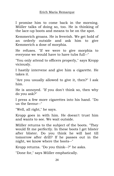I promise him to come back in the morning. Müller talks of doing so, too. He is thinking of the lace-up boots and means to be on the spot.

Kemmerich groans. He is feverish. We get hold of an orderly outside and ask him to give Kemmerich a dose of morphia.

He refuses. "If we were to give morphia to everyone we would have to have tubs full--"

"You only attend to officers properly," says Kropp viciously.

I hastily intervene and give him a cigarette. He takes it.

"Are you usually allowed to give it, then?" I ask him.

He is annoyed. "If you don't think so, then why do you ask?"

I press a few more cigarettes into his hand. "Do us the favour--"

"Well, all right," he says.

Kropp goes in with him. He doesn't trust him and wants to see. We wait outside.

Müller returns to the subject of the boots. "They would fit me perfectly. In these boots I get blister after blister. Do you think he will last till tomorrow after drill? If he passes out in the night, we know where the boots--"

Kropp returns. "Do you think--?" he asks.

"Done for," says Müller emphatically.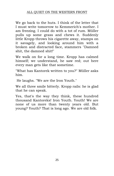We go back to the huts. I think of the letter that I must write tomorrow to Kemmerich's mother. I am freezing. I could do with a tot of rum. Müller pulls up some grass and chews it. Suddenly little Kropp throws his cigarette away, stamps on it savagely, and looking around him with a broken and distracted face, stammers "Damned shit, the damned shit!"

We walk on for a long time. Kropp has calmed himself; we understand, he saw red; out here every man gets like that sometime.

"What has Kantorek written to you?" Müller asks him.

He laughs. "We are the Iron Youth."

We all three smile bitterly. Kropp rails: he is glad that he can speak.

Yes, that's the way they think, these hundred thousand Kantoreks! Iron Youth. Youth! We are none of us more than twenty years old. But young? Youth? That is long ago. We are old folk.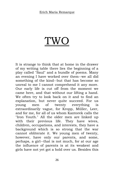### TWO

<span id="page-25-0"></span>It is strange to think that at home in the drawer of my writing table there lies the beginning of a play called "Saul" and a bundle of poems. Many an evening I have worked over them--we all did something of the kind--but that has become so unreal to me I cannot comprehend it any more. Our early life is cut off from the moment we came here, and that without our lifting a hand. We often try to look back on it and to find an explanation, but never quite succeed. For us young men of twenty everything is extraordinarily vague, for Kropp, Müller, Leer, and for me, for all of us whom Kantorek calls the "Iron Youth." All the older men are linked up with their previous life. They have wives, children, occupations, and interests, they have a background which is so strong that the war cannot obliterate it. We young men of twenty, however, have only our parents, and some, perhaps, a girl--that is not much, for at our age the influence of parents is at its weakest and girls have not yet got a hold over us. Besides this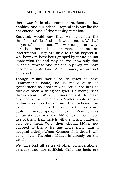there was little else--some enthusiasm, a few hobbies, and our school. Beyond this our life did not extend. And of this nothing remains.

Kantorek would say that we stood on the threshold of life. And so it would seem. We had as yet taken no root. The war swept us away. For the others, the older men, it is but an interruption. They are able to think beyond it. We, however, have been gripped by it and do not know what the end may be. We know only that in some strange and melancholy way we have become a waste land. All the same, we are not often sad.

Though Müller would be delighted to have Kemmerich's boots, he is really quite as sympathetic as another who could not bear to think of such a thing for grief. He merely sees things clearly. Were Kemmerich able to make any use of the boots, then Müller would rather go bare-foot over barbed wire than scheme how to get hold of them. But as it is the boots are quite inappropriate to Kemmerich's circumstances, whereas Müller can make good use of them. Kemmerich will die; it is immaterial who gets them. Why, then, should Müller not succeed to them? He has more right than a hospital orderly. When Kemmerich is dead it will be too late. Therefore Müller is already on the watch.

We have lost all sense of other considerations, because they are artificial. Only the facts are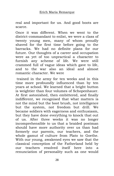real and important for us. And good boots are scarce.

Once it was different. When we went to the district-commandant to enlist, we were a class of twenty young men, many of whom proudly shaved for the first time before going to the barracks. We had no definite plans for our future. Our thoughts of a career and occupation were as yet of too unpractical a character to furnish any scheme of life. We were still crammed full of vague ideas which gave to life, and to the war also an ideal and almost romantic character. We were

trained in the army for ten weeks and in this time more profoundly influenced than by ten years at school. We learned that a bright button is weightier than four volumes of Schopenhauer. At first astonished, then embittered, and finally indifferent, we recognised that what matters is not the mind but the boot brush, not intelligence but the system, not freedom but drill. We became soldiers with eagerness and enthusiasm, but they have done everything to knock that out of us. After three weeks it was no longer incomprehensible to us that a braided postman should have more authority over us than had formerly our parents, our teachers, and the whole gamut of culture from Plato to Goethe. With our young, awakened eyes we saw that the classical conception of the Fatherland held by our teachers resolved itself here into a renunciation of personality such as one would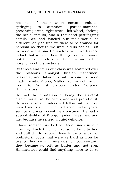not ask of the meanest servants--salutes, springing to attention, parade-marches, presenting arms, right wheel, left wheel, clicking the heels, insults, and a thousand pettifogging details. We had fancied our task would be different, only to find we were to be trained for heroism as though we were circus-ponies. But we soon accustomed ourselves to it. We learned in fact that some of these things were necessary, but the rest merely show. Soldiers have a fine nose for such distinctions.

By threes and fours our class was scattered over the platoons amongst Frisian fishermen, peasants, and labourers with whom we soon made friends. Kropp, Müller, Kemmerich, and I went to No .9 platoon under Corporal Himmelstoss.

He had the reputation of being the strictest disciplinarian in the camp, and was proud of it. He was a small undersized fellow with a foxy, waxed moustache, who had seen twelve years' service and was in civil life a postman. He had a special dislike of Kropp, Tjaden, Westhus, and me, because he sensed a quiet defiance.

I have remade his bed fourteen times in one morning. Each time he had some fault to find and pulled it to pieces. I have kneaded a pair of prehistoric boots that were as hard as iron for twenty hours--with intervals of course--until they became as soft as butter and not even Himmelstoss could find anything more to do to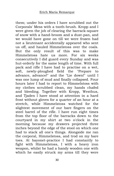them; under his orders I have scrubbed out the Corporals' Mess with a tooth-brush. Kropp and I were given the job of clearing the barrack-square of snow with a hand-broom and a dust-pan, and we would have gone on till we were frozen had not a lieutenant accidentally appeared who sent us off, and hauled Himmelstoss over the coals. But the only result of this was to make Himmelstoss hate us more. For six weeks consecutively I did guard every Sunday and was hut-orderly for the same length of time. With full pack and rifle I have had to practise on a wet, soft, newly-ploughed field the "Prepare to advance, advance!" and the "Lie down!" until I was one lump of mud and finally collapsed. Four hours later I had to report to Himmelstoss with my clothes scrubbed clean, my hands chafed and bleeding. Together with Kropp, Westhus, and Tjaden I have stood at attention in a hard frost without gloves for a quarter of an hour at a stretch, while Himmelstoss watched for the slightest movement of our bare fingers on the steel barrel of the rifle. I have run eight times from the top floor of the barracks down to the courtyard in my shirt at two o'clock in the morning because my drawers projected three inches beyond the edge of the stool on which one had to stack all one's things. Alongside me ran the corporal, Himmelstoss, and trod on my bare toes. At bayonet-practice I had constantly to fight with Himmelstoss, I with a heavy iron weapon, whilst he had a handy wooden one with which he easily struck my arms till they were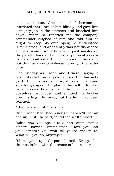black and blue. Once, indeed, I became so infuriated that I ran at him blindly and gave him a mighty jab in the stomach and knocked him down. When he reported me the company commander laughed at him and told him he ought to keep his eyes open; he understood Himmelstoss, and apparently was not displeased at his discomfiture. I became a past master on the parallel bars and excelled at physical jerks;- we have trembled at the mere sound of his voice, but this runaway post-horse never got the better of us.

One Sunday as Kropp and I were lugging a latrine-bucket on a pole across the barrackyard, Himmelstoss came by, all polished up and spry for going out. He planted himself in front of us and asked how we liked the job. In spite of ourselves we tripped and emptied the bucket over his legs. He raved, but the limit had been reached.

"That means clink," he yelled.

But Kropp had had enough. "There'll be an enquiry first," he said, "and then we'll unload."

"Mind how you speak to a non-commissioned officer!" bawled Himmelstoss. "Have you lost your senses? You wait till you're spoken to. What will you do, anyway?"

"Show you up, Corporal," said Kropp, his thumbs in line with the seams of his trousers.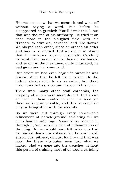Himmelstoss saw that we meant it and went off without saying a word. But before he disappeared he growled: "You'll drink this!"--but that was the end of his authority. He tried it on once more in the ploughed field with his "Prepare to advance, advance" and "Lie down." We obeyed each order, since an order's an order and has to be obeyed. But we did it so slowly that Himmelstoss became desperate. Carefully we went down on our knees, then on our hands, and so on; in the meantime, quite infuriated, he had given another command.

But before we had even begun to sweat he was hoarse. After that he left us in peace. He did indeed always refer to us as swine, but there was, nevertheless, a certain respect in his tone.

There were many other staff corporals, the majority of whom were more decent. But above all each of them wanted to keep his good job there as long as possible, and this he could do only by being strict with the recruits.

So we were put through every conceivable refinement of parade-ground soldiering till we often howled with rage. Many of us became ill through it; Wolf actually died of inflammation of the lung. But we would have felt ridiculous had we hauled down our colours. We became hard, suspicious, pitiless, vicious, tough--and that was good; for these attributes were just what we lacked. Had we gone into the trenches without this period of training most of us would certainly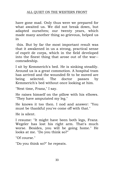have gone mad. Only thus were we prepared for what awaited us. We did not break down, but adapted ourselves; our twenty years, which made many another thing so grievous, helped us in

this. But by far the most important result was that it awakened in us a strong, practical sense of esprit de corps, which in the field developed into the finest thing that arose out of the war- comradeship.

I sit by Kemmerich's bed. He is sinking steadily. Around us is a great commotion. A hospital tram has arrived and the wounded fit to be moved are being selected. The doctor passes by Kemmerich's bed without once looking at him.

"Next time, Franz," I say.

He raises himself on the pillow with his elbows. "They have amputated my leg."

He knows it too then. I nod and answer: "You must be thankful you've come off with that."

He is silent.

I resume: "It might have been both legs, Franz. Wegeler has lost his right arm. That's much worse. Besides, you will be going home." He looks at me. "Do you think so?"

"Of course."

"Do you think so?" he repeats.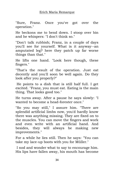"Sure, Franz. Once you've got over the operation."

He beckons me to bend down. I stoop over bin and he whispers: "I don't think so."

"Don't talk rubbish; Franz, in a couple of days you'll see for yourself. What is it anyway--an amputated leg? here they patch up far worse things than that."

He lifts one hand. "Look here though, these fingers."

"That's the result of the operation. Just eat decently and you'll soon be well again. Do they look after you properly?"

He points to a dish that is still half full. I get excited. "Franz, you must eat. Eating is the main thing. That looks good too."

He turns away. After a pause he says slowly: "I wanted to become a head-forester once."

"So you may still," I assure him. "There are splendid artificial limbs now, you'd hardly know there was anything missing. They are fixed on to the muscles. You can move the fingers and work and even write with an artificial hand. And besides, they will always be making new improvements."

For a while he lies still. Then he says: "You can take my lace-up boots with you for Müller."

I nod and wonder what to say to encourage him. His lips have fallen away, his mouth has become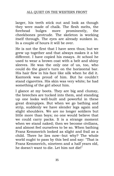larger, his teeth stick out and look as though they were made of chalk. The flesh melts, the forehead bulges more prominently, the cheekbones protrude. The skeleton is working itself through. The eyes are already sunken in. In a couple of hours it will be over.

He is not the first that I have seen thus; but we grew up together and that always makes it a bit different. I have copied his essays. At school he used to wear a brown coat with a belt and shiny sleeves. He was the only one of us, too, who could do the giant's turn on the horizontal bar. His hair flew in his face like silk when he did it. Kantorek was proud of him. But he couldn't stand cigarettes. His skin was very white; he had something of the girl about him.

I glance at my boots. They are big and clumsy, the breeches are tucked into them, and standing up one looks well-built and powerful in these great drainpipes. But when we go bathing and strip, suddenly we have slender legs again and slight shoulders. We are no longer soldiers but little more than boys; no one would believe that we could carry packs. It is a strange moment when we stand naked; then we become civilians, and almost feel ourselves to be so. When bathing Franz Kemmerich looked as slight and frail as a child. There he lies now--but why? The whole world ought to pass by this bed and say: "That is Franz Kemmerich, nineteen and a half years old, he doesn't want to die. Let him not die!"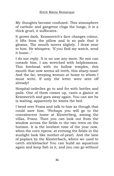My thoughts become confused. This atmosphere of carbolic and gangrene clogs the lungs, it is a thick gruel, it suffocates.

It grows dark. Kemmerich's face changes colour, it lifts from the pillow and is so pale that it gleams. The mouth moves slightly. I draw near to him. He whispers: "If you find my watch, send it home--"

I do not reply. It is no use any more. No one can console him. I am wretched with helplessness. This forehead with its hollow temples, this mouth that now seems all teeth, this sharp nose! And the fat, weeping woman at home to whom I must write. If only the letter were sent off already!

Hospital-orderlies go to and fro with bottles and pails. One of them comes up, casts a glance at Kemmerich and goes away again. You can see he is waiting, apparently he wants the bed.

I bend over Franz and talk to him as though that could save him: "Perhaps you will go to the convalescent home at Klosterberg, among the villas, Franz. Then you can look out from the window across the fields to the two trees on the horizon. It is the loveliest time of the year now, when the corn ripens; at evening the fields in the sunlight look like mother-of-pearl. And the lane of poplars by the Klosterbach, where we used to catch sticklebacks! You can build an aquarium again and keep fish in it, and you can go without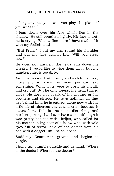asking anyone, you can even play the piano if you want to."

I lean down over his face which lies in the shadow. He still breathes, lightly. His face is wet, he is crying. What a fine mess I have made of it with my foolish talk!

"But Franz"--I put my arm round his shoulder and put my face against his. "Will you sleep now?"

He does not answer. The tears run down his cheeks. I would like to wipe them away but my handkerchief is too dirty.

An hour passes. I sit tensely and watch his every movement in case he may perhaps say something. What if he were to open his mouth and cry out! But he only weeps, his head turned aside. He does not speak of his mother or his brothers and sisters. He says nothing; all that lies behind him; he is entirely alone now with his little life of nineteen years, and cries because it leaves him. This is the most disturbing and hardest parting that I ever have seen, although it was pretty bad too with Tiedjen, who called for his mother--a big bear of a fellow who, with wild eyes full of terror, held off the doctor from his bed with a dagger until he collapsed.

Suddenly Kemmerich groans and begins to gurgle.

I jump up, stumble outside and demand: "Where is the doctor? Where is the doctor?"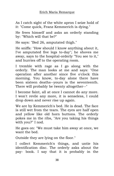As I catch sight of the white apron I seize hold of it: "Come quick, Franz Kemmerich is dying."

He frees himself and asks an orderly standing by: "Which will that be?"

He says: "Bed 26, amputated thigh."

He sniffs: "How should I know anything about it, I've amputated five legs to-day"; he shoves me away, says to the hospital-orderly "You see to it," and hurries off to the operating room.

I tremble with rage as I go along with the orderly. The man looks at me and says: "One operation after another since five o'clock this morning. You know, to-day alone there have been sixteen deaths--yours is the seventeenth. There will probably be twenty altogether--"

I become faint, all at once I cannot do any more. I won't revile any more, it is senseless, I could drop down and never rise up again.

We are by Kemmerich's bed. He is dead. The face is still wet from the tears. The eyes are half open and yellow like old horn buttons. The orderly pokes me in the ribs, "Are you taking his things with you?" I nod.

He goes on: "We must take him away at once, we want the bed.

Outside they are lying on the floor."

I collect Kemmerich's things, and untie his identification disc. The orderly asks about the pay- book. I say that it is probably in the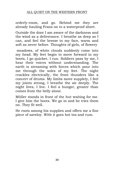### ALL QUIET ON THE WESTERN FRONT

orderly-room, and go. Behind me they are already hauling Franz on to a waterproof sheet.

Outside the door I am aware of the darkness and the wind as a deliverance. I breathe as deep as I can, and feel the breeze in my face, warm and soft as never before. Thoughts of girls, of flowery

meadows, of white clouds suddenly come into my head. My feet begin to move forward in my boots, I go quicker, I run. Soldiers pass by me, I hear their voices without understanding. The earth is streaming with forces which pour into me through the soles of my feet. The night crackles electrically, the front thunders like a concert of drums. My limbs move supplely, I feel my joints strong, I breathe the air deeply. The night lives, I live. I feel a hunger, greater than comes from the belly alone.

Müller stands in front of the hut waiting for me. I give him the boots. We go in and he tries them on. They fit well.

He roots among his supplies and offers me a fine piece of saveloy. With it goes hot tea and rum.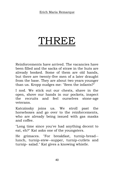## THREE

Reinforcements have arrived. The vacancies have been filled and the sacks of straw in the huts are already booked. Some of them are old hands, but there are twenty-five men of a later draught from the base. They are about two years younger than us. Kropp nudges me: "Seen the infants?"

I nod. We stick out our chests, shave in the open, shove our hands in our pockets, inspect the recruits and feel ourselves stone-age veterans.

Katczinsky joins us. We stroll past the horseboxes and go over to the reinforcements, who are already being issued with gas masks and coffee.

"Long time since you've had anything decent to eat, eh?" Kat asks one of the youngsters.

He grimaces. "For breakfast, turnip-bread- lunch, turnip-stew--supper, turnip-cutlets and turnip- salad." Kat gives a knowing whistle.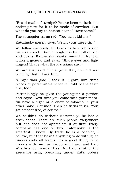"Bread made of turnips? You've been in luck, it's nothing new for it to be made of sawdust. But what do you say to haricot beans? Have some?"

The youngster turns red: "You can't kid me."

Katczinsky merely says: "Fetch your mess-tin."

We follow curiously. He takes us to a tub beside his straw sack. Sure enough it is half full of beef and beans. Katczinsky plants himself in front of it like a general and says: "Sharp eyes and light fingers! That's what the Prussians say."

We are surprised. "Great guts, Kat, how did you come by that?" I ask him.

"Ginger was glad I took it. I gave him three pieces of parachute-silk for it. Cold beans taste fine, too."

Patronisingly he gives the youngster a portion and says: "Next time you come with your messtin have a cigar or a chew of tobacco in your other hand. Get me?" Then he turns to us. "You get off scot free, of course."

We couldn't do without Katczinsky; he has a sixth sense. There are such people everywhere but one does not appreciate it at first. Every company has one or two. Katczinsky is the smartest I know. By trade he is a cobbler, I believe, but that hasn't anything to do with it; he understands all trades. It's a good thing to be friends with him, as Kropp and I are, and Haie Westhus too, more or less. But Haie is rather the executive arm, operating under Kat's orders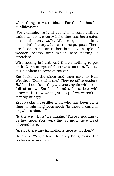when things come to blows. For that he has his qualifications.

For example, we land at night in some entirely unknown spot, a sorry hole, that has been eaten out to the very walls. We are quartered in a small dark factory adapted to the purpose. There are beds in it, or rather bunks--a couple of wooden beams over which wire netting is stretched.

Wire netting is hard. And there's nothing to put on it. Our waterproof sheets are too thin. We use our blankets to cover ourselves.

Kat looks at the place and then says to Haie Westhus "Come with me." They go off to explore. Half an hour later they are back again with arms full of straw. Kat has found a horse-box with straw in it. Now we might sleep if we weren't so terribly hungry.

Kropp asks an artilleryman who has been some time in this neighbourhood: "Is there a canteen anywhere abouts?"

"Is there a what?" he laughs. "There's nothing to be had here. You won't find so much as a crust of bread here."

"Aren't there any inhabitants here at all then?"

He spits. "Yes, a few. But they hang round the cook-house and beg."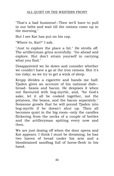#### ALL QUIET ON THE WESTERN FRONT

"That's a bad business!--Then we'll have to pull in our belts and wait till the rations come up in the morning."

But I see Kat has put on his cap.

"Where to, Kat?" I ask.

"Just to explore the place a bit." He strolls off. The artilleryman grins scornfully. "Go ahead and explore. But don't strain yourself in carrying what you find."

Disappointed we lie down and consider whether we couldn't have a go at the iron rations. But it's too risky; so we try to get a wink of sleep.

Kropp divides a cigarette and hands me half. Tjaden gives an account of his national dish- broad- beans and bacon. He despises it when not flavoured with bog-myrtle, and, "for God's sake, let it all be cooked together, not the potatoes, the beans, and the bacon separately." Someone growls that he will pound Tjaden into bog-myrtle if he doesn't shut up. Then all becomes quiet in the big room--only the candles flickering from the necks of a couple of bottles and the artilleryman spitting every now and then.

We are just dozing off when the door opens and Kat appears. I think I must be dreaming; he has two loaves of bread under his arm and a bloodstained sandbag full of horse-flesh in his hand.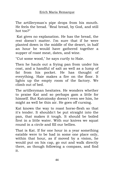The artilleryman's pipe drops from his mouth. He feels the bread. "Real bread, by God, and still hot too?"

Kat gives no explanation. He has the bread, the rest doesn't matter. I'm sure that if he were planted down in the middle of the desert, in half an hour he would have gathered together a supper of roast meat, dates, and wine.

"Cut some wood," he says curtly to Haie.

Then he hauls out a frying pan from under his coat, and a handful of salt as well as a lump of fat from his pocket. He has thought of everything. Haie makes a fire on the floor. It lights up the empty room of the factory. We climb out of bed.

The artilleryman hesitates. He wonders whether to praise Kat and so perhaps gam a little for himself. But Katczinsky doesn't even see him, he might as well be thin air. He goes off cursing.

Kat knows the way to roast horse-flesh so that it's tender. It shouldn't be put straight into the pan, that makes it tough. It should be boiled first in a little water. With our knives we squat round in a circle and fill our bellies.

That is Kat. If for one hour in a year something eatable were to be had in some one place only, within that hour, as if moved by a vision, he would put on his cap, go out and walk directly there, as though following a compass, and find it.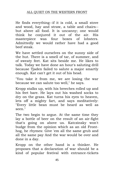He finds everything--if it is cold, a small stove and wood, hay and straw, a table and chairs- but above all food. It is uncanny; one would think he conjured it out of the air. His masterpiece was four boxes of lobsters. Admittedly we would rather have had a good beef steak.

We have settled ourselves on the sunny side of the hut. There is a smell of tar, of summer, and of sweaty feet. Kat sits beside me. He likes to talk. Today we have done an hour's saluting drill because Tjaden failed to salute a major smartly enough. Kat can't get it out of his head.

"You take it from me, we are losing the war because we can salute too well," he says.

Kropp stalks up, with his breeches rolled up and his feet bare. He lays out his washed socks to dry on the grass. Kat turns his eyes to heaven, lets off a mighty fart, and says meditatively: "Every little bean must be heard as well as seen."

The two begin to argue. At the same time they lay a bottle of beer on the result of an air-fight that's going on above us. Katczinsky won't budge from the opinion which as an old Fronthog, he rhymes: Give 'em all the same grub and all the same pay And the war would be over and done in a day.

Kropp on the other hand is a thinker. He proposes that a declaration of war should be a kind of popular festival with entrance-tickets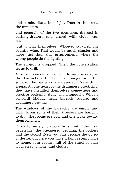and bands, like a bull fight. Then in the arena the ministers

and generals of the two countries, dressed in bathing-drawers and armed with clubs, can have it

out among themselves. Whoever survives, his country wins. That would be much simpler and more just than this arrangement, where the wrong people do the fighting.

The subject is dropped. Then the conversation turns to drill.

A picture comes before me. Burning midday in the barrack-yard. The heat hangs over the square. The barracks are deserted. Every thing sleeps. All one hears is the drummers practising; they have installed themselves somewhere and practise brokenly, dully, monotonously. What a concord! Midday heat, barrack square, and drummers beating!

The windows of the barracks are empty and dark. From some of them trousers are hanging to dry. The rooms are cool and one looks toward them longingly.

O dark, musty platoon huts, with the iron bedsteads, the chequered bedding, the lockers and the stools! Even you can become the object of desire; out here you have a faint resemblance to home; your rooms, full of the smell of stale food, sleep, smoke, and clothes.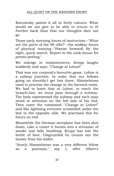Katczinsky paints it all in lively colours. What would we not give to be able to return to it! Farther back than that our thoughts dare not go.

Those early morning hours of instruction--"What are the parts of the 98 rifle?"--the midday hours of physical training--"Pianist forward! By the right, quick march. Report to the cook-house for potato-peeling."

We indulge in reminiscences. Kropp laughs suddenly and says: "Change at Lohne!"

That was our corporal's favourite game. Lohne is a railway junction. In order that our fellows going on shouldn't get lost there, Himmelstoss used to practise the change in the barrack-room. We had to learn that at Lohne, to reach the branch-line, we must pass through a subway. The beds represented the subway and each man stood at attention on the left side of his bed. Then came the command: "Change at Lohne!" and like lightning everyone scrambled under the bed to the opposite side. We practised this for hours on end.

Meanwhile the German aeroplane has been shot down. Like a comet it bursts into a streamer of smoke and falls headlong. Kropp has lost the bottle of beer. Disgruntled he counts out the money from his wallet.

"Surely Himmelstoss was a very different fellow as a postman," say I, after Albert's

47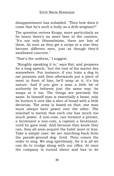disappointment has subsided. "Then how does it come that he's such a bully as a drill-sergeant?"

The question revives Kropp, more particularly as he hears there's no more beer in the canteen. "It's not only Himmelstoss, there are lots of them. As sure as they get a stripe or a star they become different men, just as though they'd swallowed concrete."

"That's the uniform," I suggest.

"Roughly speaking it is," says Kat, and prepares for a long speech; "but the root of the matter lies somewhere. For instance, if you train a dog to eat potatoes and then afterwards put a piece of meat in front of him, he'll snap at it, it's his nature. And if you give a man a little bit of authority he behaves just the same way, he snaps at it too. The things are precisely the same. In himself man is essentially a beast, only he butters it over like a slice of bread with a little decorum. The army is based on that; one man must always have power over the other. The mischief is merely that each one has much too much power. A non-com, can torment a private, a lieutenant a non-com, a captain a lieutenant, until he goes mad. And because they know they can, they all soon acquire the habit more or less. Take a simple case: we are marching back from the parade-ground dog- tired. Then comes the order to sing. We sing spiritlessly, for it is all we can do to trudge along with our rifles. At once the company is turned about and has to do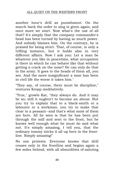### ALL QUIET ON THE WESTERN FRONT

another hour's drill as punishment. On the march back the order to sing is given again, and once more we start. Now what's the use of all that? It's simply that the company commander's head has been turned by having so much power. And nobody blames him. On the contrary, he is praised for being strict. That, of course, is only a trifling instance, but it holds also in very different affairs. Now I ask you: Let a man be whatever you like in peacetime, what occupation is there in which he can behave like that without getting a crack on the nose? He can only do that in the army. It goes to the heads of them all, you see. And the more insignificant a man has been in civil life the worse it takes him."

"They say, of course, there must be discipline," ventures Kropp meditatively.

"True," growls Kat, "they always do. And it may be so; still it oughtn't to become an abuse. But you try to explain that to a black-smith or a labourer or a workman, you try to make that clear to a peasant--and that's what most of them are here. All he sees is that he has been put through the mill and sent to the front, but he knows well enough what he must do and what not. It's simply amazing, I tell you, that the ordinary tommy sticks it all up here in the frontline. Simply amazing!"

No one protests. Everyone knows that drill ceases only in the frontline and begins again a few miles behind, with all absurdities of saluting

49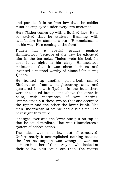and parade. It is an Iron law that the soldier must be employed under every circumstance.

Here Tjaden comes up with a flushed face. He is so excited that he stutters. Beaming with satisfaction he stammers out: "Himmelstoss is on his way. He's coming to the front!"

Tjaden has a special grudge against Himmelstoss, because of the way he educated him in the barracks. Tjaden wets his bed, he does it at night in his sleep. Himmelstoss maintained that it was sheer laziness and invented a method worthy of himself for curing Tjaden.

He hunted up another piss-a-bed, named Kindervater, from a neighbouring unit, and quartered him with Tjaden. In the huts there were the usual bunks, one above the other in pairs, with mattresses of wire netting. Himmelstoss put these two so that one occupied the upper and the other the lower bunk. The man underneath of course had a vile time. The next night they were

changed over and the lower one put on top so that he could retaliate. That was Himmelstoss's system of selfeducation.

The idea was not low but ill-conceived. Unfortunately it accomplished nothing because the first assumption was wrong: it was not laziness in either of them. Anyone who looked at their sallow skin could see that. The matter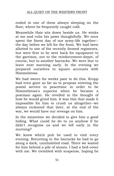ended in one of them always sleeping on the floor, where he frequently caught cold.

Meanwhile Haie sits down beside us. He winks at me and rubs his paws thoughtfully. We once spent the finest day of our army-life together- the day before we left for the front. We had been allotted to one of the recently formed regiments, but were first to be sent back for equipment to the garrison, not to the reinforcement-depot, of course, but to another barracks. We were due to leave next morning early. In the evening we prepared ourselves to square accounts with Himmelstoss.

We had sworn for weeks past to do this. Kropp had even gone so far as to propose entering the postal service in peacetime in order to be Himmelstoss's superior when he became a postman again. He revelled in the thought of how he would grind him. It was this that made it impossible for him to crush us altogether--we always reckoned that later, at the end of the war, we would have our revenge on him.

In the meantime we decided to give him a good hiding. What could he do to us anyhow if he didn't recognise us and we left early in the morning?

We knew which pub he used to visit every evening. Returning to the barracks he had to go along a dark, uninhabited road. There we waited for him behind a pile of stones. I had a bed-cover with me. We trembled with suspense, hoping he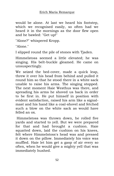would be alone. At last we heard his footstep, which we recognised easily, so often had we heard it in the mornings as the door flew open and he bawled: "Get up!"

"Alone?" whispered Kropp.

"Alone."

I slipped round the pile of stones with Tjaden.

Himmelstoss seemed a little elevated; he was singing. His belt-buckle gleamed. He came on unsuspectingly.

We seized the bed-cover, made a quick leap, threw it over his head from behind and pulled it round him so that he stood there in a white sack unable to raise his arms. The singing stopped. The next moment Haie Westhus was there, and spreading his arms he shoved us back in order to be first in. He put himself in position with evident satisfaction, raised his arm like a signalmast and his hand like a coal-shovel and fetched such a blow on the white sack as would have felled an ox.

Himmelstoss was thrown down, he rolled five yards and started to yell. But we were prepared for that and had brought a cushion. Haie squatted down, laid the cushion on his knees, felt where Himmelstoss's head was and pressed it down on the pillow. Immediately his voice was muffled. Haie let him get a gasp of air every so often, when he would give a mighty yell that was immediately hushed.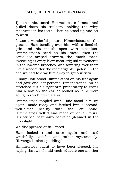### ALL QUIET ON THE WESTERN FRONT

Tjaden unbuttoned Himmelstoss's braces and pulled down his trousers, holding the whip meantime in his teeth. Then he stood up and set to work.

It was a wonderful picture: Himmelstoss on the ground; Haie bending over him with a fiendish grin and his mouth open with bloodlust, Himmelstoss's head on his knees; then the convulsed striped drawers, the knock knees, executing at every blow most original movements in the lowered breeches, and towering over them like a woodcutter the indefatigable Tjaden. In the end we had to drag him away to get our turn.

Finally Haie stood Himmelstoss on his feet again and gave one last personal remonstrance. As he stretched out his right arm preparatory to giving him a box on the ear he looked as if he were going to reach down a star.

Himmelstoss toppled over. Haie stood him up again, made ready and fetched him a second, well-aimed beauty with the left hand. Himmelstoss yelled and made off on all fours. His striped postman's backside gleamed in the moonlight.

We disappeared at full speed.

Haie looked round once again and said wrathfully, satisfied and rather mysteriously: "Revenge is black-pudding."

Himmelstoss ought to have been pleased; his saying that we should each educate one another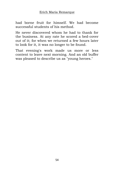had borne fruit for himself. We had become successful students of his method.

He never discovered whom he had to thank for the business. At any rate he scored a bed-cover out of it; for when we returned a few hours later to look for it, it was no longer to be found.

That evening's work made us more or less content to leave next morning. And an old buffer was pleased to describe us as "young heroes."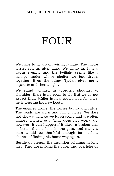# FOU

We have to go up on wiring fatigue. The motor lorries roll up after dark. We climb in. It is a warm evening and the twilight seems like a canopy under whose shelter we feel drawn together. Even the stingy Tjaden gives me a cigarette and then a light.

We stand jammed in together, shoulder to shoulder, there is no room to sit. But we do not expect that. Müller is in a good mood for once; he is wearing his new boots.

The engines drone, the lorries bump and rattle. The roads are worn and full of holes. We dare not show a light so we lurch along and are often almost pitched out. That does not worry us, however. It can happen if it likes; a broken arm is better than a hole in the guts, and many a man would be thankful enough for such a chance of finding his home way again.

Beside us stream the munition-columns in long files. They are making the pace, they overtake us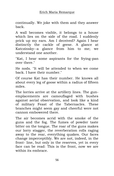continually. We joke with them and they answer back.

A wall becomes visible, it belongs to a house which lies on the side of the road. I suddenly prick up my ears. Am I deceived? Again I hear distinctly the cackle of geese. A glance at Katczinsky--a glance from him to me; we understand one another.

"Kat, I hear some aspirants for the frying-pan over there."

He nods. "It will be attended to when we come back. I have their number."

Of course Kat has their number. He knows all about every leg of goose within a radius of fifteen miles.

The lorries arrive at the artillery lines. The gunemplacements are camouflaged with bushes against aerial observation, and look like a kind of military Feast of the Tabernacles. These branches might seem gay and cheerful were not cannon embowered there.

The air becomes acrid with the smoke of the guns and the fog. The fumes of powder taste bitter on the tongue. The roar of the guns makes our lorry stagger, the reverberation rolls raging away to the rear, everything quakes. Our faces change imperceptibly. We are not, indeed, in the front- line, but only in the reserves, yet in every face can be read: This is the front, now we are within its embrace.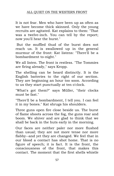It is not fear. Men who have been up as often as we have become thick skinned. Only the young recruits are agitated. Kat explains to them: "That was a twelve-inch. You can tell by the report; now you'll hear the burst."

But the muffled thud of the burst does not reach us. It is swallowed up in the general murmur of the front: Kat listens: "There'll be a bombardment to-night."

We all listen. The front is restless. "The Tommies are firing already," says Kropp.

The shelling can be heard distinctly. It is the English batteries to the right of our section. They are beginning an hour too soon. According to us they start punctually at ten o'clock.

"What's got them?" says Müller, "their clocks must be fast."

"There'll be a bombardment, I tell you. I can feel it in my bones." Kat shrugs his shoulders.

Three guns open fire close beside us. The burst of flame shoots across the fog, the guns roar and boom. We shiver and are glad to think that we shall be back in the huts early in the morning.

Our faces are neither paler nor more flushed than usual; they are not more tense nor more flabby--and yet they are changed. We feel that in our blood a contact has shot home. That is no figure of speech; it is fact. It is the front, the consciousness of the front, that makes this contact. The moment that the first shells whistle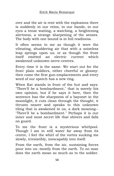over and the air is rent with the explosions there is suddenly in our veins, in our hands, in our eyes a tense waiting, a watching, a heightening alertness, a strange sharpening of the senses. The body with one bound is in full readiness.

It often seems to me as though it were the vibrating, shuddering air that with a noiseless leap springs upon us; or as though the front itself emitted an electric current which awakened unknown nerve-centres.

Every time it is the same. We start out for the front plain soldiers, either cheerful or gloomy: then come the first gun-emplacements and every word of our speech has a new ring.

When Kat stands in front of the hut and says: "There'll be a bombardment," that is merely his own opinion; but if he says it here, then the sentence has the sharpness of a bayonet in the moonlight, it cuts clean through the thought, it thrusts nearer and speaks to this unknown tiling that is awakened in us, a dark meaning-- "There'll be a bombardment." Perhaps it is our inner and most secret life that shivers and falls on guard.

To me the front is a mysterious whirlpool. Though I am in still water far away from its centre, I feel the whirl of the vortex sucking me slowly, irresistibly, inescapably into itself.

From the earth, from the air, sustaining forces pour into us--mostly from the earth. To no man does the earth mean so much as to the soldier.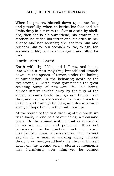When he presses himself down upon her long and powerfully, when he buries his face and his limbs deep in her from the fear of death by shellfire, then she is his only friend, his brother, his mother; he stifles his terror and his cries in her silence and her security; she shelters him and releases him for ten seconds to live, to run, ten seconds of life; receives him again and often for ever.

#### Earth!--Earth!--Earth!

Earth with thy folds, and hollows, and holes, into which a man may fling himself and crouch down. In the spasm of terror, under the hailing of annihilation, in the bellowing death of the explosions, O Earth, thou grantest us the great resisting surge of new-won life. Our being, almost utterly carried away by the fury of the storm, streams back through our hands from thee, and we, thy redeemed ones, bury ourselves in thee, and through the long minutes in a mute agony of hope bite into thee with our lips!

At the sound of the first droning of the shells we rush back, in one part of our being, a thousand years. By the animal instinct that is awakened in us we are led and protected. It is not conscious; it is far quicker, much more sure, less fallible, than consciousness. One cannot explain it. A man is walking along without thought or heed;--suddenly he throws himself down on the ground and a storm of fragments flies harmlessly over him;--yet he cannot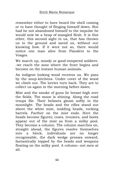remember either to have heard the shell coming or to have thought of flinging himself down. But had he not abandoned himself to the impulse he would now be a heap of mangled flesh. It is this other, this second sight in us, that has thrown us to the ground and saved us, without our knowing how. If it were not so, there would notice one man alive from Flanders to the Vosges.

We march up, moody or good-tempered soldiers- -we reach the zone where the front begins and become on the instant human animals.

An indigent looking wood receives us. We pass by the soup-kitchens. Under cover of the wood we climb out. The lorries turn back. They are to collect us again in the morning before dawn.

Mist and the smoke of guns lie breast-high over the fields. The moon is shining. Along the road troops file. Their helmets gleam softly in the moonlight. The heads and the rifles stand out above the white mist, nodding heads, rocking barrels. Farther on the mist ends. Here the heads become figures; coats, trousers, and boots appear out of the mist as from a milky pool. They become a column. The column marches on, straight ahead, the figures resolve themselves into a block, individuals are no longer recognisable, the dark wedge presses onward, fantastically topped by the heads and weapons floating on the milky pool. A column--not men at all.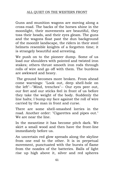Guns and munition wagons are moving along a cross-road. The backs of the horses shine in the moonlight, their movements are beautiful, they toss their heads, and their eyes gleam. The guns and the wagons float past the dun background of the moonlit landscape, the riders in their steel helmets resemble knights of a forgotten time; it is strangely beautiful and arresting.

We push on to the pioneer dump. Some of us load our shoulders with pointed and twisted iron stakes; others thrust smooth iron rods through rolls of wire and go off with them. The burdens are awkward and heavy.

The ground becomes more broken. From ahead come warnings: "Look out, deep shell-hole on the left"--"Mind, trenches"-- Our eyes peer out, our feet and our sticks feel in front of us before they take the weight of the body. Suddenly the line halts; I bump my face against the roll of wire carried by the man in front and curse.

There are some shell-smashed lorries in the road. Another order: "Cigarettes and pipes out." We are near the line.

In the meantime it has become pitch dark. We skirt a small wood and then have the front-line immediately before us.

An uncertain red glow spreads along the skyline from one end to the other. It is in perpetual movement, punctuated with the bursts of flame from the nozzles of the batteries. Balls of light rise up high above it, silver and red spheres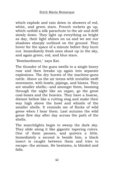which explode and rain down in showers of red, white, and green stars. French rockets go up, which unfold a silk parachute to the air and drift slowly down. They light up everything as bright as day, their light shines on us and we see our shadows sharply outlined on the ground. They hover for the space of a minute before they burn out. Immediately fresh ones shoot up in the sky, and again green, red, and blue stars.

"Bombardment," says Kat.

The thunder of the guns swells to a single heavy roar and then breaks up again into separate explosions. The dry bursts of the machine-guns rattle. Above us the air teems with invisible swift movement, with howls, pipings, and hisses. They are smaller shells;--and amongst them, booming through the night like an organ, go the great coal-boxes and the heavies. They have a hoarse, distant bellow like a rutting stag and make their way high above the howl and whistle of the smaller shells. It reminds me of flocks of wild geese when I hear them. Last autumn the wild geese flew day after day across the path of the shells.

The searchlights begin to sweep the dark sky. They slide along it like gigantic tapering rulers. One of them pauses, and quivers a little. Immediately a second is beside him, a black insect is caught between them and tries to escape--the airman. He hesitates, is blinded and falls.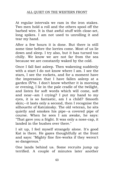At regular intervals we ram in the iron stakes. Two men hold a roll and the others spool off the barbed wire. It is that awful stuff with close-set, long spikes. I am not used to unrolling it and tear my hand.

After a few hours it is done. But there is still some time before the lorries come. Most of us lie down and sleep. I try also, but it has turned too chilly. We know we are not far from the sea because we are constantly waked by the cold.

Once I fall fast asleep. Then wakening suddenly with a start I do not know where I am. I see the stars, I see the rockets, and for a moment have the impression that I have fallen asleep at a garden f $\tilde{A}^{a}$ te. I don't know whether it is morning or evening, I lie in the pale cradle of the twilight, and listen for soft words which will come, soft and near--am I crying? I put my hand to my eyes, it is so fantastic, am I a child? Smooth skin;--it lasts only a second, then I recognise the silhouette of Katczinsky. The old veteran, he sits quietly and smokes his pipe--a covered pipe of course. When he sees I am awake, he says: "That gave you a fright. It was only a nose-cap, it landed in the bushes over there."

I sit up, I feel myself strangely alone. It's good Kat is there. He gazes thoughtfully at the front and says: "Mighty fine fire-works if they weren't so dangerous."

One lands behind us. Some recruits jump up terrified. A couple of minutes later another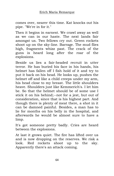comes over, nearer this time. Kat knocks out his pipe. "We're in for it."

Then it begins in earnest. We crawl away as well as we can in our haste. The next lands fair amongst us. Two fellows cry out. Green rockets shoot up on the sky-line. Barrage. The mud flies high, fragments whizz past. The crack of the guns is heard long after the roar of the explosions.

Beside us lies a fair-headed recruit in utter terror. He has buried his face in his hands, his helmet has fallen off I fish hold of it and try to put it back on his head. He looks up, pushes the helmet off and like a child creeps under my arm, his head close to my breast. The little shoulders heave. Shoulders just like Kemmerich's. I let him be. So that the helmet should be of some use I stick it on his behind;--not for a jest, but out of consideration, since that is his highest part. And though there is plenty of meat there, a shot in it can be damned painful. Besides, a man has to lie for months on his belly in the hospital, and afterwards he would be almost sure to have a limp.

It's got someone pretty badly. Cries are heard between the explosions.

At last it grows quiet. The fire has lifted over us and is now dropping on the reserves. We risk a look. Red rockets shoot up to the sky. Apparently there's an attack coming.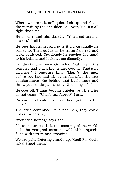Where we are it is still quiet. I sit up and shake the recruit by the shoulder. "All over, kid! It's all right this time."

He looks round him dazedly. "You'll get used to it soon," I tell him.

He sees his helmet and puts it on. Gradually he comes to. Then suddenly he turns fiery red and looks confused. Cautiously he reaches his hand to his behind and looks at me dismally.

I understand at once: Gun-shy. That wasn't the reason I had stuck his helmet over it. "That's no disgrace," I reassure him: "Many's the man before you has had his pants full after the first bombardment. Go behind that bush there and throw your underpants away. Get along --"--"

He goes off. Things become quieter, but the cries do not cease. "What's up, Albert?" I ask.

"A couple of columns over there got it in the neck."

The cries continued. It is not men, they could not cry so terribly.

"Wounded horses," says Kat.

It's unendurable. It is the moaning of the world, it is the martyred creation, wild with anguish, filled with terror, and groaning.

We are pale. Detering stands up. "God! For God's sake! Shoot them."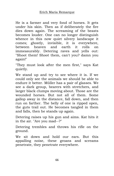He is a farmer and very fond of horses. It gets under his skin. Then as if deliberately the fire dies down again. The screaming of the beasts becomes louder. One can no longer distinguish whence in this now quiet silvery landscape it comes; ghostly, invisible, it is everywhere, between heaven and earth it rolls on immeasurably. Detering raves and yells out: "Shoot them! Shoot them, can't you? damn you again!"

"They must look after the men first," says Kat quietly.

We stand up and try to see where it is. If we could only see the animals we should be able to endure it better. Müller has a pair of glasses. We see a dark group, bearers with stretchers, and larger black clumps moving about. Those are the wounded horses. But not all of them. Some gallop away in the distance, fall down, and then run on farther. The belly of one is ripped open, the guts trail out. He becomes tangled in them and falls, then he stands up again.

Detering raises up his gun and aims. Kat hits it in the air. "Are you mad--?"

Detering trembles and throws his rifle on the ground.

We sit down and hold our ears. But this appalling noise, these groans and screams penetrate, they penetrate everywhere.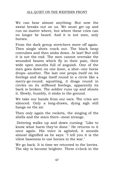We can bear almost anything. But now the sweat breaks out on us. We must get up and run no matter where, but where these cries can no longer be heard. And it is not men, only horses.

From the dark group stretchers move off again. Then single shots crack out. The black heap convulses and then sinks down. At last! But still it is not the end. The men cannot overtake the wounded beasts which fly in their pain, their wide open mouths full of anguish. One of the men goes down on one knee, a shot--one horse drops--another. The last one props itself on its forelegs and drags itself round in a circle like a merry-go-round; squatting, it drags round in circles on its stiffened forelegs, apparently its back is broken. The soldier runs up and shoots it. Slowly, humbly, it sinks to the ground.

We take our hands from our ears. The cries are silenced. Only a long-drawn, dying sigh still hangs on the air.

Then only again the rockets, the singing of the shells and the stars there--most strange.

Detering walks up and down cursing: "Like to know what harm they've done." He returns to it once again. His voice is agitated, it sounds almost dignified as he says: "I tell you it is the vilest baseness to use horses in the war."

We go back. It is time we returned to the lorries. The sky is become brighter. Three o'clock in the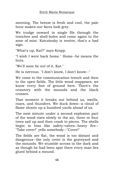morning. The breeze is fresh and cool, the pale hour makes our faces look grey.

We trudge onward in single file through the trenches and shell-holes and come again to the zone of mist. Katczinsky is restive, that's a bad sign.

"What's up, Kat?" says Kropp.

"I wish I were back home." Home--he means the huts.

"We'll soon be out of it, Kat."

He is nervous. "I don't know, I don't know--"

We come to the communication-trench and then to the open fields. The little wood reappears; we know every foot of ground here. There's the cemetery with the mounds and the black crosses.

That moment it breaks out behind us, swells, roars, and thunders. We duck down--a cloud of flame shoots up a hundred yards ahead of us.

The next minute under a second explosion part of the wood rises slowly in the air, three or four trees sail up and then crash to pieces. The shells begin to hiss like safety-valves--heavy fire-- "Take cover!" yells somebody--"Cover!"

The fields are flat, the wood is too distant and dangerous--the only cover is the graveyard and the mounds. We stumble across in the dark and as though he had been spat there every man lies glued behind a mound.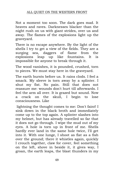#### ALL QUIET ON THE WESTERN FRONT

Not a moment too soon. The dark goes mad. It heaves and raves. Darknesses blacker than the night rush on us with giant strides, over us and away. The flames of the explosions light up the graveyard.

There is no escape anywhere. By the light of the shells I try to get a view of the fields. They are a surging sea, daggers of flame from the explosions leap up like fountains. It is impossible for anyone to break through it.

The wood vanishes, it is pounded, crushed, torn to pieces. We must stay here in the graveyard.

The earth bursts before us. It rains clods. I feel a smack. My sleeve is torn away by a splinter. I shut my fist. No pain. Still that does not reassure me: wounds don't hurt till afterwards. I feel the arm all over. It is grazed but sound. Now a crack on the skull, I begin to lose consciousness. Like

lightning the thought comes to me: Don't faint! I sink down in the black broth and immediately come up to the top again. A splinter slashes into my helmet, but has already travelled so far that it does not go through. I wipe the mud out of my eyes. A hole is torn up in front of me. Shells hardly ever land in the same hole twice, I'll get into it. With one lunge, I shoot as flat as a fish over the ground; there it whistles again, quickly I crouch together, claw for cover, feel something on the left, shove in beside it, it gives way, I groan, the earth leaps, the blast thunders in my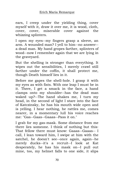ears, I creep under the yielding thing, cover myself with it, draw it over me, it is wood, cloth, cover, cover, miserable cover against the whizzing splinters.

I open my eyes--my fingers grasp a sleeve, an arm. A wounded man? I yell to him--no answer- a dead man. My hand gropes farther, splinters of wood--now I remember again that we are lying in the graveyard.

But the shelling is stronger than everything. It wipes out the sensibilities, I merely crawl still farther under the coffin, it shall protect me, though Death himself lies in it.

Before me gapes the shell-hole. I grasp it with my eyes as with fists. With one leap I must be in it. There, I get a smack in the face, a hand clamps onto my shoulder--has the dead man waked up?--The hand shakes me, I turn my head, in the second of light I stare into the face of Katczinsky, he has his mouth wide open and is yelling. I hear nothing, he rattles me, comes nearer, in a momentary lull his voice reaches me: "Gas--Gaas--Gaaas--Pass it on."

I grab for my gas-mask. Some distance from me there lies someone. I think of nothing but this: That fellow there must know: Gaaas--Gaaas-- I call, I lean toward him, I swipe at him with the satchel, he doesn't see--once again, again--he merely ducks--it's a recruit--I look at Kat desperately, he has his mask on--I pull out mine, too, my helmet falls to one side, it slips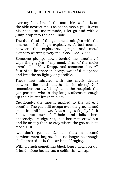### ALL QUIET ON THE WESTERN FRONT

over my face, I reach the man, his satchel is on the side nearest me, I seize the mask, pull it over his head, he understands, I let go and with a jump drop into the shell-hole.

The dull thud of the gas-shells mingles with the crashes of the high explosives. A bell sounds between the explosions, gongs, and metal clappers warning everyone--Gas--Gas--Gaas.

Someone plumps down behind me, another. I wipe the goggles of my mask clear of the moist breath. It is Kat, Kropp, and someone else. All four of us lie there in heavy, watchful suspense and breathe as lightly as possible.

These first minutes with the mask decide between life and death: is it air-tight? I remember the awful sights in the hospital: the gas patients who in day-long suffocation cough up their burnt lungs in clots.

Cautiously, the mouth applied to the valve, I breathe. The gas still creeps over the ground and sinks into all hollows. Like a big, soft jellyfish it floats into our shell-hole and lolls there obscenely. I nudge Kat, it is better to crawl out and lie on top than to stay where the gas collects most. But

we don't get as far as that; a second bombardment begins. It is no longer as though shells roared; it is the earth itself raging.

With a crash something black bears down on us. It lands close beside us; a coffin thrown up.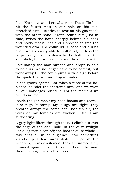I see Kat move and I crawl across. The coffin has hit the fourth man in our hole on his outstretched arm. He tries to tear off his gas-mask with the other hand. Kropp seizes him just in time, twists the hand sharply behind his back and holds it fast. Kat and I proceed to free the wounded arm. The coffin lid is loose and bursts open, we are easily able to pull it off, we toss the corpse out, it slides down to the bottom of the shell-hole, then we try to loosen the under-part.

Fortunately the man swoons and Kropp is able to help us. We no longer have to be careful, but work away till the coffin gives with a sigh before the spade that we have dug in under it.

It has grown lighter. Kat takes a piece of the lid, places it under the shattered arm, and we wrap all our bandages round it. For the moment we can do no more.

Inside the gas-mask my head booms and roars- it is nigh bursting. My lungs are tight, they breathe always the same hot, used-up air, the veins on my temples are swollen. I feel I am suffocating.

A grey light filters through to us. I climb out over the edge of the shell-hole. In the duty twilight lies a leg torn clean off; the boot is quite whole, I take that all in at a glance. Now something stands up a few yards distant. I polish the windows, in my excitement they are immediately dimmed again. I peer through them, the man there no longer wears his mask.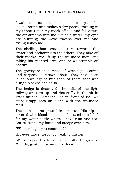I wait some seconds--he has not collapsed--he looks around and makes a few paces--rattling in my throat I tear my mask off too and fall down, the air streams into me like cold water, my eyes are bursting the wave sweeps over me and extinguishes me.

The shelling has ceased, I turn towards the crater and beckoning to the others. They take off their masks. We lift up the wounded man, one taking his splinted arm. And so we stumble off hastily.

The graveyard is a mass of wreckage. Coffins and corpses lie strewn about. They have been killed once again; but each of them that was flung up saved one of us.

The hedge is destroyed, the rails of the light railway are torn up and rise stiffly in the air in great arches. Someone lies in front of us. We stop; Kropp goes on alone with the wounded man.

The man on the ground is a recruit. His hip is covered with blood; he is so exhausted that I feel for my water-bottle where I have rum and tea. Kat restrains my hand and stoops over him.

"Where's it got you comrade?"

His eyes move. He is too weak to answer.

We slit open his trousers carefully. He groans. "Gently, gently, it is much better--"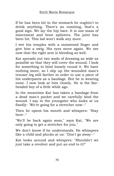If he has been hit in the stomach he oughtn't to drink anything. There's no vomiting, that's a good sign. We lay the hip bare. It is one mass of mincemeat and bone splinters. The joint has been hit. This lad won't walk any more.

I wet his temples with a moistened finger and give him a swig. His eyes move again. We see now that the right arm is bleeding as well.

Kat spreads out two wads of dressing as wide as possible so that they will cover the wound. I look for something to bind loosely round it. We have nothing more, so I slip up the wounded man's trouser leg still farther in order to use a piece of his underpants as a bandage. But he is wearing none. I now look at him closely. He is the fairheaded boy of a little while ago.

In the meantime Kat has taken a bandage from a dead man's pocket and we carefully bind the wound. I say to the youngster who looks at us fixedly: "We're going for a stretcher now--"

Then he opens his mouth and whispers: "Stay here--"

"We'll be back again soon," says Kat, "We are only going to get a stretcher for you."

We don't know if he understands. He whimpers like a child and plucks at us: "Don't go away--"

Kat looks around and whispers: "Shouldn't we just take a revolver and put an end to it?"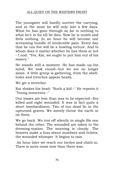The youngster will hardly survive the carrying, and at the most he will only last a few days. What he has gone through so far is nothing to what he's in for till he dies. Now he is numb and feels nothing. In an hour he will become one screaming bundle of intolerable pain. Every day that he can live will be a howling torture. And to whom does it matter whether he has them or not - I nod. "Yes, Kat, we ought to put him out of his misery."

He stands still a moment. He has made up his mind. We look round--but we are no longer alone. A little group is gathering, from the shellholes and trenches appear heads.

We get a stretcher.

Kat shakes his head. "Such a kid--" He repeats it "Young innocents--"

Our losses are less than was to be expected--five killed and eight wounded. It was in fact quite a short bombardment. Two of our dead lie in the upturned graves. We merely throw the earth in on them.

We go back. We trot off silently in single file one behind the other. The wounded are taken to the dressing-station. The morning is cloudy. The bearers make a fuss about numbers and tickets, the wounded whimper. It begins to rain.

An hour later we reach our lorries and climb in. There is more room now than there was.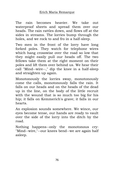The rain becomes heavier. We take out waterproof sheets and spread them over our heads. The rain rattles down, and flows off at the sides in streams. The lorries bump through the holes, and we rock to and fro in a half-sleep.

Two men in the front of the lorry have long forked poles. They watch for telephone wires which hang crosswise over the road so low that they might easily pull our heads off. The two fellows take them at the right moment on their poles and lift them over behind us. We hear their call "Mind--wire--," dip the knee in a half-sleep and straighten up again.

Monotonously the lorries sway, monotonously come the calls, monotonously falls the rain. It falls on our heads and on the heads of the dead up in the line, on the body of the little recruit with the wound that is so much too big for his hip; it falls on Kemmerich's grave; it falls in our hearts.

An explosion sounds somewhere. We wince, our eyes become tense, our hands are ready to vault over the side of the lorry into the ditch by the road.

Nothing happens--only the monotonous cry: "Mind--wire,"--our knees bend--we are again half asleep.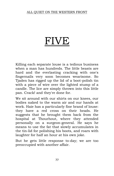#### ALL QUIET ON THE WESTERN FRONT

# IVE)

Killing each separate louse is a tedious business when a man has hundreds. The little beasts are hard and the everlasting cracking with one's fingernails very soon becomes wearisome. So Tjaden has rigged up the lid of a boot-polish tin with a piece of wire over the lighted stump of a candle. The lice are simply thrown into this little pan. Crack! and they're done for.

We sit around with our shirts on our knees, our bodies naked to the warm air and our hands at work. Haie has a particularly fine brand of louse: they have a red cross on their heads. He suggests that he brought them back from the hospital at Thourhout, where they attended personally on a surgeon-general. He says he means to use the fat that slowly accumulates in the tin-lid for polishing his boots, and roars with laughter for half an hour at his own joke.

But he gets little response to-day; we are too preoccupied with another affair.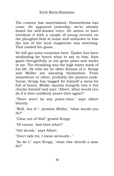The rumour has materialised. Himmelstoss has come. He appeared yesterday; we've already heard the well-known voice. He seems to have overdone it with a couple of young recruits on the ploughed field at home and unknown to him the son of the local magistrate was watching. That cooked his goose.

He will get some surprises here. Tjaden has been meditating for hours what to say to him. Haie gazes thoughtfully at his great paws and winks at me. The thrashing was the high water mark of his life. He tells me he often dreams of it. Kropp and Müller are amusing themselves. From somewhere or other, probably the pioneer-cookhouse, Kropp has bagged for himself a mess-tin full of beans. Müller squints hungrily into it but checks himself and says "Albert, what would you do if it were suddenly peace-time again?"

"There won't be any peace-time," says Albert bluntly.

"Well, but if--" persists Müller, "what would you do?"

"Clear out of this!" growls Kropp.

"Of course. And then what?"

"Get drunk," says Albert.

"Don't talk rot, I mean seriously--"

"So do I," says Kropp, "what else should a man do?"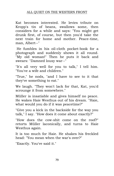Kat becomes interested. He levies tribute on Kropp's tin of beans, swallows some, then considers for a while and says: "You might get drunk first, of course, but then you'd take the next train for home and mother. Peace-time, man, Albert--"

He fumbles in his oil-cloth pocket-book for a photograph and suddenly shows it all round. "My old woman!" Then he puts it back and swears: "Damned lousy war--"

"It's all very well for you to talk," I tell him. "You've a wife and children."

"True," he nods, "and I have to see to it that they've something to eat."

We laugh. "They won't lack for that, Kat, you'd scrounge it from somewhere."

Müller is insatiable and gives himself no peace. He wakes Haie Westhus out of his dream. "Haie, what would you do if it was peacetime?"

"Give you a kick in the backside for the way you talk," I say. "How does it come about exactly?"

"How does the cow-shit come on the roof?" retorts Müller laconically, and turns to Haie Westhus again.

It is too much for Haie. He shakes his freckled head: "You mean when the war's over?"

"Exactly. You've said it."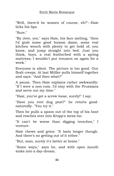"Well, there'd be women of course, eh?"--Haie licks his lips.

"Sure."

"By Jove, yes," says Haie, his face melting, "then I'd grab some good buxom dame, some real kitchen wench with plenty to get hold of, you know, and jump straight into bed. Just you think, boys, a real featherbed with a spring mattress; I wouldn't put trousers on again for a week."

Everyone is silent. The picture is too good. Our flesh creeps. At last Müller pulls himself together and says: "And then what?"

A pause. Then Haie explains rather awkwardly: "If I were a non-com. I'd stay with the Prussians and serve out my time."

"Haie, you've got a screw loose, surely!" I say.

"Have you ever dug peat?" he retorts goodnaturedly. "You try it."

Then he pulls a spoon out of the top of his boot and reaches over into Kropp's mess-tin.

"It can't be worse than digging trenches," I venture.

Haie chews and grins: "It lasts longer though. And there's no getting out of it either."

"But, man, surely it's better at home."

"Some ways," says he, and with open mouth sinks into a day-dream.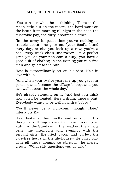You can see what he is thinking. There is the mean little hut on the moors, the hard work on the heath from morning till night in the heat, the miserable pay, the dirty labourer's clothes.

"In the army in peace-time you've nothing to trouble about," he goes on, "your food's found every day, or else you kick up a row; you've a bed, every week clean underwear like a perfect gent, you do your non-com.'s duty, you have a good suit of clothes; in the evening you're a free man and go off to the pub."

Haie is extraordinarily set on his idea. He's in love with it.

"And when your twelve years are up you get your pension and become the village bobby, and you can walk about the whole day."

He's already sweating on it. "And just you think how you'd be treated. Here a dram, there a pint. Everybody wants to be well in with a bobby."

"You'll never be a non-com, though, Haie," interrupts Kat.

Haie looks at him sadly and is silent. His thoughts still linger over the clear evenings in autumn, the Sundays in the heather, the village bells, the afternoons and evenings with the servant girls, the fried bacon and barley, the care-free hours in the ale-house-- He can't part with all these dreams so abruptly; he merely growls: "What silly questions you do ask."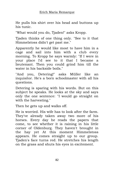He pulls his shirt over his head and buttons up his tunic.

"What would you do, Tjaden!" asks Kropp.

Tjaden thinks of one thing only. "See to it that Himmelstoss didn't get past me."

Apparently he would like most to have him in a cage and sail into him with a club every morning. To Kropp he says warmly: "If I were in your place I'd see to it that I became a lieutenant. Then you could grind him till the water in his backside boils."

"And you, Detering!" asks Müller like an inquisitor. He's a born schoolmaster with all his questions.

Detering is sparing with his words. But on this subject he speaks. He looks at the sky and says only the one sentence: "I would go straight on with the harvesting."

Then he gets up and walks off.

He is worried. His wife has to look after the farm. They've already taken away two more of his horses. Every day he reads the papers that come, to see whether it is raining in his little corner of Oldenburg. They haven't brought in the hay yet At this moment Himmelstoss appears. He comes straight up to our group. Tjaden's face turns red. He stretches his length on the grass and shuts his eyes in excitement.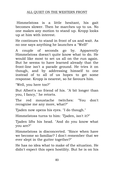Himmelstoss is a little hesitant, his gait becomes slower. Then he marches up to us. No one makes any motion to stand up. Kropp looks up at him with interest.

He continues to stand in front of us and wait. As no one says anything he launches a "Well!"

A couple of seconds go by. Apparently Himmelstoss doesn't quite know what to do. He would like most to set us all on the run again. But he seems to have learned already that the front-line isn't a parade ground. He tries it on though, and by addressing himself to one instead of to all of us hopes to get some response. Kropp is nearest, so he favours him.

"Well, you here too?"

But Albert's no friend of his. "A bit longer than you, I fancy," he retorts.

The red moustache twitches: "You don't recognise me any more, what?"

Tjaden now opens his eyes. "I do though."

Himmelstoss turns to him: 'Tjaden, isn't it?"

Tjaden lifts his head. "And do you know what you are?"

Himmelstoss is disconcerted. "Since when have we become so familiar? I don't remember that we ever slept in the gutter together?"

He has no idea what to make of the situation. He didn't expect this open hostility. But he is on his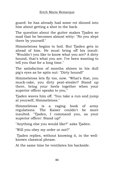guard: he has already had some rot dinned into him about getting a shot in the back.

The question about the gutter makes Tjaden so mad that he becomes almost witty: "No you slept there by yourself."

Himmelstoss begins to boil. But Tjaden gets in ahead of him. He must bring off his insult: "Wouldn't you like to know what you are? A dirty hound, that's what you are. I've been wanting to tell you that for a long time."

The satisfaction of months shines in his dull pig's eyes as he spits out: "Dirty hound!"

Himmelstoss lets fly too, now. "What's that, you muck-rake, you dirty peat-stealer? Stand up there, bring your heels together when your superior officer speaks to you."

Tjaden waves him off. "You take a run and jump at yourself, Himmelstoss."

Himmelstoss is a raging book of army regulations. The Kaiser couldn't be more insulted. "Tjaden, I command you, as your superior officer: Stand up!"

"Anything else you would like?" asks Tjaden.

"Will you obey my order or not?"

Tjaden replies, without knowing it, in the wellknown classical phrase.

At the same time he ventilates his backside.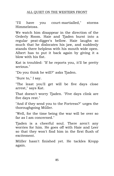### ALL QUIET ON THE WESTERN FRONT

"I'll have you court-martialled," storms Himmelstoss.

We watch him disappear in the direction of the Orderly Room. Haie and Tjaden burst into a regular peat-digger's bellow. Haie laughs so much that he dislocates his jaw, and suddenly stands there helpless with his mouth wide open. Albert has to put it back again by giving it a blow with his fist.

Kat is troubled: "If he reports you, it'll be pretty serious."

"Do you think he will?" asks Tjaden.

"Sure to," I say.

"The least you'll get will be five days close arrest," says Kat.

That doesn't worry Tjaden. "Five days clink are five days rest."

"And if they send you to the Fortress?" urges the thoroughgoing Müller.

"Well, for the time being the war will be over so far as I am concerned."

Tjaden is a cheerful soul. There aren't any worries for him. He goes off with Haie and Leer so that they won't find him in the first flush of excitement.

Müller hasn't finished yet. He tackles Kropp again.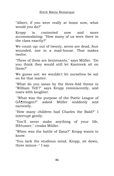"Albert, if you were really at home now, what would you do?"

Kropp is contented now and more accommodating: "How many of us were there in the class exactly?"

We count up: out of twenty, seven are dead, four wounded, one in a mad-house. That makes twelve.

"Three of them are lieutenants," says Müller. "Do you think they would still let Kantorek sit on them?"

We guess not: we wouldn't let ourselves be sat on for that matter.

"What do you mean by the three-fold theme in "William Tell'?" says Kropp reminiscently, and roars with laughter.

"What was the purpose of the Poetic League of G $\tilde{A}$ ¶ttingen?" asked Müller suddenly and earnestly.

"How many children had Charles the Bald?" I interrupt gently.

"You'll never make anything of your life, Bäumer," croaks Müller.

"When was the battle of Zana?" Kropp wants to know.

"You lack the studious mind, Kropp, sit down, three minus--" I say.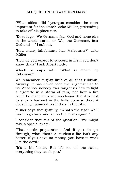"What offices did Lycurgus consider the most important for the state?" asks Müller, pretending to take off his pince-nez.

"Does it go: 'We Germans fear God and none else in the whole world,' or 'We, the Germans, fear God and--' " I submit.

"How many inhabitants has Melbourne?" asks Müller.

"How do you expect to succeed in life if you don't know that?" I ask Albert hotly.

Which he caps with: "What is meant by Cohesion?"

We remember mighty little of all that rubbish. Anyway, it has never been the slightest use to us. At school nobody ever taught us how to light a cigarette in a storm of rain, nor how a fire could be made with wet wood--nor that it is best to stick a bayonet in the belly because there it doesn't get jammed, as it does in the ribs.

Müller says thoughtfully: "What's the use? We'll have to go back and sit on the forms again."

I consider that out of the question. "We might take a special exam."

"That needs preparation. And if you do get through, what then? A student's life isn't any better. If you have no money, you have to work like the devil."

"It's a bit better. But it's rot all the same, everything they teach you."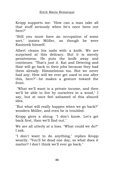Kropp supports me: "How can a man take all that stuff seriously when he's once been out here?"

"Still you must have an occupation of some sort," insists Müller, as though he were Kantorek himself.

Albert cleans his nails with a knife. We are surprised at this delicacy. But it is merely pensiveness. He puts the knife away and continues: "That's just it. Kat and Detering and Haie will go back to their jobs because they had them already. Himmelstoss too. But we never had any. How will we ever get used to one after this, here?"--he makes a gesture toward the front.

"What we'll want is a private income, and then we'll be able to live by ourselves in a wood," I say, but at once feel ashamed of this absurd idea.

"But what will really happen when we go back?" wonders Müller, and even he is troubled.

Kropp gives a shrug. "I don't know. Let's get back first, then we'll find out."

We are all utterly at a loss. "What could we do?" I ask.

"I don't want to do anything," replies Kropp wearily. "You'll be dead one day, so what does it matter? I don't think we'll ever go back."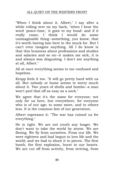"When I think about it, Albert," I say after a while rolling over on my back, "when I hear the word 'peace-time,' it goes to my head: and if it really came, I think I would do some unimaginable thing--something, you know, that it's worth having lain here in the muck for. But I can't even imagine anything. All I do know is that this business about professions and studies and salaries and so on--it makes me sick, it is and always was disgusting. I don't see anything at all, Albert."

All at once everything seems to me confused and hopeless.

Kropp feels it too. "It will go pretty hard with us all. But nobody at home seems to worry much about it. Two years of shells and bombs--a man won't peel that off as easy as a sock."

We agree that it's the same for everyone; not only for us here, but everywhere, for everyone who is of our age; to some more, and to others less. It is the common fate of our generation.

Albert expresses it: "The war has ruined us for everything."

He is right. We are not youth any longer. We don't want to take the world by storm. We are fleeing. We fly from ourselves. From our life. We were eighteen and had begun to love life and the world; and we had to shoot it to pieces. The first bomb, the first explosion, burst in our hearts. We are cut off from activity, from striving, from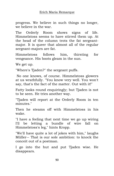progress. We believe in such things no longer, we believe in the war.

The Orderly Room shows signs of life. Himmelstoss seems to have stirred them up. At the head of the column trots the fat sergeantmajor. It is queer that almost all of the regular sergeant-majors are fat.

Himmelstoss follows him, thirsting for vengeance. His boots gleam in the sun.

We get up.

"Where's Tjaden?" the sergeant puffs.

No one knows, of course. Himmelstoss glowers at us wrathfully. "You know very well. You won't say, that's the fact of the matter. Out with it!"

Fatty looks round enquiringly; but Tjaden is not to be seen. He tries another way.

"Tjaden will report at the Orderly Room in ten minutes."

Then he steams off with Himmelstoss in his wake.

"I have a feeling that next time we go up wiring I'll be letting a bundle of wire fall on Himmelstoss's leg," hints Kropp.

"We'll have quite a lot of jokes with him," laughs Müller-- That is our sole ambition: to knock the conceit out of a postman.

I go into the hut and put Tjaden wise. He disappears.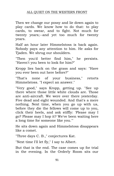Then we change our possy and lie down again to play cards. We know how to do that: to play cards, to swear, and to fight. Not much for twenty years;--and yet too much for twenty years.

Half an hour later Himmelstoss is back again. Nobody pays any attention to him. He asks for Tjaden. We shrug our shoulders.

"Then you'd better find him," he persists. "Haven't you been to look for him?"

Kropp lies back on the grass and says: "Have you ever been out here before?"

"That's none of your business," retorts Himmelstoss. "I expect an answer."

"Very good," says Kropp, getting up. "See up there where those little white clouds are. Those are anti-aircraft. We were over there yesterday. Five dead and eight wounded. And that's a mere nothing. Next time, when you go up with us, before they die the fellows will come up to you, click their heels, and ask stiffly: 'Please may I go? Please may I hop it? We've been waiting here a long time for someone like you.'"

He sits down again and Himmelstoss disappears like a comet.

"Three days C. B.," conjectures Kat.

"Next time I'll let fly," I say to Albert.

But that is the end. The case comes up for trial in the evening. In the Orderly Room sits our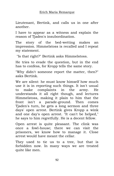Lieutenant, Bertink, and calls us in one after another.

I have to appear as a witness and explain the reason of Tjaden's insubordination.

The story of the bed-wetting makes an impression. Himmelstoss is recalled and I repeat my statement.

"Is that right?" Bertink asks Himmelstoss.

He tries to evade the question, but in the end has to confess, for Kropp tells the same story.

"Why didn't someone report the matter, then?" asks Bertink.

We are silent: he must know himself how much use it is in reporting such things. It isn't usual to make complaints in the army. He understands it all right though, and lectures Himmelstoss, making it plain to him that the front isn't a parade-ground. Then comes Tjaden's turn, he gets a long sermon and three days' open arrest. Bertink gives Kropp a wink and one day's open arrest. "It can't be helped," he says to him regretfully. He is a decent fellow.

Open arrest is quite pleasant. The clink was once a fowl-house; there we can visit the prisoners, we know how to manage it. Close arrest would have meant the cellar.

They used to tie us to a tree, but that is forbidden now. In many ways we are treated quite like men.

92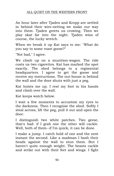### ALL QUIET ON THE WESTERN FRONT

An hour later after Tjaden and Kropp are settled in behind their wire-netting we make our way into them. Tjaden greets us crowing. Then we play skat far into the night. Tjaden wins of course, the lucky wretch.

When we break it up Kat says to me: "What do you say to some roast goose?"

"Not bad," I agree.

We climb up on a munition-wagon. The ride costs us two cigarettes. Kat has marked the spot exactly. The shed belongs to a regimental headquarters. I agree to get the goose and receive my instructions. The out-house is behind the wall and the door shuts with just a peg.

Kat hoists me up. I rest my foot in his hands and climb over the wall.

Kat keeps watch below.

I wait a few moments to accustom my eyes to the darkness. Then I recognise the shed. Softly I steal across, lift the peg, pull it out and open the door.

I distinguish two white patches. Two geese, that's bad: if I grab one the other will cackle. Well, both of them--if I'm quick, it can be done.

I make a jump. I catch hold of one and the next instant the second. Like a madman I bash their heads against the wall to stun them. But I haven't quite enough weight. The beasts cackle and strike out with their feet and wings. I fight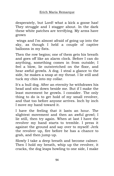desperately, but Lord! what a kick a goose has! They struggle and I stagger about. In the dark these white patches are terrifying. My arms have grown

wings and I'm almost afraid of going up into the sky, as though I held a couple of captive balloons in my fists.

Then the row begins; one of them gets his breath and goes off like an alarm clock. Before I can do anything, something comes in from outside; I feel a blow, lie outstretched on the floor, and hear awful growls. A dog. I steal a glance to the side, he makes a snap at my throat. I lie still and tuck my chin into my collar.

It's a bull dog. After an eternity he withdraws his head and sits down beside me. But if I make the least movement he growls. I consider. The only thing to do is to get hold of my small revolver, and that too before anyone arrives. Inch by inch I move my hand toward it.

I have the feeling that it lasts an hour. The slightest movement and then an awful growl; I lie still, then try again. When at last I have the revolver my hand starts to tremble. I press it against the ground and say over to myself: Jerk the revolver up, fire before he has a chance to grab, and then jump up.

Slowly I take a deep breath and become calmer. Then I hold my breath, whip up the revolver, it cracks, the dog leaps howling to one side, I make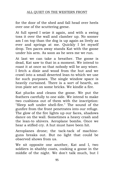## ALL QUIET ON THE WESTERN FRONT

for the door of the shed and fall head over heels over one of the scuttering geese.

At full speed I seize it again, and with a swing toss it over the wall and clamber up. No sooner am I on top than the dog is up again as lively as ever and springs at me. Quickly I let myself drop. Ten paces away stands Kat with the goose under his arm. As soon as he sees me we run.

At last we can take a breather. The goose is dead, Kat saw to that in a moment. We intend to roast it at once so that nobody will be any wiser. I fetch a dixie and wood from the hut and we crawl into a small deserted lean-to which we use for such purposes. The single window space is heavily curtained. There is a sort of hearth, an iron plate set on some bricks. We kindle a fire.

Kat plucks and cleans the goose. We put the feathers carefully to one side. We intend to make two cushions out of them with the inscription: "Sleep soft under shell-fire." The sound of the gunfire from the front penetrates into our refuge. The glow of the fire lights up our faces, shadows dance on the wall. Sometimes a heavy crash and the lean-to shivers. Aeroplane bombs. Once we hear a stifled cry. A hut must have been hit.

Aeroplanes drone; the tack-tack of machineguns breaks out. But no light that could be observed shows from us.

We sit opposite one another, Kat and I, two soldiers in shabby coats, cooking a goose in the middle of the night. We don't talk much, but I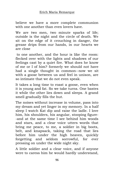believe we have a more complete communion with one another than even lovers have.

We are two men, two minute sparks of life; outside is the night and the circle of death. We sit on the edge of it crouching in danger, the grease drips from our hands, in our hearts we are close

to one another, and the hour is like the room: flecked over with the lights and shadows of our feelings cast by a quiet fire. What does he know of me or I of him? formerly we should not have had a single thought in common--now we sit with a goose between us and feel in unison, are so intimate that we do not even speak.

It takes a long time to roast a goose, even when it is young and fat. So we take turns. One bastes it while the other lies down and sleeps. A grand smell gradually fills the hut.

The noises without increase in volume, pass into my dream and yet linger in my memory. In a half sleep I watch Kat dip and raise the ladle. I love him, his shoulders, his angular, stooping figure- -and at the same time I see behind him woods and stars, and a clear voice utters words that bring me peace, to me, a soldier in big boots, belt, and knapsack, taking the road that lies before him under the high heaven, quickly forgetting and seldom sorrowful, for ever pressing on under the wide night sky.

A little soldier and a clear voice, and if anyone were to caress him he would hardly understand,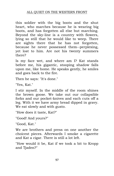## ALL QUIET ON THE WESTERN FRONT

this soldier with the big boots and the shut heart, who marches because he is wearing big boots, and has forgotten all else but marching. Beyond the sky-line is a country with flowers, lying so still that he would like to weep. There are sights there that he has not forgotten, because he never possessed them--perplexing, yet lost to him. Are not his twenty summers there?

Is my face wet, and where am I? Kat stands before me, his gigantic, stooping shadow falls upon me, like home. He speaks gently, he smiles and goes back to the fire.

Then he says: "It's done."

"Yes, Kat."

I stir myself. In the middle of the room shines the brown goose. We take out our collapsible forks and our pocket-knives and each cuts off a leg. With it we have army bread dipped in gravy. We eat slowly and with gusto.

"How does it taste, Kat?"

"Good! And yours?"

"Good, Kat."

We are brothers and press on one another the choicest pieces. Afterwards I smoke a cigarette and Kat a cigar. There is still a lot left.

"How would it be, Kat if we took a bit to Kropp and Tjaden?"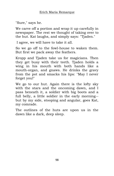"Sure," says he.

We carve off a portion and wrap it up carefully in newspaper. The rest we thought of taking over to the hut. Kat laughs, and simply says: "Tjaden."

I agree, we will have to take it all.

So we go off to the fowl-house to waken them. But first we pack away the feathers.

Kropp and Tjaden take us for magicians. Then they get busy with their teeth. Tjaden holds a wing in his mouth with both hands like a mouth-organ, and gnaws. He drinks the gravy from the pot and smacks his lips: "May I never forget you!"

We go to our hut. Again there is the lofty sky with the stars and the oncoming dawn, and I pass beneath it, a soldier with big boots and a full belly, a little soldier in the early morning- but by my side, stooping and angular, goes Kat, my comrade.

The outlines of the huts are upon us in the dawn like a dark, deep sleep.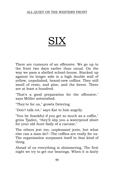#### ALL QUIET ON THE WESTERN FRONT

# **SIX**

There are rumours of an offensive. We go up to the front two days earlier than usual. On the way we pass a shelled school-house. Stacked up against its longer side is a high double wall of yellow, unpolished, brand-new coffins. They still smell of resin, and pine, and the forest. There are at least a hundred.

"That's a good preparation for the offensive," says Müller astonished.

"They're for us," growls Detering.

"Don't talk rot," says Kat to him angrily.

"You be thankful if you get so much as a coffin," grins Tjaden, "they'll slip you a waterproof sheet for your old Aunt Sally of a carcase."

The others jest too, unpleasant jests, but what else can a man do?--The coffins are really for us. The organisation surpasses itself in that kind of thing.

Ahead of us everything is shimmering. The first night we try to get our bearings. When it is fairly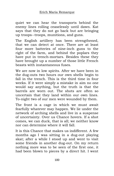quiet we can hear the transports behind the enemy lines rolling ceaselessly until dawn. Kat says that they do not go back but are bringing up troops--troops, munitions, and guns.

The English artillery has been strengthened, that we can detect at once. There are at least four more batteries of nine-inch guns to the right of the farm, and behind the poplars they have put in trench-mortars. Besides these they have brought up a number of those little French beasts with instantaneous fuses.

We are now in low spirits. After we have been in the dug-outs two hours our own shells begin to fall in the trench. This is the third time in four weeks. If it were simply a mistake in aim no one would say anything, but the truth is that the barrels are worn out. The shots are often so uncertain that they land within our own lines. To-night two of our men were wounded by them.

The front is a cage in which we must await fearfully whatever may happen. We lie under the network of arching shells and live in a suspense of uncertainty. Over us Chance hovers. If a shot comes, we can duck, that is all; we neither know nor can determine where it will fall.

It is this Chance that makes us indifferent. A few months ago I was sitting in a dug-out playing skat; after a while I stood up and went to visit some friends in another dug-out. On my return nothing more was to be seen of the first one, it had been blown to pieces by a direct hit. I went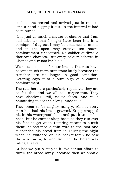back to the second and arrived just in time to lend a hand digging it out. In the interval it had been buried.

It is just as much a matter of chance that I am still alive as that I might have been hit. In a bombproof dug-out I may be smashed to atoms and in the open may survive ten hours' bombardment unscathed. No soldier outlives a thousand chances. But every soldier believes in Chance and trusts his luck.

We must look out for our bread. The rats have become much more numerous lately because the trenches are no longer in good condition. Detering says it is a sure sign of a coming bombardment.

The rats here are particularly repulsive, they are so fat--the kind we all call corpse-rats. They have shocking, evil, naked faces, and it is nauseating to see their long, nude tails.

They seem to be mighty hungry. Almost every man has had his bread gnawed. Kropp wrapped his in his waterproof sheet and put it under his head, but he cannot sleep because they run over his face to get at it. Detering meant to outwit them: he fastened a thin wire to the roof and suspended his bread from it. During the night when he switched on his pocket-torch he saw the wire swing to and fro. On the bread was riding a fat rat.

At last we put a stop to it. We cannot afford to throw the bread away, because then we should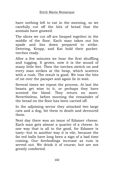have nothing left to eat in the morning, so we carefully cut off the bits of bread that the animals have gnawed.

The slices we cut off are heaped together in the middle of the floor. Each man takes out his spade and lies down prepared to strike. Detering, Kropp, and Kat hold their pockettorches ready.

After a few minutes we hear the first shuffling and tugging. It grows, now it is the sound of many little feet. Then the torches switch on and every man strikes at the heap, which scatters with a rush. The result is good. We toss the bits of rat over the parapet and again lie in wait.

Several times we repeat the process. At last the beasts get wise to it, or perhaps they have scented the blood. They return no more. Nevertheless, before morning the remainder of the bread on the floor has been carried off.

In the adjoining sector they attacked two large cats and a dog, bit them to death and devoured them.

Next day there was an issue of Edamer cheese. Each man gets almost a quarter of a cheese. In one way that is all to the good, for Edamer is tasty--but in another way it is vile, because the fat red balls have long been a sign of a bad time coming. Our forebodings increase as rum is served out. We drink it of course; but are not greatly comforted.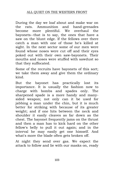During the day we loaf about and make war on the rats. Ammunition and hand-grenades become more plentiful. We overhaul the bayonets--that is to say, the ones that have a saw on the blunt edge. If the fellows over there catch a man with one of those he's killed at sight. In the next sector some of our men were found whose noses were cut off and their eyes poked out with their own saw-bayonets. Their mouths and noses were stuffed with sawdust so that they suffocated.

Some of the recruits have bayonets of this sort; we take them away and give them the ordinary kind.

But the bayonet has practically lost its importance. It is usually the fashion now to charge with bombs and spades only. The sharpened spade is a more handy and manysided weapon; not only can it be used for jabbing a man under the chin, but it is much better for striking with because of its greater weight; and if one hits between the neck and shoulder it easily cleaves as far down as the chest. The bayonet frequently jams on the thrust and then a man has to kick hard on the other fellow's belly to pull it out again; and in the interval he may easily get one himself. And what's more the blade often gets broken off.

At night they send over gas. We expect the attack to follow and lie with our masks on, ready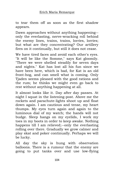to tear them off as soon as the first shadow appears.

Dawn approaches without anything happening- only the everlasting, nerve-wracking roll behind the enemy lines, trains, trains, lorries, lorries; but what are they concentrating? Our artillery fires on it continually, but still it does not cease.

We have tired faces and avoid each other's eyes. "It will be like the Somme," says Kat gloomily. "There we were shelled steadily for seven days and nights." Kat has lost all his fun since we have been here, which is bad, for Kat is an old front-hog, and can smell what is coming. Only Tjaden seems pleased with the good rations and the rum; he thinks we might even go back to rest without anything happening at all.

It almost looks like it. Day after day passes. At night I squat in the listening-post. Above me the rockets and parachute-lights shoot up and float down again. I am cautious and tense, my heart thumps. My eyes turn again and again to the luminous dial of my watch; the hands will not budge. Sleep hangs on my eyelids, I work my toes in my boots in order to keep awake. Nothing happens till I am relieved;--only the everlasting rolling over there. Gradually we grow calmer and play skat and poker continually. Perhaps we will be lucky.

All day the sky is hung with observation balloons. There is a rumour that the enemy are going to put tanks over and use low-flying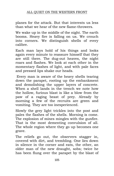planes for the attack. But that interests us less than what we hear of the new flame-throwers.

We wake up in the middle of the night. The earth booms. Heavy fire is falling on us. We crouch into corners. We distinguish shells of every calibre.

Each man lays hold of his things and looks again every minute to reassure himself that they are still there. The dug-out heaves, the night roars and flashes. We look at each other in the momentary flashes of light, and with pale faces and pressed lips shake our heads.

Every man is aware of the heavy shells tearing down the parapet, rooting up the embankment and demolishing the upper layers of concrete. When a shell lands in the trench we note how the hollow, furious blast is like a blow from the paw of a raging beast of prey. Already by morning a few of the recruits are green and vomiting. They are too inexperienced.

Slowly the grey light trickles into the post and pales the flashes of the shells. Morning is come. The explosion of mines mingles with the gunfire. That is the most dementing convulsion of all. The whole region where they go up becomes one grave.

The reliefs go out, the observers stagger in, covered with dirt, and trembling. One lies down in silence in the corner and eats, the other, an older man of the new draught, sobs; twice he has been flung over the parapet by the blast of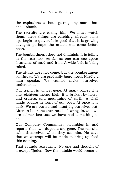the explosions without getting any more than shell- shock.

The recruits are eyeing him. We must watch them, these things are catching, already some lips begin to quiver. It is good that it is growing daylight; perhaps the attack will come before noon.

The bombardment does not diminish. It is falling in the rear too. As far as one can see spout fountains of mud and iron. A wide belt is being raked.

The attack does not come, but the bombardment continues. We are gradually benumbed. Hardly a man speaks. We cannot make ourselves understood.

Our trench is almost gone. At many places it is only eighteen inches high, it is broken by holes, and craters, and mountains of earth. A shell lands square in front of our post. At once it is dark. We are buried and must dig ourselves out. After an hour the entrance is clear again, and we are calmer because we have had something to do.

Our Company Commander scrambles in and reports that two dugouts are gone. The recruits calm themselves when they see him. He says that an attempt will be made to bring up food this evening.

That sounds reassuring. No one had thought of it except Tjaden. Now the outside world seems to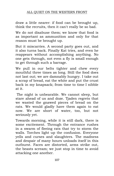draw a little nearer: if food can be brought up, think the recruits, then it can't really be so bad.

We do not disabuse them; we know that food is as important as ammunition and only for that reason must be brought up.

But it miscarries. A second party goes out, and it also turns back. Finally Kat tries, and even he reappears without accomplishing anything. No one gets through, not even a fly is small enough to get through such a barrage.

We pull in our belts tighter and chew every mouthful three times as long. Still the food does not last out; we are damnably hungry. I take out a scrap of bread, eat the white and put the crust back in my knapsack; from time to time I nibble at it.

The night is unbearable. We cannot sleep, but stare ahead of us and doze. Tjaden regrets that we wasted the gnawed pieces of bread on the rats. We would gladly have them again to eat now. We are short of water, too, but not seriously yet.

Towards morning, while it is still dark, there is some excitement. Through the entrance rushes in a swarm of fleeing rats that try to storm the walls. Torches light up the confusion. Everyone yells and curses and slaughters. The madness and despair of many hours unloads itself in this outburst. Faces are distorted, arms strike out, the beasts scream; we just stop in time to avoid attacking one another.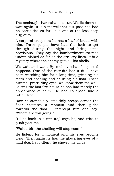The onslaught has exhausted us. We lie down to wait again. It is a marvel that our post has had no casualties so far. It is one of the less deep dug-outs.

A corporal creeps in; he has a loaf of bread with him. Three people have had the luck to get through during the night and bring some provisions. They say the bombardment extends undiminished as far as the artillery lines. It is a mystery where the enemy gets all his shells.

We wait and wait. By midday what I expected happens. One of the recruits has a fit. I have been watching him for a long time, grinding his teeth and opening and shutting his fists. These hunted, protruding eyes, we know them too well. During the last few hours he has had merely the appearance of calm. He had collapsed like a rotten tree.

Now he stands up, stealthily creeps across the floor hesitates a moment and then glides towards the door. I intercept him and say: "Where are you going?"

"I'll be back in a minute," says he, and tries to push past me.

"Wait a bit, the shelling will stop soon."

He listens for a moment and his eyes become clear. Then again he has the glowering eyes of a mad dog, he is silent, he shoves me aside.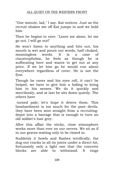"One minute, lad," I say. Kat notices. Just as the recruit shakes me off Kat jumps in and we hold him.

Then he begins to rave: "Leave me alone, let me go out, I will go out!"

He won't listen to anything and hits out, his mouth is wet and pours out words, half choked, meaningless words. It is a case of claustrophobia, he feels as though he is suffocating here and wants to get out at any price. If we let him go he would run about everywhere regardless of cover. He is not the first.

Though he raves and his eyes roll, it can't be helped, we have to give him a hiding to bring him to his senses. We do it quickly and mercilessly, and at last he sits down quietly. The others have

turned pale; let's hope it deters them. This bombardment is too much for the poor devils, they have been sent straight from a recruitingdepot into a barrage that is enough to turn an old soldier's hair grey.

After this affair the sticky, close atmosphere works more than ever on our nerves. We sit as if in our graves waiting only to be closed in.

Suddenly it howls and flashes terrifically, the dug-out cracks in all its joints under a direct hit, fortunately only a light one that the concrete blocks are able to withstand. It rings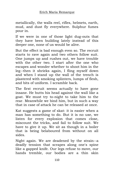metallically, the walls reel, rifles, helmets, earth, mud, and dust fly everywhere. Sulphur fumes pour in.

If we were in one of those light dug-outs that they have been building lately instead of this deeper one, none of us would be alive.

But the effect is bad enough even so. The recruit starts to rave again and two others follow suit. One jumps up and rushes out, we have trouble with the other two. I start after the one who escapes and wonder whether to shoot him in the leg--then it shrieks again, I fling myself down and when I stand up the wall of the trench is plastered with smoking splinters, lumps of flesh, and bits of uniform. I scramble back.

The first recruit seems actually to have gone insane. He butts his head against the wall like a goat. We must try to-night to take him to the rear. Meanwhile we bind him, but in such a way that in case of attack he can be released at once.

Kat suggests a game of skat: it is easier when a man has something to do. But it is no use, we listen for every explosion that comes close, miscount the tricks, and fail to follow suit. We have to give it up. We sit as though in a boiler that is being belaboured from without on all sides.

Night again. We are deadened by the strain--a deadly tension that scrapes along one's spine like a gapped knife. Our legs refuse to move, our hands tremble, our bodies are a thin skin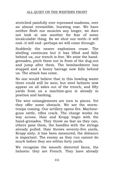stretched painfully over repressed madness, over an almost irresistible, bursting roar. We have neither flesh nor muscles any longer, we dare not look at one another for fear of some incalculable thing. So we shut our teeth--it will end--it will end--perhaps we will come through.

Suddenly the nearer explosions cease. The shelling continues but it has lifted and falls behind us, our trench is free. We seize the handgrenades, pitch them out in front of the dug-out and jump after them. The bombardment has stopped and a heavy barrage now falls behind us. The attack has come.

No one would believe that in this howling waste there could still be men; but steel helmets now appear on all sides out of the trench, and fifty yards from us a machine-gun is already in position and barking.

The wire entanglements are torn to pieces. Yet they offer some obstacle. We see the stormtroops coming. Our artillery opens fire. Machineguns rattle, rifles crack. The charge works its way across. Haie and Kropp begin with the hand-grenades. They throw as fast as they can, others pass them, the handles with the strings already pulled. Haie throws seventy-five yards, Kropp sixty, it has been measured, the distance is important. The enemy as they run cannot do much before they are within forty yards.

We recognise the smooth distorted faces, the helmets: they are French. They have already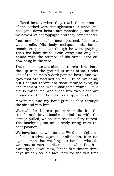suffered heavily when they reach the remnants of the barbed wire entanglements. A whole line has gone down before our machine-guns; then we have a lot of stoppages and they come nearer.

I see one of them, his face upturned, fall into a wire cradle. His body collapses, his hands remain suspended as though he were praying. Then his body drops clean away and only his hands with the stumps of his arms, shot off, now hang in the wire.

The moment we are about to retreat three faces rise up from the ground in front of us. Under one of the helmets a dark pointed beard and two eyes that are fastened on me. I raise my hand, but I cannot throw into those strange eyes; for one moment the whole slaughter whirls like a circus round me, and these two eyes alone are motionless; then the head rises up, a hand, a

movement, and my hand-grenade flies through the air and into him.

We make for the rear, pull wire cradles into the trench and leave bombs behind us with the strings pulled, which ensures us a fiery retreat. The machine-guns are already firing from the next position.

We have become wild beasts. We do not fight, we defend ourselves against annihilation. It is not against men that we fling our bombs, what do we know of men in this moment when Death is hunting us down--now, for the first time in three days we can see his face, now for the first time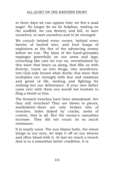### ALL QUIET ON THE WESTERN FRONT

in three days we can oppose him; we feel a mad anger. No longer do we lie helpless, waiting on the scaffold, we can destroy and kill, to save ourselves, to save ourselves and to be revenged.

We crouch behind every corner, behind every barrier of barbed wire, and hurl heaps of explosives at the feet of the advancing enemy before we run. The blast of the hand-grenades impinges powerfully on our arms and legs; crouching like cats we run on, overwhelmed by this wave that bears us along, that fills us with ferocity, turns us into thugs, into murderers, into God only knows what devils; this wave that multiplies our strength with fear and madness and greed of life, seeking and fighting for nothing but our deliverance. If your own father came over with them you would not hesitate to fling a bomb at him.

The forward trenches have been abandoned. Are they still trenches? They are blown to pieces, annihilated--there are only broken bits of trenches, holes linked by cracks, nests of craters, that is all. But the enemy's casualties increase. They did not count on so much resistance.

It is nearly noon. The sun blazes hotly, the sweat stings in our eyes, we wipe it off on our sleeves and often blood with it. At last we reach a trench that is in a somewhat better condition. It is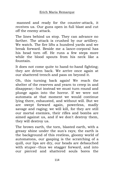manned and ready for the counter-attack, it receives us. Our guns open in full blast and cut off the enemy attack.

The lines behind us stop. They can advance no farther. The attack is crushed by our artillery. We watch. The fire lifts a hundred yards and we break forward. Beside me a lance-corporal has his head torn off. He runs a few steps more while the blood spouts from his neck like a fountain.

It does not come quite to hand-to-hand fighting; they are driven back. We arrive once again at our shattered trench and pass on beyond it.

Oh, this turning back again! We reach the shelter of the reserves and yearn to creep in and disappear;--but instead we must turn round and plunge again into the horror. If we were not automata at that moment we would continue lying there, exhausted, and without will. But we are swept forward again, powerless, madly savage and raging; we will kill, for they are still our mortal enemies, their rifles and bombs are aimed against us, and if we don't destroy them, they will destroy us.

The brown earth, the torn, blasted earth, with a greasy shine under the sun's rays; the earth is the background of this restless, gloomy world of automatons, our gasping is the scratching of a quill, our lips are dry, our heads are debauched with stupor--thus we stagger forward, and into our pierced and shattered souls bores the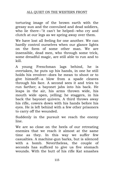torturing image of the brown earth with the greasy sun and the convulsed and dead soldiers, who lie there--"it can't be helped--who cry and clutch at our legs as we spring away over them.

We have lost all feeling for one another. We can hardly control ourselves when our glance lights on the form of some other man. We are insensible, dead men, who through some trick, some dreadful magic, are still able to run and to kill.

A young Frenchman lags behind, he is overtaken, he puts up his hands, in one he still holds his revolver--does he mean to shoot or to give himself!--a blow from a spade cleaves through his face. A second sees it and tries to run farther; a bayonet jabs into his back. He leaps in the air, his arms thrown wide, his mouth wide open, yelling; he staggers, in his back the bayonet quivers. A third throws away his rifle, cowers down with his hands before his eyes. He is left behind with a few other prisoners to carry off the wounded.

Suddenly in the pursuit we reach the enemy line.

We are so close on the heels of our retreating enemies that we reach it almost at the same time as they. In this way we suffer few casualties. A machine-gun barks, but is silenced with a bomb. Nevertheless, the couple of seconds has sufficed to give us five stomach wounds. With the butt of his rifle Kat smashes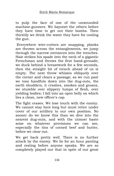to pulp the face of one of the unwounded machine-gunners. We bayonet the others before they have time to get out their bombs. Then thirstily we drink the water they have for cooling the gun.

Everywhere wire-cutters are snapping, planks are thrown across the entanglements, we jump through the narrow entrances into the trenches. Haie strikes his spade into the neck of a gigantic Frenchman and throws the first hand-grenade; we duck behind a breastwork for a few seconds, then the straight bit of trench ahead of us is empty. The next throw whizzes obliquely over the corner and clears a passage; as we run past we toss handfuls down into the dug-outs, the earth shudders, it crashes, smokes and groans, we stumble over slippery lumps of flesh, over yielding bodies; I fall into an open belly on which lies a clean, new officer's cap.

The fight ceases. We lose touch with the enemy. We cannot stay here long but must retire under cover of our artillery to our own position. No sooner do we know this than we dive into the nearest dug-outs, and with the utmost haste seize on whatever provisions we can see, especially the tins of corned beef and butter, before we clear out.

We get back pretty well. There is no further attack by the enemy. We lie for an hour panting and resting before anyone speaks. We are so completely played out that in spite of our great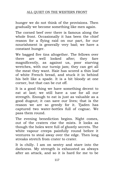hunger we do not think of the provisions. Then gradually we become something like men again.

The corned beef over there is famous along the whole front. Occasionally it has been the chief reason for a flying raid on our part, for our nourishment is generally very bad; we have a constant hunger.

We bagged five tins altogether. The fellows over there are well looked after; they fare magnificently, as against us, poor starving wretches, with our turnip jam; they can get all the meat they want. Haie has scored a thin loaf of white French bread, and stuck it in behind his belt like a spade. It is a bit bloody at one corner, but that can be cut off.

It is a good thing we have something decent to eat at last; we still have a use for all our strength. Enough to eat is just as valuable as a good dugout; it can save our lives; that is the reason we are so greedy for it. Tjaden has captured two water-bottles full of cognac. We pass them round.

The evening benediction begins. Night comes, out of the craters rise the mists. It looks as though the holes were full of ghostly secrets. The white vapour creeps painfully round before it ventures to steal away over the edge. Then long streaks stretch from crater to crater.

It is chilly. I am on sentry and stare into the darkness. My strength is exhausted as always after an attack, and so it is hard for me to be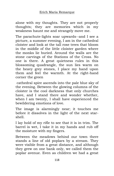alone with my thoughts. They are not properly thoughts; they are memories which in my weakness haunt me and strangely move me.

The parachute-lights soar upwards--and I see a picture, a summer evening, I am in the cathedral cloister and look at the tall rose trees that bloom in the middle of the little cloister garden where the monks lie buried. Around the walls are the stone carvings of the Stations of the Cross. No one is there. A great quietness rules in this blossoming quadrangle, the sun lies warm on the heavy grey stones, I place my hand upon them and feel the warmth. At the right-hand corner the green

cathedral spire ascends into the pale blue sky of the evening. Between the glowing columns of the cloister is the cool darkness that only churches have, and I stand there and wonder whether, when I am twenty, I shall have experienced the bewildering emotions of love.

The image is alarmingly near; it touches me before it dissolves in the light of the next starshell.

I lay hold of my rifle to see that it is in trim. The barrel is wet, I take it in my hands and rub off the moisture with my fingers.

Between the meadows behind our town there stands a line of old poplars by a stream. They were visible from a great distance, and although they grew on one bank only, we called them the poplar avenue. Even as children we had a great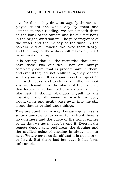### ALL QUIET ON THE WESTERN FRONT

love for them, they drew us vaguely thither, we played truant the whole day by them and listened to their rustling. We sat beneath them on the bank of the stream and let our feet hang in the bright, swift waters. The pure fragrance of the water and the melody of the wind in the poplars held our fancies. We loved them dearly, and the image of those days still makes my heart pause in its beating.

It is strange that all the memories that come have these two qualities. They are always completely calm, that is predominant in them; and even if they are not really calm, they become so. They are soundless apparitions that speak to me, with looks and gestures silently, without any word--and it is the alarm of their silence that forces me to lay hold of my sleeve and my rifle lest I should abandon myself to the liberation and allurement in which my body would dilate and gently pass away into the still forces that lie behind these things.

They are quiet in this way, because quietness is so unattainable for us now. At the front there is no quietness and the curse of the front reaches so far that we never pass beyond it. Even in the remote depots and rest-areas the droning and the muffled noise of shelling is always in our ears. We are never so far off that it is no more to be heard. But these last few days it has been unbearable.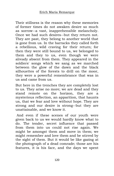Their stillness is the reason why these memories of former times do not awaken desire so much as sorrow--a vast, inapprehensible melancholy. Once we had such desires--but they return not. They are past, they belong to another world that is gone from us. In the barracks they called forth a rebellious, wild craving for their return; for then they were still bound to us, we belonged to them and they to us, even though we were already absent from them. They appeared in the soldiers' songs which we sang as we marched between the glow of the dawn and the black silhouettes of the forests to drill on the moor, they were a powerful remembrance that was in us and came from us.

But here in the trenches they are completely lost to us. They arise no more; we are dead and they stand remote on the horizon, they are a mysterious reflection, an apparition, that haunts us, that we fear and love without hope. They are strong and our desire is strong--but they are unattainable, and we know it.

And even if these scenes of our youth were given back to us we would hardly know what to do. The tender, secret influence that passed from them into us could not rise again. We might be amongst them and move in them; we might remember and love them and be stirred by the sight of them. But it would be like gazing at the photograph of a dead comrade; those are his features, it is his face, and the days we spent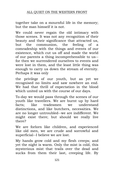together take on a mournful life in the memory; but the man himself it is not.

We could never regain the old intimacy with those scenes. It was not any recognition of their beauty and their significance that attracted us, but the communion, the feeling of a comradeship with the things and events of our existence, which cut us off and made the world of our parents a thing incomprehensible to us- for then we surrendered ourselves to events and were lost in them, and the least little thing was enough to carry us down the stream of eternity. Perhaps it was only

the privilege of our youth, but as yet we recognised no limits and saw nowhere an end. We had that thrill of expectation in the blood which united us with the course of our days.

To-day we would pass through the scenes of our youth like travellers. We are burnt up by hard facts; like tradesmen we understand distinctions, and like butchers, necessities. We are no longer untroubled--we are indifferent. We might exist there; but should we really live there?

We are forlorn like children, and experienced like old men, we are crude and sorrowful and superficial--I believe we are lost.

My hands grow cold and my flesh creeps; and yet the night is warm. Only the mist is cold, this mysterious mist that trails over the dead and sucks from them their last, creeping life. By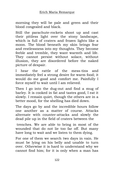morning they will be pale and green and their blood congealed and black.

Still the parachute-rockets shoot up and cast their pitiless light over the stony landscape, which is full of craters and frozen lights like a moon. The blood beneath my skin brings fear and restlessness into my thoughts. They become feeble and tremble, they want warmth and life. They cannot persist without solace, without illusion, they are disordered before the naked picture of despair.

I hear the rattle of the mess-tins and immediately feel a strong desire for warm food; it would do me good and comfort me. Painfully I force myself to wait until I am relieved.

Then I go into the dug-out and find a mug of barley. It is cooked in fat and tastes good, I eat it slowly. I remain quiet, though the others are in a better mood, for the shelling has died down.

The days go by and the incredible hours follow one another as a matter of course. Attacks alternate with counter-attacks and slowly the dead pile up in the field of craters between the

trenches. We are able to bring in most of the wounded that do not lie too far off. But many have long to wait and we listen to them dying.

For one of them we search two days in vain. He must be lying on his belly and unable to turn over. Otherwise it is hard to understand why we cannot find him; for it is only when a man has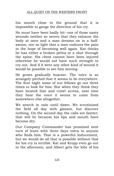## ALL QUIET ON THE WESTERN FRONT

his mouth close to the ground that it is impossible to gauge the direction of his cry.

He must have been badly hit--one of those nasty wounds neither so severe that they exhaust the body at once and a man dreams on in a halfswoon, nor so light that a man endures the pain in the hope of becoming well again. Kat thinks he has either a broken pelvis or a shot through the spine. His chest cannot have been injured otherwise he would not have such strength to cry out. And if it were any other kind of wound it would be possible to see him moving.

He grows gradually hoarser. The voice is so strangely pitched that it seems to be everywhere. The first night some of our fellows go out three times to look for him. But when they think they have located him and crawl across, next time they hear the voice it seems to come from somewhere else altogether.

We search in vain until dawn. We scrutinised the field all day with glasses, but discover nothing. On the second day the calls are fainter; that will be because his lips and mouth have become dry.

Our Company Commander has promised next turn of leave with three days extra to anyone who finds him. That is a powerful inducement, but we would do all that is possible without that for his cry is terrible. Kat and Kropp even go out in the afternoon, and Albert gets the lobe of his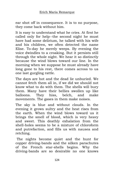ear shot off in consequence. It is to no purpose, they come back without him.

It is easy to understand what he cries. At first he called only for help--the second night he must have had some delirium, he talked with his wife and his children, we often detected the name Elise. To-day he merely weeps. By evening the voice dwindles to a croaking. But it persists still through the whole night. We hear it so distinctly because the wind blows toward our line. In the morning when we suppose he must already have long gone to his rest, there comes across to us one last gurgling rattle.

The days are hot and the dead lie unburied. We cannot fetch them all in, if we did we should not know what to do with them. The shells will bury them. Many have their bellies swollen up like balloons. They hiss, belch, and make movements. The gases in them make noises.

The sky is blue and without clouds. In the evening it grows sultry and the heat rises from the earth. When the wind blows toward us it brings the smell of blood, which is very heavy and sweet. This deathly exhalation from the shell-holes seems to be a mixture of chloroform and putrefaction, and fills us with nausea and retching.

The nights become quiet and the hunt for copper driving-bands and the silken parachutes of the French star-shells begins. Why the driving-bands are so desirable no one knows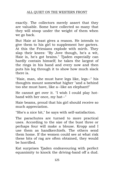## ALL QUIET ON THE WESTERN FRONT

exactly. The collectors merely assert that they are valuable. Some have collected so many that they will stoop under the weight of them when we go back.

But Haie at least gives a reason. He intends to give them to his girl to supplement her garters. At this the Friesians explode with mirth. They slap their knees: "By Jove though, he's a wit, Haie is, he's got brains." Tjaden especially can hardly contain himself; he takes the largest of the rings in his hand and every now and then puts his leg through it to show how much slack there is.

"Haie, man, she must have legs like, legs--" his thoughts mount somewhat higher "and a behind too she must have, like a--like an elephant!"

He cannot get over it. "I wish I could play hothand with her once, my hat--"

Haie beams, proud that his girl should receive so much appreciation.

"She's a nice bit," he says with self-satisfaction.

The parachutes are turned to more practical uses. According to the size of the bust three or perhaps four will make a blouse. Kropp and I use them as handkerchiefs. The others send them home. If the women could see at what risk these bits of rag are often obtained, they would be horrified.

Kat surprises Tjaden endeavouring with perfect equanimity to knock the driving-band off a dud.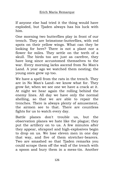If anyone else had tried it the thing would have exploded, but Tjaden always has his luck with him.

One morning two butterflies play in front of our trench. They are brimstone-butterflies, with red spots on their yellow wings. What can they be looking for here? There is not a plant nor a flower for miles. They settle on the teeth of a skull. The birds too are just as carefree, they have long since accustomed themselves to the war. Every morning larks ascend from No Man's Land. A year ago we watched them nesting; the young ones grew up too.

We have a spell from the rats in the trench. They are in No Man's Land--we know what for. They grow fat; when we see one we have a crack at it. At night we hear again the rolling behind the enemy lines. All day we have only the normal shelling, so that we are able to repair the trenches. There is always plenty of amusement, the airmen see to that. There are countless fights for us to watch every day.

Battle planes don't trouble us, but the observation planes we hate like the plague; they put the artillery on to us. A few minutes after they appear, shrapnel and high-explosives begin to drop on us. We lose eleven men in one day that way, and five of them stretcher-bearers. Two are smashed so that Tjaden remarks you could scrape them off the wall of the trench with a spoon and bury them in a mess-tin. Another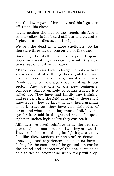has the lower part of his body and his legs torn off. Dead, his chest

leans against the side of the trench, his face is lemon-yellow, in his beard still burns a cigarette. It glows until it dies out on his lips.

We put the dead in a large shell-hole. So far there are three layers, one on top of the other.

Suddenly the shelling begins to pound again. Soon we are sitting up once more with the rigid tenseness of blank anticipation.

Attack, counter-attack, charge, repulse--these are words, but what things they signify! We have lost a good many men, mostly recruits. Reinforcements have again been sent up to our sector. They are one of the new regiments, composed almost entirely of young fellows just called up. They have had hardly any training, and are sent into the field with only a theoretical knowledge. They do know what a hand-grenade is, it is true, but they have very little idea of cover, and what is most important of all, have no eye for it. A fold in the ground has to be quite eighteen inches high before they can see it.

Although we need reinforcement, the recruits give us almost more trouble than they are worth. They are helpless in this grim fighting area, they fall like flies. Modern trench-warfare demands knowledge and experience; a man must have a feeling for the contours of the ground, an ear for the sound and character of the shells, must be able to decide beforehand where they will drop,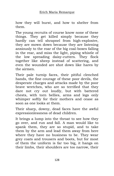how they will burst, and how to shelter from them.

The young recruits of course know none of these things. They get killed simply because they hardly can tell shrapnel from high-explosive, they are mown down because they are listening anxiously to the roar of the big coal-boxes falling in the rear, and miss the light, piping whistle of the low spreading daisy-cutters. They flock together like sheep instead of scattering, and even the wounded are shot down like hares by the airmen.

Their pale turnip faces, their pitiful clenched hands, the fine courage of these poor devils, the desperate charges and attacks made by the poor brave wretches, who are so terrified that they dare not cry out loudly, but with battered chests, with torn bellies, arms and legs only whimper softly for their mothers and cease as soon as one looks at them.

Their sharp, downy, dead faces have the awful expressionlessness of dead children.

It brings a lump into the throat to see how they go over, and run and fall. A man would like to spank them, they are so stupid, and to take them by the arm and lead them away from here where they have no business to be. They wear grey coats and trousers and boots, but for most of them the uniform is far too big, it hangs on their limbs, their shoulders are too narrow, their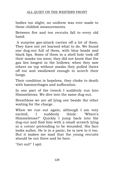bodies too slight; no uniform was ever made to these childish measurements.

Between five and ten recruits fall to every old hand.

A surprise gas-attack carries off a lot of them. They have not yet learned what to do. We found one dug-out full of them, with blue heads and black lips. Some of them in a shell hole took off their masks too soon; they did not know that the gas lies longest in the hollows; when they saw others on top without masks they pulled theirs off too and swallowed enough to scorch their lungs.

Their condition is hopeless, they choke to death with haemorrhages and suffocation.

In one part of the trench I suddenly run into Himmelstoss. We dive into the same dug-out.

Breathless we are all lying one beside the other waiting for the charge.

When we run out again, although I am very excited, I suddenly think: "Where's Himmelstoss?" Quickly I jump back into the dug-out and find him with a small scratch lying in a corner pretending to be wounded. His face looks sullen. He is in a panic; he is new to it too. But it makes me mad that the young recruits should be out there and he here.

"Get out!" I spit.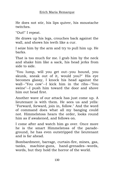He does not stir, his lips quiver, his moustache twitches.

"Out!" I repeat.

He draws up his legs, crouches back against the wall, and shows his teeth like a cur.

I seize him by the arm and try to pull him up. He barks.

That is too much for me. I grab him by the neck and shake him like a sack, his head jerks from side to side.

"You lump, will you get out--you hound, you skunk, sneak out of it, would you?" His eye becomes glassy, I knock his head against the wall--"You cow"--I kick him in the ribs--"You swine"--I push him toward the door and shove him out head first.

Another wave of our attack has just come up. A lieutenant is with them. He sees us and yells: "Forward, forward, join in, follow." And the word of command does what all my banging could not. Himmelstoss hears the order, looks round him as if awakened, and follows on.

I come after and watch him go over. Once more he is the smart Himmelstoss of the paradeground, he has even outstripped the lieutenant and is far ahead.

Bombardment, barrage, curtain-fire, mines, gas, tanks, machine-guns, hand-grenades--words, words, but they hold the horror of the world.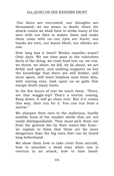### ALL QUIET ON THE WESTERN FRONT

Our faces are encrusted, our thoughts are devastated, we are weary to death; when the attack comes we shall have to strike many of the men with our fists to waken them and make them come with us--our eyes are burnt, our hands are torn, our knees bleed, our elbows are raw.

How long has it been? Weeks--months--years? Only days. We see time pass in the colourless faces of the dying, we cram food into us, we run, we throw, we shoot, we kill, we lie about, we are feeble and spent, and nothing supports us but the knowledge that there are still feebler, still more spent, still more helpless ones there who, with staring eyes, look upon us as gods that escape death many times.

In the few hours of rest we teach them. "There, see that waggle-top? That's a mortar coming. Keep down, it will go clean over. But if it comes this way, then run for it. You can run from a mortar."

We sharpen their ears to the malicious, hardly audible buzz of the smaller shells that are not easily distinguishable. They must pick them out from the general din by their insect-like hum- we explain to them that these are far more dangerous than the big ones that can be heard long beforehand.

We show them how to take cover from aircraft, how to simulate a dead man when one is overrun in an attack, how to time hand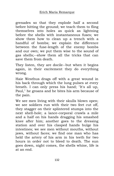grenades so that they explode half a second before hitting the ground; we teach them to fling themselves into holes as quick as lightning before the shells with instantaneous fuses; we show them how to clean up a trench with a handful of bombs; we explain the difference between the fuse-length of the enemy bombs and our own; we put them wise to the sound of gas shells;--show them all the tricks that can save them from death.

They listen, they are docile--but when it begins again, in their excitement they do everything wrong.

Haie Westhus drags off with a great wound in his back through which the lung pulses at every breath. I can only press his hand; "It's all up, Paul," he groans and he bites his arm because of the pain.

We see men living with their skulls blown open; we see soldiers run with their two feet cut off, they stagger on their splintered stumps into the next shell-hole; a lance-corporal crawls a mile and a half on his hands dragging his smashed knee after him; another goes to the dressing station and over his clasped hands bulge his intestines; we see men without mouths, without jaws, without faces; we find one man who has held the artery of his arm in his teeth for two hours in order not to bleed to death. The sun goes down, night comes, the shells whine, life is at an end.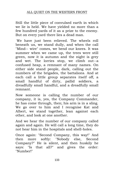Still the little piece of convulsed earth in which we lie is held. We have yielded no more than a few hundred yards of it as a prize to the enemy. But on every yard there lies a dead man.

We have just been relieved. The wheels roll beneath us, we stand dully, and when the call "Mind-- wire" comes, we bend our knees. It was summer when we came up, the trees were still green, now it is autumn and the night is grey and wet. The lorries stop, we climb out--a confused heap, a remnant of many names. On either side stand people, dark, calling out the numbers of the brigades, the battalions. And at each call a little group separates itself off, a small handful of dirty, pallid soldiers, a dreadfully small handful, and a dreadfully small remnant.

Now someone is calling the number of our company, it is, yes, the Company Commander, he has come through, then; his arm is in a sling. We go over to him and I recognise Kat and Albert, we stand together, lean against each other, and look at one another.

And we hear the number of our company called again and again. He will call a long time, they do not hear him in the hospitals and shell-holes.

Once again: "Second Company, this way!" And then more softly: "Nobody else, Second Company?" He is silent, and then huskily he says: "Is that all?" and gives the order: "Number!"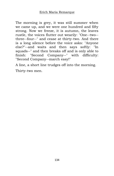The morning is grey, it was still summer when we came up, and we were one hundred and fifty strong. Now we freeze, it is autumn, the leaves rustle, the voices flutter out wearily: "One--two- three--four--" and cease at thirty-two. And there is a long silence before the voice asks: "Anyone else?"--and waits and then says softly: "In squads--" and then breaks off and is only able to finish: "Second Company--" with difficulty: "Second Company--march easy!"

A line, a short line trudges off into the morning. Thirty-two men.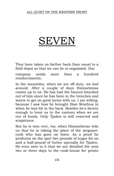# **SEVE**

They have taken us farther back than usual to a field depot so that we can be re-organized. Our

company needs more than a hundred reinforcements.

In the meantime, when we are off duty, we loaf around. After a couple of days Himmelstoss comes up to us. He has had the bounce knocked out of him since he has been in the trenches and wants to get on good terms with us. I am willing, because I saw how he brought Haie Westhus in when he was hit in the back. Besides he's decent enough to treat us in the canteen when we are out of funds. Only Tjaden is still reserved and suspicious.

But he is won over, too, when Himmelstoss tells us that he is taking the place of the sergeantcook who has gone on leave. As a proof he produces on the spot two pounds of sugar for us and a half-pound of butter specially for Tjaden. He even sees to it that we are detailed the next two or three days to the cook-house for potato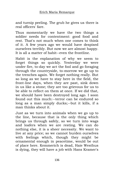and turnip peeling. The grub he gives us there is real officers' fare.

Thus momentarily we have the two things a soldier needs for contentment: good food and rest. That's not much when one comes to think of it. A few years ago we would have despised ourselves terribly. But now we are almost happy. It is all a matter of habit--even the frontline.

Habit is the explanation of why we seem to forget things so quickly. Yesterday we were under fire, to-day we act the fool and go foraging through the countryside, to-morrow we go up to the trenches again. We forget nothing really. But so long as we have to stay here in the field, the front-line days, when they are past, sink down in us like a stone; they are too grievous for us to be able to reflect on them at once. If we did that, we should have been destroyed long ago. I soon found out this much:--terror can be endured so long as a man simply ducks;--but it kills, if a man thinks about it.

Just as we turn into animals when we go up to the line, because that is the only thing which brings us through safely, so we turn into wags and loafers when we are resting. We can do nothing else, it is a sheer necessity. We want to live at any price; so we cannot burden ourselves with feelings which, though they might be ornamental enough in peacetime, would be out of place here. Kemmerich is dead, Haie Westhus is dying, they will have a job with Hans Kramer's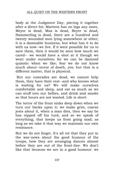body at the Judgment Day, piecing it together after a direct hit; Martens has no legs any more, Meyer is dead, Max is dead, Beyer is dead, Hammerling is dead, there are a hundred and twenty wounded men lying somewhere or other; it is a damnable business, but what has it to do with us now--we live. If it were possible for us to save them, then it would be seen how much we cared-- we would have a shot at it though we went under ourselves; for we can be damned quixotic when we like; fear we do not know much about--terror of death, yes; but that is a different matter, that is physical.

But our comrades are dead, we cannot help them, they have their rest--and who knows what is waiting for us? We will make ourselves comfortable and sleep, and eat as much as we can stuff into our bellies, and drink and smoke so that hours are not wasted. Life is short.

The terror of the front sinks deep down when we turn our backs upon it; we make grim, coarse jests about it, when a man dies, then we say he has nipped off his turd, and so we speak of everything; that keeps us from going mad; as long as we take it that way we maintain our own resistance.

But we do not forget. It's all rot that they put in the war-news about the good humour of the troops, how they are arranging dances almost before they are out of the front-line. We don't like that because we are in a good humour: we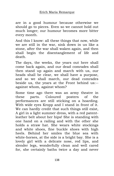are in a good humour because otherwise we should go to pieces. Even so we cannot hold out much longer; our humour becomes more bitter every month.

And this I know: all these things that now, while we are still in the war, sink down in us like a stone, after the war shall waken again, and then shall begin the disentanglement of life and death.

The days, the weeks, the years out here shall come back again, and our dead comrades shall then stand up again and march with us, our heads shall be clear, we shall have a purpose, and so we shall march, our dead comrades beside us, the years at the Front behind us:- against whom, against whom?

Some time ago there was an army theatre in these parts. Coloured posters of the performances are still sticking on a hoarding. With wide eyes Kropp and I stand in front of it. We can hardly credit that such things still exist, A girl in a light summer dress, with a red patentleather belt about her hips! She is standing with one hand on a railing and with the other she holds a straw hat. She wears white stockings and white shoes, fine buckle shoes with high heels. Behind her smiles the blue sea with white-horses, at the side is a bright bay. She is a lovely girl with a delicate nose, red lips, and slender legs, wonderfully clean and well cared for, she certainly baths twice a day and never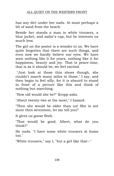has any dirt under her nails. At most perhaps a bit of sand from the beach.

Beside her stands a man in white trousers, a blue jacket, and sailor's cap; but he interests us much less.

The girl on the poster is a wonder to us. We have quite forgotten that there are such things, and even now we hardly believe our eyes. We have seen nothing like it for years, nothing like it for happiness, beauty and joy. That is peace-time, that is as it should be; we feel excited.

"Just look at those thin shoes though, she couldn't march many miles in those," I say, and then begin to feel silly, for it is absurd to stand in front of a picture like this and think of nothing but marching.

"How old would she be?" Kropp asks.

"About twenty-two at the most," I hazard.

"Then she would be older than us! She is not more then seventeen, let me tell you!"

It gives us goose flesh.

"That would be good, Albert, what do you think?"

He nods. "I have some white trousers at home too."

"White trousers," say I, "but a girl like that--"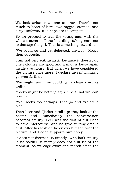We look askance at one another. There's not much to boast of here--two ragged, stained, and dirty uniforms. It is hopeless to compete.

So we proceed to tear the young man with the white trousers off the hoarding, taking care not to damage the girl. That is something toward it.

"We could go and get deloused, anyway," Kropp then suggests.

I am not very enthusiastic because it doesn't do one's clothes any good and a man is lousy again inside two hours. But when we have considered the picture once more, I declare myself willing. I go even farther.

"We might see if we could get a clean shirt as well--"

"Socks might be better," says Albert, not without reason.

"Yes, socks too perhaps. Let's go and explore a bit."

Then Leer and Tjaden stroll up; they look at the poster and immediately the conversation becomes smutty. Leer was the first of our class to have intercourse, and he gave stirring details of it. After his fashion he enjoys himself over the picture, and Tjaden supports him nobly.

It does not distress us exactly. Who isn't smutty is no soldier; it merely does not suit us at the moment, so we edge away and march off to the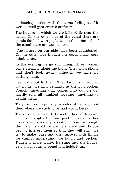de-lousing station with the same feeling as if it were a swell gentlemen's outfitters.

The houses in which we are billeted lie near the canal. On the other side of the canal there are ponds flanked with poplars;--on the other side of the canal there are women too.

The houses on our side have been abandoned. On the other side though one occasionally sees inhabitants.

In the evening we go swimming. Three women come strolling along the bank. They walk slowly and don't look away, although we have no bathing suits.

Leer calls out to them. They laugh and stop to watch us. We fling remarks at them in broken French, anything that comes into our heads, hastily and all jumbled together, anything to detain them.

They are not specially wonderful pieces, but then where are such to be had about here?

There is one slim little brunette, her teeth gleam when she laughs. She has quick movements, her dress swings loosely about her legs. Although the water is cold we are very jovial and do our best to interest them so that they will stay. We try to make jokes and they answer with things we cannot understand; we laugh and beckon. Tjaden is more crafty. He runs into the house, gets a loaf of army bread and holds it up.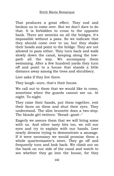That produces a great effect. They nod and beckon us to come over. But we don't dare to do that. It is forbidden to cross to the opposite bank. There are sentries on all the bridges. It's impossible without a pass. So we indicate that they should come over to us; but they shake their heads and point to the bridge. They are not allowed to pass either. They turn back and walk slowly down the canal, keeping along the towpath all the way. We accompany them swimming. After a few hundred yards they turn off and point to a house that stands a little distance away among the trees and shrubbery.

Leer asks if they live there.

They laugh--sure, that's their house.

We call out to them that we would like to come, sometime when the guards cannot see us. At night. To-night.

They raise their hands, put them together, rest their faces on them and shut their eyes. They understand. The slim brunette does a two-step. The blonde girl twitters: "Bread--good--"

Eagerly we assure them that we will bring some with us. And other tasty bits too, we roll our eyes and try to explain with our hands. Leer nearly drowns trying to demonstrate a sausage. If it were necessary we would promise them a whole quartermaster's store. They go off and frequently turn and look back. We climb out on the bank on our side of the canal and watch to see whether they go into the house, for they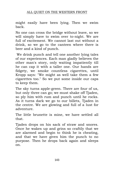might easily have been lying. Then we swim back.

No one can cross the bridge without leave, so we will simply have to swim over to-night. We are full of excitement. We cannot last out without a drink, so we go to the canteen where there is beer and a kind of punch.

We drink punch and tell one another lying tales of our experiences. Each man gladly believes the other man's story, only waiting impatiently till he can cap it with a taller one. Our hands are fidgety, we smoke countless cigarettes, until Kropp says: "We might as well take them a few cigarettes too." So we put some inside our caps to keep them.

The sky turns apple-green. There are four of us, but only three can go; we must shake off Tjaden, so ply him with rum and punch until he rocks. As it turns dark we go to our billets, Tjaden in the centre. We are glowing and full of a lust for adventure.

The little brunette is mine, we have settled all that.

Tjaden drops on his sack of straw and snores. Once he wakes up and grins so craftily that we are alarmed and begin to think he is cheating, and that we have given him the punch to no purpose. Then he drops back again and sleeps on.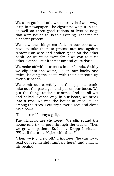We each get hold of a whole army loaf and wrap it up in newspaper. The cigarettes we put in too, as well as three good rations of liver-sausage that were issued to us this evening. That makes a decent present.

We stow the things carefully in our boots; we have to take them to protect our feet against treading on wire and broken glass on the other bank. As we must swim for it we can take no other clothes. But it is not far and quite dark.

We make off with our boots in our hands. Swiftly we slip into the water, lie on our backs and swim, holding the boots with their contents up over our heads.

We climb out carefully on the opposite bank, take out the packages and put on our boots. We put the things under our arms. And so, all wet and naked, clothed only in our boots, we break into a trot. We find the house at once. It lies among the trees. Leer trips over a root and skins his elbows.

"No matter," he says gaily.

The windows are shuttered. We slip round the house and try to peer through the cracks. Then we grow impatient. Suddenly Kropp hesitates: "What if there's a Major with them?"

"Then we just clear off," grins Leer, "he can try to read our regimental numbers here," and smacks his behind.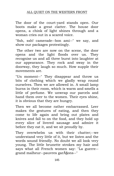### ALL QUIET ON THE WESTERN FRONT

The door of the court-yard stands open. Our boots make a great clatter. The house door opens, a chink of light shines through and a woman cries out in a scared voice.

"Ssh, ssh! camerade--bon ami--" we say, and show our packages protestingly.

The other two are now on the scene, the door opens and the light floods over us. They recognise us and all three burst into laughter at our appearance. They rock and sway in the doorway, they laugh so much. How supple their movements are.

"Un moment--" They disappear and throw us bits of clothing which we gladly wrap round ourselves. Then we are allowed in. A small lamp burns in their room, which is warm and smells a little of perfume. We unwrap our parcels and hand them over to the women. Their eyes shine, it is obvious that they are hungry.

Then we all become rather embarrassed. Leer makes the gestures of eating, and then they come to life again and bring out plates and knives and fall to on the food, and they hold up every slice of livered sausage and admire it before they eat it, and we sit proudly by.

They overwhelm us with their chatter;--we understand very little of it, but we listen and the words sound friendly. No doubt we all look very young. The little brunette strokes my hair and says what all French women say: "La guerre- grand malheur--pauvres garçons--"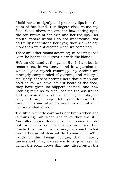I hold her arm tightly and press my lips into the palm of her hand. Her fingers close round my face. Close above me are her bewildering eyes, the soft brown of her skin and her red lips. Her mouth speaks words I do not understand. Nor do I fully understand her eyes; they seem to say more than we anticipated when we came here.

There are other rooms adjoining. In passing I see Leer, he has made a great hit with the blonde.

He's an old hand at the game. But I--I am lost in remoteness, in weakness, and in a passion to which I yield myself trustingly. My desires are strangely compounded of yearning and misery. I feel giddy, there is nothing here that a man can hold on to. We have left our boots at the door, they have given us slippers instead, and now nothing remains to recall for me the assurance and self-confidence of the soldier; no rifle, no belt, no tunic, no cap. I let myself drop into the unknown, come what may--yet, in spite of all, I feel somewhat afraid.

The little brunette contracts her brows when she is thinking; but when she talks they are still. And often sound does not quite become a word but suffocates or floats away over me half finished; an arch, a pathway, a comet. What have I known of it--what do I know of it?--The words of this foreign tongue, that I hardly understand, they caress me to a quietness, in which the room grows dim, and dissolves in the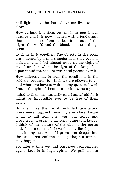half light, only the face above me lives and is clear.

How various is a face; but an hour ago it was strange and it is now touched with a tenderness that comes, not from it, but from out of the night, the world and the blood, all these things seem

to shine in it together. The objects in the room are touched by it and transformed, they become isolated, and I feel almost awed at the sight of my clear skin when the light of the lamp falls upon it and the cool, brown hand passes over it.

How different this is from the conditions in the soldiers' brothels, to which we are allowed to go, and where we have to wait in long queues. I wish I never thought of them; but desire turns my

mind to them involuntarily and I am afraid for it might be impossible ever to be free of them again.

But then I feel the lips of the little brunette and press myself against them, my eyes close, I want it all to fall from me, war and terror and grossness, in order to awaken young and happy; I think of the picture of the girl on the poster and, for a moment, believe that my life depends on winning her. And if I press ever deeper into the arms that embrace me, perhaps a miracle may happen....

So, after a time we find ourselves reassembled again. Leer is in high spirits. We pull on our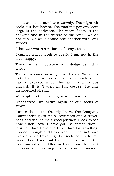boots and take our leave warmly. The night air cools our hot bodies. The rustling poplars loom large in the darkness. The moon floats in the heavens and in the waters of the canal. We do not run, we walk beside one another with long strides.

"That was worth a ration-loaf," says Leer.

I cannot trust myself to speak, I am not in the least happy.

Then we hear footsteps and dodge behind a shrub.

The steps come nearer, close by us. We see a naked soldier, in boots, just like ourselves; he has a package under his arm, and gallops onward. It is Tjaden in full course. He has disappeared already.

We laugh. In the morning he will curse us.

Unobserved, we arrive again at our sacks of straw.

I am called to the Orderly Room. The Company Commander gives me a leave-pass and a travelpass and wishes me a good journey. I look to see how much leave I have got. Seventeen days- fourteen days leave and three days for travelling. It is not enough and I ask whether I cannot have five days for travelling. Bertinck points to my pass. There I see that I am not to return to the front immediately. After my leave I have to report for a course of training to a camp on the moors.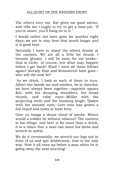The others envy me. Kat gives me good advice, and tells me I ought to try to get a base-job. "If you're smart, you'll hang on to it."

I would rather not have gone for another eight days; we are to stay here that much longer and it is good here.

Naturally I have to stand the others drinks at the canteen. We are all a little bit drunk. I become gloomy: I will be away for six weeks- that is lucky, of course, but what may happen before I get back? Shall I meet all these fellows again? Already Haie and Kemmerich have gone- who will the next be?

As we drink, I look at each of them in turn. Albert sits beside me and smokes, he is cheerful, we have always been together;--opposite squats Kat, with his drooping shoulders, his broad thumb, and calm voice--Müller with the projecting teeth and the booming laugh; Tjaden with his mousey eyes;--Leer who has grown a full beard and looks at least forty.

Over us hangs a dense cloud of smoke. Where would a soldier be without tobacco? The canteen is his refuge, and beer is far more than a drink, it is a token that a man can move his limbs and stretch in safety.

We do it ceremonially, we stretch our legs out in front of us and spit deliberately, that is the only way. How it all rises up before a man when he is going away the next morning!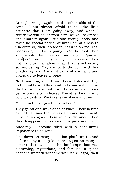At night we go again to the other side of the canal. I am almost afraid to tell the little brunette that I am going away, and when I return we will be far from here; we will never see one another again. But she merely nods and takes no special notice. At first I am at a loss to understand, then it suddenly dawns on me. Yes, Leer is right: if I were going up to the front, then she would have called me again "pauvre gar $\tilde{A}$ Son"; but merely going on leave--she does not want to hear about that, that is not nearly so interesting. May she go to the devil with her chattering talk. A man dreams of a miracle and wakes up to loaves of bread.

Next morning, after I have been de-loused, I go to the rail head. Albert and Kat come with me. At the halt we learn that it will be a couple of hours yet before the train leaves. The other two have to go back to duty. We take leave of one another.

"Good luck, Kat: good luck, Albert."

They go off and wave once or twice. Their figures dwindle. I know their every step and movement; I would recognise them at any distance. Then they disappear. I sit down on my pack and wait.

Suddenly I become filled with a consuming impatience to be gone.

I lie down on many a station platform; I stand before many a soup-kitchen; I squat on many a bench;--then at last the landscape becomes disturbing, mysterious, and familiar. It glides past the western windows with its villages, their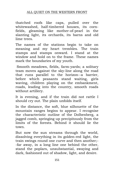thatched roofs like caps, pulled over the whitewashed, half-timbered houses, its cornfields, gleaming like mother-of-pearl in the slanting light, its orchards, its barns and old lime trees.

The names of the stations begin to take on meaning and my heart trembles. The train stamps and stamps onward. I stand at the window and hold on to the frame. These names mark the boundaries of my youth.

Smooth meadows, fields, farm-yards; a solitary team moves against the sky-line along the road that runs parallel to the horizon--a barrier, before which peasants stand waiting, girls waving, children playing on the embankment, roads, leading into the country, smooth roads without artillery.

It is evening, and if the train did not rattle I should cry out. The plain unfolds itself.

In the distance, the soft, blue silhouette of the mountain ranges begins to appear. I recognise the characteristic outline of the Dolbenberg, a jagged comb, springing up precipitously from the limits of the forests. Behind it should lie the town.

But now the sun streams through the world, dissolving everything in its golden-red light, the train swings round one curve and then another;- -far away, in a long line one behind the other, stand the poplars, unsubstantial, swaying and dark, fashioned out of shadow, light, and desire.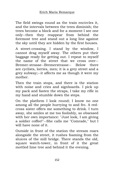The field swings round as the train encircles it, and the intervals between the trees diminish; the trees become a block and for a moment I see one only--then they reappear from behind the foremost tree and stand out a long line against the sky until they are hidden by the first houses.

A street-crossing. I stand by the window, I cannot drag myself away. The others put their baggage ready for getting out. I repeat to myself the name of the street that we cross over-- Bremer-strasse--Bremerstrasse-- Below there are cyclists, lorries, men; it is a grey street and a grey subway;--it affects me as though it were my mother.

Then the train stops, and there is the station with noise and cries and signboards. I pick up my pack and fasten the straps, I take my rifle in my hand and stumble down the steps.

On the platform I look round; I know no one among all the people hurrying to and fro. A redcross sister offers me something to drink. I turn away, she smiles at me too foolishly, so obsessed with her own importance: "Just look, I am giving a soldier coffee!"--She calls me "Comrade," but I will have none of it.

Outside in front of the station the stream roars alongside the street, it rushes foaming from the sluices of the mill bridge. There stands the old, square watch-tower, in front of it the great mottled lime tree and behind it the evening.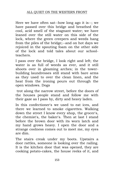Here we have often sat--how long ago it is--; we have passed over this bridge and breathed the cool, acid smell of the stagnant water; we have leaned over the still water on this side of the lock, where the green creepers and weeds hang from the piles of the bridge;--and on hot days we rejoiced in the spouting foam on the other side of the lock and told tales about our schoolteachers.

I pass over the bridge, I look right and left; the water is as full of weeds as ever, and it still shoots over in gleaming arches; in the towerbuilding laundresses still stand with bare arms as they used to over the clean linen, and the heat from the ironing pours out through the open windows. Dogs

trot along the narrow street, before the doors of the houses people stand and follow me with their gaze as I pass by, dirty and heavy laden.

In this confectioner's we used to eat ices, and there we learned to smoke cigarettes. Walking down the street I know every shop, the grocer's, the chemist's, the baker's. Then at last I stand before the brown door with its worn latch and my hand grows heavy. I open the door and a strange coolness comes out to meet me, my eyes are dim.

The stairs creak under my boots. Upstairs a door rattles, someone is looking over the railing. It is the kitchen door that was opened, they are cooking potato-cakes, the house reeks of it, and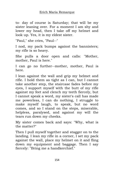to- day of course is Saturday; that will be my sister leaning over. For a moment I am shy and lower my head, then I take off my helmet and look up. Yes, it is my eldest sister.

"Paul," she cries, "Paul--"

I nod, my pack bumps against the bannisters; my rifle is so heavy.

She pulls a door open and calls: "Mother, mother, Paul is here."

I can go no further--mother, mother, Paul is here.

I lean against the wall and grip my helmet and rifle. I hold them as tight as I can, but I cannot take another step, the staircase fades before my eyes, I support myself with the butt of my rifle against my feet and clench my teeth fiercely, but I cannot speak a word, my sister's call has made me powerless, I can do nothing, I struggle to make myself laugh, to speak, but no word comes, and so I stand on the steps, miserable, helpless, paralysed, and against my will the tears run down my cheeks.

My sister comes back and says: "Why, what is the matter?"

Then I pull myself together and stagger on to the landing. I lean my rifle in a corner, I set my pack against the wall, place my helmet on it and fling down my equipment and baggage. Then I say fiercely: "Bring me a handkerchief."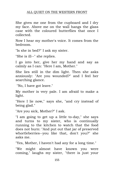#### ALL QUIET ON THE WESTERN FRONT

She gives me one from the cupboard and I dry my face. Above me on the wall hangs the glass case with the coloured butterflies that once I collected.

Now I hear my mother's voice. It comes from the bedroom.

"Is she in bed?" I ask my sister.

"She is ill--" she replies.

I go into her, give her my hand and say as calmly as I can: "Here I am, Mother."

She lies still in the dim light. Then she asks anxiously: "Are you wounded?" and I feel her searching glance.

"No, I have got leave."

My mother is very pale. I am afraid to make a light.

"Here I lie now," says she, "and cry instead of being glad."

"Are you sick, Mother?" I ask.

"I am going to get up a little to-day," she says and turns to my sister, who is continually running to the kitchen to watch that the food does not burn: "And put out that jar of preserved whortleberries--you like that, don't you?" she asks me.

"Yes, Mother, I haven't had any for a long time."

"We might almost have known you were coming," laughs my sister, "there is just your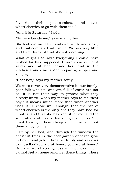favourite dish, potato-cakes, and even whortleberries to go with them too."

"And it is Saturday," I add.

"Sit here beside me," says my mother.

She looks at me. Her hands are white and sickly and frail compared with mine. We say very little and I am thankful that she asks nothing.

What ought I to say? Everything I could have wished for has happened. I have come out of it safely and sit here beside her. And in the kitchen stands my sister preparing supper and singing.

"Dear boy," says my mother softly.

We were never very demonstrative in our family; poor folk who toil and are full of cares are not so. It is not their way to protest what they already know. When my mother says to me "dear boy," it means much more than when another uses it. I know well enough that the jar of whortleberries is the only one they have had for months, and that she has kept it for me; and the somewhat stale cakes that she gives me too. She must have got them cheap some time and put them all by for me.

I sit by her bed, and through the window the chestnut trees in the beer garden opposite glow in brown and gold. I breathe deeply and say over to myself:--"You are at home, you are at home." But a sense of strangeness will not leave me, I cannot feel at home amongst these things. There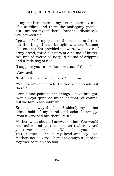# ALL QUIET ON THE WESTERN FRONT

is my mother, there is my sister, there my case of butterflies, and there the mahogany piano- but I am not myself there. There is a distance, a veil between us.

I go and fetch my pack to the bedside and turn out the things I have brought--a whole Edamer cheese, that Kat provided me with, two loaves of army bread, three-quarters of a pound of butter, two tins of livered sausage, a pound of dripping and a little bag of rice.

"I suppose you can make some use of that--"

They nod.

"Is it pretty bad for food here?" I enquire.

"Yes, there's not much. Do you get enough out there?"

I smile and point to the things I have brought. "Not always quite as much as that, of course, but we fare reasonably well."

Erna takes away the food. Suddenly my mother seizes hold of my hand and asks falteringly: "Was it very bad out there, Paul?"

Mother, what should I answer to that! You would not understand, you could never realise it. And you never shall realise it. Was it bad, you ask.-- You, Mother,--I shake my head and say: "No, Mother, not so very. There are always a lot of us together so it isn't so bad."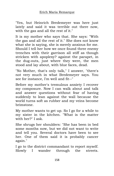"Yes, but Heinrich Bredemeyer was here just lately and said it was terrible out there now, with the gas and all the rest of it."

It is my mother who says that. She says: "With the gas and all the rest of it." She does not know what she is saying, she is merely anxious for me. Should I tell her how we once found three enemy trenches with their garrison all stiff as though stricken with apoplexy? against the parapet, in the dug-outs, just where they were, the men stood and lay about, with blue faces, dead.

"No Mother, that's only talk," I answer, "there's not very much in what Bredemeyer says. You see for instance, I'm well and fit--"

Before my mother's tremulous anxiety I recover my composure. Now I can walk about and talk and answer questions without fear of having suddenly to lean against the wall because the world turns soft as rubber and my veins become brimstone.

My mother wants to get up. So I go for a while to my sister in the kitchen. "What is the matter with her?" I ask.

She shrugs her shoulders: "She has been in bed some months now, but we did not want to write and tell you. Several doctors have been to see her. One of them said it is probably cancer again."

I go to the district commandant to report myself. Slowly I wander through the streets.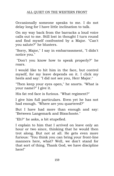# ALL QUIET ON THE WESTERN FRONT

Occasionally someone speaks to me. I do not delay long for I have little inclination to talk.

On my way back from the barracks a loud voice calls out to me. Still lost in thought I turn round and find myself confronted by a Major. "Can't you salute?" he blusters.

"Sorry, Major," I say in embarrassment, "I didn't notice you."

"Don't you know how to speak properly?" he roars.

I would like to hit him in the face, but control myself, for my leave depends on it. I click my heels and say: "I did not see you, Herr Major."

"Then keep your eyes open," he snorts. "What is your name?" I give it.

His fat red face is furious. "What regiment?"

I give him full particulars. Even yet he has not had enough. "Where are you quartered?"

But I have had more than enough and say: "Between Langemark and Bixschoote."

"Eh?" he asks, a bit stupefied.

I explain to him that I arrived on leave only an hour or two since, thinking that he would then trot along. But not at all. He gets even more furious: "You think you can bring your front-line manners here, what? Well, we don't stand for that sort of thing. Thank God, we have discipline here!"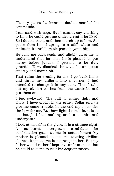"Twenty paces backwards, double march!" he commands.

I am mad with rage. But I cannot say anything to him; he could put me under arrest if he liked. So I double back, and then march up to him. Six paces from him I spring to a stiff salute and maintain it until I am six paces beyond him.

He calls me back again and affably gives me to understand that for once he is pleased to put mercy before justice. I pretend to be duly grateful. "Now, dismiss!" he says. I turn about smartly and march off.

That ruins the evening for me. I go back home and throw my uniform into a corner; I had intended to change it in any case. Then I take out my civilian clothes from the wardrobe and put them on.

I feel awkward. The suit is rather tight and short, I have grown in the army. Collar and tie give me some trouble. In the end my sister ties the bow for me. But how light the suit is, it feels as though I had nothing on but a shirt and underpants.

I look at myself in the glass. It is a strange sight. A sunburnt, overgrown candidate for confirmation gazes at me in astonishment My mother is pleased to see me wearing civilian clothes; it makes me less strange to her. But my father would rather I kept my uniform on so that he could take me to visit his acquaintances.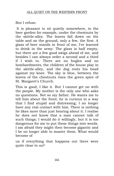But I refuse.

It is pleasant to sit quietly somewhere, in the beer garden for example, under the chestnuts by the skittle-alley. The leaves fall down on the table and on the ground, only a few, the first. A glass of beer stands in front of me, I've learned to drink in the army. The glass is half empty, but there are a few good swigs ahead of me, and besides I can always order a second and a third if I wish to. There are no bugles and no bombardments, the children of the house play in the skittle-alley, and the dog rests his head against my knee. The sky is blue, between the leaves of the chestnuts rises the green spire of St. Margaret's Church.

This is good, I like it. But I cannot get on with the people. My mother is the only one who asks no questions. Not so my father. He wants me to tell him about the front; he is curious in a way that I find stupid and distressing; I no longer have any real contact with him. There is nothing he likes more than just hearing about it. I realise he does not know that a man cannot talk of such things; I would do it willingly, but it is too dangerous for me to put these things into words. I am afraid they might then become gigantic and I be no longer able to master them. What would become of

us if everything that happens out there were quite clear to us?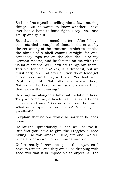So I confine myself to telling him a few amusing things. But he wants to know whether I have ever had a hand-to-hand fight. I say "No," and get up and go out.

But that does not mend matters. After I have been startled a couple of times in the street by the screaming of the tramcars, which resembles the shriek of a shell coming straight for one, somebody taps me on the shoulder. It is my German-master, and he fastens on me with the usual question: "Well, how are things out there? Terrible, terrible, eh? Yes, it is dreadful, but we must carry on. And after all, you do at least get decent food out there, so I hear. You look well, Paul, and fit. Naturally it's worse here. Naturally. The best for our soldiers every time, that goes without saying."

He drags me along to a table with a lot of others. They welcome me, a head-master shakes hands with me and says: "So you come from the front? What is the spirit like out there? Excellent, eh? excellent?"

I explain that no one would be sorry to be back home.

He laughs uproariously. "I can well believe it! But first you have to give the Froggies a good hiding. Do you smoke? Here, try one. Waiter, bring a beer as well for our young warrior."

Unfortunately I have accepted the cigar, so I have to remain. And they are all so dripping with good will that it is impossible to object. All the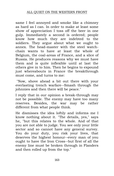same I feel annoyed and smoke like a chimney as hard as I can. In order to make at least some show of appreciation I toss off the beer in one gulp. Immediately a second is ordered; people know how much they are indebted to the soldiers. They argue about what we ought to annex. The head-master with the steel watchchain wants to have at least the whole of Belgium, the coal-areas of France, and a slice of Russia. He produces reasons why we must have them and is quite inflexible until at last the others give in to him. Then he begins to expound just whereabouts in France the breakthrough must come, and turns to me:

"Now, shove ahead a bit out there with your everlasting trench warfare--Smash through the johnnies and then there will be peace."

I reply that in our opinion a break-through may not be possible. The enemy may have too many reserves. Besides, the war may be rather different from what people think.

He dismisses the idea loftily and informs me I know nothing about it. "The details, yes," says he, "but this relates to the whole. And of that you are not able to judge. You see only your little sector and so cannot have any general survey. You do your duty, you risk your lives, that deserves the highest honour--every man of you ought to have the Iron Cross--but first of all the enemy line must be broken through in Flanders and then rolled up from the top."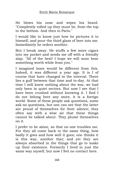He blows his nose and wipes his beard. "Completely rolled up they must be, from the top to the bottom. And then to Paris."

I would like to know just how he pictures it to himself, and pour the third glass of beer into me. Immediately he orders another.

But I break away. He stuffs a few more cigars into my pocket and sends me off with a friendly slap. "All of the best! I hope we will soon hear something worth while from you."

I imagined leave would be different from this. Indeed, it was different a year ago. It is I of course that have changed in the interval. There lies a gulf between that time and to-day. At that time I still knew nothing about the war, we had only been in quiet sectors. But now I see that I have been crushed without knowing it. I find I do not belong here any more, it is a foreign world. Some of these people ask questions, some ask no questions, but one can see that the latter are proud of themselves for their silence; they often say with a wise air that these things cannot be talked about. They plume themselves on it.

I prefer to be alone, so that no one troubles me. For they all come back to the same thing, how badly it goes and how well it goes; one thinks it is this way, another that; and yet they are always absorbed in the things that go to make up their existence. Formerly I lived in just the same way myself, but now I feel no contact here.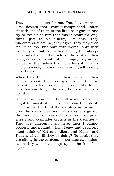They talk too much for me. They have worries, aims, desires, that I cannot comprehend. I often sit with one of them in the little beer garden and try to explain to him that this is really the only thing: just to sit quietly, like this. They understand of course, they agree, they may even feel it so too, but only with words, only with words, yes, that is it--they feel it, but always with only half of themselves, the rest of their being is taken up with other things, they are so divided in themselves that none feels it with his whole essence; I cannot even say myself exactly what I mean.

When I see them here, in their rooms, in their offices, about their occupations, I feel an irresistible attraction in it, I would like to be here too and forget the war; but also it repels me, it is

so narrow, how can that fill a man's life, he ought to smash it to bits; how can they do it, while out at the front the splinters are whining over the shell-holes and the star-shells go up, the wounded are carried back on waterproof sheets and comrades crouch in the trenches.-- They are different men here, men I cannot properly understand, whom I envy and despise. I must think of Kat and Albert and Müller and Tjaden, what will they be doing? No doubt they are sitting in the canteen, or perhaps swimming- -soon they will have to go up to the front-line again.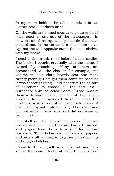In my room behind the table stands a brown leather sofa. I sit down on it.

On the walls are pinned countless pictures that I once used to cut out of the newspapers. In between are drawings and postcards that have pleased me. In the corner is a small iron stove. Against the wall opposite stand the book-shelves with my books.

I used to live in this room before I was a soldier. The books I bought gradually with the money I earned by coaching. Many of them are secondhand, all the classics for example, one volume in blue cloth boards cost one mark twenty pfennig. I bought them complete because it was thoroughgoing, I did not trust the editors of selections to choose all the best. So I purchased only "collected works." I read most of them with laudible zeal, but few of them really appealed to me. I preferred the other books, the moderns, which were of course much dearer. A few I came by not quite honestly, I borrowed and did not return them because I did not want to part with them.

One shelf is filled with school books. They are not so well cared for, they are badly thumbed, and pages have been torn out for certain purposes. Then below are periodicals, papers, and letters all jammed in together with drawings and rough sketches.

I want to think myself back into that time. It is still in the room, I feel it at once, the walls have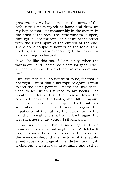preserved it. My hands rest on the arms of the sofa; now I make myself at home and draw up my legs so that I sit comfortably in the corner, in the arms of the sofa. The little window is open, through it I see the familiar picture of the street with the rising spire of the church at the end. There are a couple of flowers on the table. Penholders, a shell as a paper-weight, the ink-well- here nothing is changed.

It will be like this too, if I am lucky, when the war is over and I come back here for good. I will sit here just like this and look at my room and wait.

I feel excited; but I do not want to be, for that is not right. I want that quiet rapture again. I want to feel the same powerful, nameless urge that I used to feel when I turned to my books. The breath of desire that then arose from the coloured backs of the books, shall fill me again, melt the heavy, dead lump of lead that lies somewhere in me and waken again the impatience of the future, the quick joy in the world of thought, it shall bring back again the lost eagerness of my youth. I sit and wait.

It occurs to me that I must go and see Kemmerich's mother;--I might visit Mittelstaedt too, he should be at the barracks. I look out of the window;--beyond the picture of the sunlit street appears a range of hills, distant and light; it changes to a clear day in autumn, and I sit by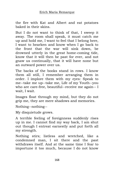the fire with Kat and Albert and eat potatoes baked in their skins.

But I do not want to think of that, I sweep it away. The room shall speak, it must catch me up and hold me, I want to feel that I belong here, I want to hearken and know when I go back to the front that the war will sink down, be drowned utterly in the great home-coming tide, know that it will then be past for ever, and not gnaw us continually, that it will have none but an outward power over us.

The backs of the books stand in rows. I know them all still, I remember arranging them in order. I implore them with my eyes: Speak to me--take me up--take me, Life of my Youth--you who are care-free, beautiful--receive me again-- I wait, I wait.

Images float through my mind, but they do not grip me, they are mere shadows and memories.

Nothing--nothing--

My disquietude grows.

A terrible feeling of foreignness suddenly rises up in me. I cannot find my way back, I am shut out though I entreat earnestly and put forth all my strength.

Nothing stirs; listless and wretched, like a condemned man, I sit there and the past withdraws itself. And at the same time I fear to importune it too much, because I do not know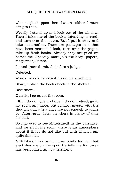# ALL QUIET ON THE WESTERN FRONT

what might happen then. I am a soldier, I must cling to that.

Wearily I stand up and look out of the window. Then I take one of the books, intending to read, and turn over the leaves. But I put it away and take out another. There are passages in it that have been marked. I look, turn over the pages, take up fresh books. Already they are piled up beside me. Speedily more join the heap, papers, magazines, letters.

I stand there dumb. As before a judge.

Dejected.

Words, Words, Words--they do not reach me.

Slowly I place the books back in the shelves.

Nevermore.

Quietly, I go out of the room.

Still I do not give up hope. I do not indeed, go to my room any more, but comfort myself with the thought that a few days are not enough to judge by. Afterwards--later on--there is plenty of time for that.

So I go over to see Mittelstaedt in the barracks, and we sit in his room; there is an atmosphere about it that I do not like but with which I am quite familiar.

Mittelstaedt has some news ready for me that electrifies me on the spot. He tells me Kantorek has been called up as a territorial.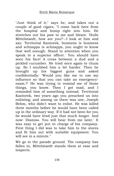"Just think of it," says he, and takes out a couple of good cigars, "I come back here from the hospital and bump right into him. He stretches out his paw to me and bleats: 'Hullo Mittelstaedt, how are you?'--I look at him and say: Territorial Kantorek, business is business and schnapps is schnapps, you ought to know that well enough. Stand to attention when you speak to a superior officer.' You should have seen his face! A cross between a dud and a pickled cucumber. He tried once again to chum up. So I snubbed him a bit harder. Then he brought up his biggest guns and asked confidentially: 'Would you like me to use my influence so that you can take an emergencyexam.?' He was trying to remind me of those things, you know. Then I got mad, and I reminded him of something instead. Territorial Kantorek, two years ago you preached us into enlisting; and among us there was one, Joseph Behm, who didn't want to enlist. He was killed three months before he would have been called up in the ordinary way. If it had not been for you he would have lived just that much longer. And now: Dismiss. You will hear from me later.' It was easy to get put in charge of his company. First thing I did was to take him to the stores and fit him out with suitable equipment. You will see in a minute."

We go to the parade ground. The company has fallen in, Mittelstaedt stands them at ease and inspects.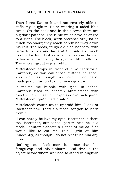Then I see Kantorek and am scarcely able to stifle my laughter. He is wearing a faded blue tunic. On the back and in the sleeves there are big dark patches. The tunic must have belonged to a giant. The black, worn breeches are just as much too short; they reach barely halfway down his calf. The boots, tough old clod-hoppers, with turned-up toes and laces at the side are much too big for him. But as a compensation the cap is too small, a terribly dirty, mean little pill-box. The whole rig-out is just pitiful.

Mittelstaedt stops in front of him: "Territorial Kantorek, do you call those buttons polished? You seem as though you can never learn. Inadequate, Kantorek, quite inadequate--"

It makes me bubble with glee. In school Kantorek used to chasten Mittelstaedt with exactly the same expression--"Inadequate, Mittelstaedt, quite inadequate."

Mittelstaedt continues to upbraid him: "Look at Boettcher now, there's a model for you to learn from."

I can hardly believe my eyes. Boettcher is there too, Boettcher, our school porter. And he is a model! Kantorek shoots a glance at me as if he would like to eat me. But I grin at him innocently, as though I do not recognise him any more.

Nothing could look more ludicrous than his forage-cap and his uniform. And this is the object before whom we used to stand in anguish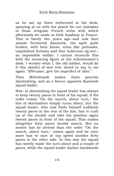as he sat up there enthroned at his desk, spearing at us with his pencil for our mistakes in those irregular French verbs with which afterwards we made so little headway in France. That is barely two years ago--and now here stands Territorial Kantorek, the spell quite broken, with bent knees, arms like pothooks, unpolished buttons and that ludicrous rig-out- an impossible soldier. I cannot reconcile this with the menacing figure at the schoolmaster's desk. I wonder what I, the old soldier, would do if this skinful of woe ever dared to say to me again: "Bäumer, give the imperfect of 'aller."

Then Mittelstaedt makes them practise skirmishing, and as a favour appoints Kantorek squad leader.

Now, in skirmishing the squad leader has always to keep twenty paces in front of his squad; if the order comes "On the march, about turn," the line of skirmishers simply turns about, but the squad leader, who now finds himself suddenly twenty paces in the rear of the line, has to rush up at the double and take his position again twenty paces in front of the squad. That makes altogether forty paces double march. But no sooner has he arrived than the order "On the march, about turn," comes again and he once more has to race at top speed another forty paces to the other side. In this way the squad has merely made the turn-about and a couple of paces, while the squad-leader dashes backwards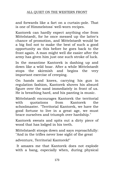and forwards like a fart on a curtain-pole. That is one of Himmelstoss' well-worn recipes.

Kantorek can hardly expect anything else from Mittelstaedt, for he once messed up the latter's chance of promotion, and Mittelstaedt would be a big fool not to make the best of such a good opportunity as this before he goes back to the front again. A man might well die easier after the army has given him just one such stroke of luck.

In the meantime Kantorek is dashing up and down like a wild boar. After a while Mittelstaedt stops the skirmish and begins the very important exercise of creeping.

On hands and knees, carrying his gun in regulation fashion, Kantorek shoves his absurd figure over the sand immediately in front of us. He is breathing hard, and his panting is music.

Mittelstaedt encourages Kantorek the territorial with quotations from Kantorek the schoolmaster. "Territorial Kantorek, we have the good fortune to live in a great age, we must brace ourselves and triumph over hardship."

Kantorek sweats and spits out a dirty piece of wood that has lodged in his teeth.

Mittelstaedt stoops down and says reproachfully: "And in the trifles never lose sight of the great

adventure, Territorial Kantorek!"

It amazes me that Kantorek does not explode with a bang, especially when, during physical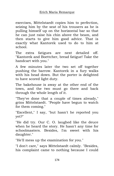exercises, Mittelstaedt copies him to perfection, seizing him by the seat of his trousers as he is pulling himself up on the horizontal bar so that he can just raise his chin above the beam, and then starts to give him good advice. That is exactly what Kantorek used to do to him at school.

The extra fatigues are next detailed off. "Kantorek and Boettcher, bread fatigue! Take the handcart with you."

A few minutes later the two set off together pushing the barrow. Kantorek in a fury walks with his head down. But the porter is delighted to have scored light duty.

The bakehouse is away at the other end of the town, and the two must go there and back through the whole length of it.

"They've done that a couple of times already," grins Mittelstaedt. "People have begun to watch for them coming."

"Excellent," I say, "but hasn't he reported you yet?"

"He did try. Our C. O. laughed like the deuce when he heard the story. He hasn't any time for schoolmasters. Besides, I'm sweet with his daughter."

"He'll mess up the examination for you."

"I don't care," says Mittelstaedt calmly. "Besides, his complaint came to nothing because I could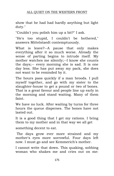show that he had had hardly anything but light duty."

"Couldn't you polish him up a bit?" I ask.

"He's too stupid, I couldn't be bothered," answers Mittelstaedt contemptuously.

What is leave?--A pause that only makes everything after it so much worse. Already the sense of parting begins to intrude itself. My mother watches me silently;--I know she counts the days;-- every morning she is sad. It is one day less. She has put away my pack, she does not want to be reminded by it.

The hours pass quickly if a man broods. I pull myself together, and go with my sister to the slaughter-house to get a pound or two of bones. That is a great favour and people line up early in the morning and stand waiting. Many of them faint.

We have no luck. After waiting by turns for three hours the queue disperses. The bones have not lasted out.

It is a good thing that I get my rations. I bring them to my mother and in that way we all get

something decent to eat.

The days grow ever more strained and my mother's eyes more sorrowful. Four days left now. I must go and see Kemmerich's mother.

I cannot write that down. This quaking, sobbing woman who shakes me and cries out on me: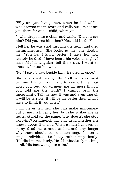"Why are you living then, when he is dead?"- who drowns me in tears and calls out: "What are you there for at all, child, when you --"--"

"--who drops into a chair and wails: "Did you see him? Did you see him then? How did he die?"

I tell her he was shot through the heart and died instantaneously. She looks at me, she doubts me: "You lie. I know better. I have felt how terribly he died. I have heard his voice at night, I have felt his anguish--tell the truth, I want to know it, I must know it."

"No," I say, "I was beside him. He died at once."

She pleads with me gently: "Tell me. You must tell me. I know you want to comfort me, but don't you see, you torment me far more than if you told me the truth? I cannot bear the uncertainty. Tell me how it was and even though it will be terrible, it will be far better than what I have to think if you don't."

I will never tell her, she can make mincemeat out of me first. I pity her, but she strikes me as rather stupid all the same. Why doesn't she stop worrying? Kemmerich will stay dead whether she knows about it or not. When a man has seen so many dead he cannot understand any longer why there should be so much anguish over a single individual. So I say rather impatiently: "He died immediately. He felt absolutely nothing at all. His face was quite calm."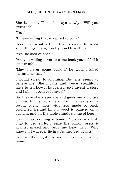### ALL QUIET ON THE WESTERN FRONT

She is silent. Then she says slowly: "Will you swear it?"

"Yes."

"By everything that is sacred to you?"

Good God, what is there that is sacred to me?- such things change pretty quickly with us.

"Yes, he died at once."

"Are you willing never to come back yourself, if it isn't true?"

"May I never come back if he wasn't killed instantaneously."

I would swear to anything. But she seems to believe me. She moans and weeps steadily. I have to tell how it happened, so I invent a story and I almost believe it myself.

As I leave she kisses me and gives me a picture of him. In his recruit's uniform he leans on a round rustic table with legs made of birch branches. Behind him a wood is painted on a curtain, and on the table stands a mug of beer.

It is the last evening at home. Everyone is silent. I go to bed early, I seize the pillow, press it against myself and bury my head in it. Who knows if I will ever lie in a feather bed again?

Late in the night my mother comes into my room.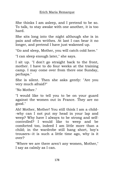She thinks I am asleep, and I pretend to be so. To talk, to stay awake with one another, it is too hard.

She sits long into the night although she is in pain and often writhes. At last I can bear it no longer, and pretend I have just wakened up.

"Go and sleep, Mother, you will catch cold here."

"I can sleep enough later," she says.

I sit up. "I don't go straight back to the front, mother. I have to do four weeks at the training camp. I may come over from there one Sunday, perhaps."

She is silent. Then she asks gently: "Are you very much afraid?"

"No Mother."

"I would like to tell you to be on your guard against the women out in France. They are no good."

Ah! Mother, Mother! You still think I am a child- -why can I not put my head in your lap and weep? Why have I always to be strong and selfcontrolled? I would like to weep and be comforted too, indeed I am little more than a child; in the wardrobe still hang short, boy's trousers--it is such a little time ago, why is it over?

"Where we are there aren't any women, Mother," I say as calmly as I can.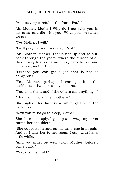"And be very careful at the front, Paul."

Ah, Mother, Mother! Why do I not take you in my arms and die with you. What poor wretches we are!

"Yes Mother, I will."

"I will pray for you every day, Paul."

Ah! Mother, Mother! Let us rise up and go out, back through the years, where the burden of all this misery lies on us no more, back to you and me alone, mother!

"Perhaps you can get a job that is not so dangerous."

"Yes, Mother, perhaps I can get into the cookhouse, that can easily be done."

"You do it then, and if the others say anything--"

"That won't worry me, mother--"

She sighs. Her face is a white gleam in the darkness.

"Now you must go to sleep, Mother."

She does not reply. I get up and wrap my cover round her shoulders.

She supports herself on my arm, she is in pain. And so I take her to her room. I stay with her a little while.

"And you must get well again, Mother, before I come back."

"Yes, yes, my child."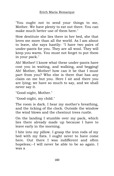"You ought not to send your things to me, Mother. We have plenty to eat out there. You can make much better use of them here."

How destitute she lies there in her bed, she that loves me more than all the world. As I am about to leave, she says hastily: "I have two pairs of under-pants for you. They are all wool. They will keep you warm. You must not forget to put them in your pack."

Ah! Mother! I know what these under-pants have cost you in waiting, and walking, and begging! Ah! Mother, Mother! how can it be that I must part from you? Who else is there that has any claim on me but you. Here I sit and there you are lying; we have so much to say, and we shall never say it.

"Good-night, Mother."

"Good-night, my child."

The room is dark. I hear my mother's breathing, and the ticking of the clock. Outside the window the wind blows and the chestnut trees rustle.

On the landing I stumble over my pack, which lies there already made up because I have to leave early in the morning.

I bite into my pillow. I grasp the iron rods of my bed with my fists. I ought never to have come here. Out there I was indifferent and often hopeless;--I will never be able to be so again. I was a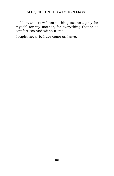soldier, and now I am nothing but an agony for myself, for my mother, for everything that is so comfortless and without end.

I ought never to have come on leave.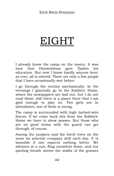# EIGHT

I already know the camp on the moors. It was here that Himmelstoss gave Tjaden his education. But now I know hardly anyone here; as ever, all is altered. There are only a few people that I have occasionally met before.

I go through the routine mechanically. In the evenings I generally go to the Soldiers' Home, where the newspapers are laid out, but I do not read them; still there is a piano there that I am glad enough to play on. Two girls are in attendance, one of them is young.

The camp is surrounded with high barbed-wire fences. If we come back late from the Soldiers' Home we have to show passes. But those who are on good terms with the guard can get through, of course.

Among the junipers and the birch trees on the moor we practise company drill each day. It is bearable if one expects nothing better. We advance at a run, fling ourselves down, and our panting breath moves the stalks of the grasses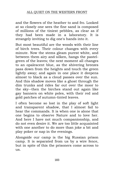and the flowers of the heather to and fro. Looked at so closely one sees the fine sand is composed of millions of the tiniest pebbles, as clear as if they had been made in a laboratory. It is strangely inviting to dig one's hands into it.

But most beautiful are the woods with their line of birch trees. Their colour changes with every minute. Now the stems gleam purest white, and between them airy and silken, hangs the pastelgreen of the leaves; the next moment all changes to an opalescent blue, as the shivering breezes pass down from the heights and touch the green lightly away; and again in one place it deepens almost to black as a cloud passes over the sun. And this shadow moves like a ghost through the dim trunks and rides far out over the moor to the sky--then the birches stand out again like gay banners on white poles, with their red and gold patches of autumn-tinted leaves.

I often become so lost in the play of soft light and transparent shadow, that I almost fail to hear the commands. It is when one is alone that one begins to observe Nature and to love her. And here I have not much companionship, and do not even desire it. We are too little acquainted with one another to do more than joke a bit and play poker or nap in the evenings.

Alongside our camp is the big Russian prison camp. It is separated from us by a wire fence, but in spite of this the prisoners come across to us.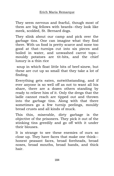They seem nervous and fearful, though most of them are big fellows with beards--they look like meek, scolded, St. Bernard dogs.

They slink about our camp and pick over the garbage tins. One can imagine what they find there. With us food is pretty scarce and none too good at that--turnips cut into six pieces and boiled in water, and unwashed carrot tops- mouldy potatoes are tit-bits, and the chief luxury is a thin rice

soup in which float little bits of beef-sinew, but these are cut up so small that they take a lot of finding.

Everything gets eaten, notwithstanding, and if ever anyone is so well off as not to want all his share, there are a dozen others standing by ready to relieve him of it. Only the dregs that the ladle cannot reach are tipped out and thrown into the garbage tins. Along with that there sometimes go a few turnip peelings, mouldy bread crusts and all kinds of muck.

This thin, miserable, dirty garbage is the objective of the prisoners. They pick it out of the stinking tins greedily and go off with it under their blouses.

It is strange to see these enemies of ours so close up. They have faces that make one think- honest peasant faces, broad foreheads, broad noses, broad mouths, broad hands, and thick hair.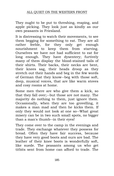They ought to be put to threshing, reaping, and apple picking. They look just as kindly as our own peasants in Friesland.

It is distressing to watch their movements, to see them begging for something to eat. They are all rather feeble, for they only get enough nourishment to keep them from starving. Ourselves we have not had sufficient to eat for long enough. They have dysentery; furtively many of them display the blood-stained tails of their shirts. Their backs, their necks are bent, their knees sag, their heads droop as they stretch out their hands and beg in the few words of German that they know--beg with those soft, deep, musical voices, that are like warm stoves and cosy rooms at home.

Some men there are who give them a kick, so that they fall over;--but those are not many. The majority do nothing to them, just ignore them. Occasionally, when they are too grovelling, it makes a man mad and then he kicks them. If only they would not look at one so--What great misery can be in two such small spots, no bigger than a man's thumb--in their eyes!

They come over to the camp in the evenings and trade. They exchange whatever they possess for bread. Often they have fair success, because they have very good boots and ours are bad. The leather of their knee boots is wonderfully soft, like suede. The peasants among us who get titbits sent from home can afford to trade. The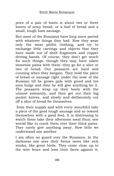price of a pair of boots is about two or three loaves of army bread, or a loaf of bread and a small, tough ham sausage.

But most of the Russians have long since parted with whatever things they had. Now they wear only the most pitiful clothing, and try to exchange little carvings and objects that they have made out of shell fragments and copper driving bands. Of course, they don't get much for such things, though they may have taken immense pains with them--they go for a slice or two of bread. Our peasants are hard and cunning when they bargain. They hold the piece of bread or sausage right under the nose of the Russian till he grows pale with greed and his eyes bulge and then he will give anything for it. The peasants wrap up their booty with the utmost solemnity, and then get out their big pocket knives, and slowly and deliberately cut off a slice of bread for themselves

from their supply and with every mouthful take a piece of the good tough sausage and so reward themselves with a good feed. It is distressing to watch them take their afternoon meal thus; one would like to crack them over their thick pates. They rarely give anything away. How little we understand one another.

I am often on guard over the Russians. In the darkness one sees their forms move like sick storks, like great birds. They come close up to the wire fence and lean their faces against it;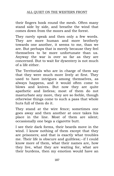their fingers hook round the mesh. Often many stand side by side, and breathe the wind that comes down from the moors and the forest.

They rarely speak and then only a few words. They are more human and more brotherly towards one another, it seems to me, than we are. But perhaps that is merely because they feel themselves to be more unfortunate than us. Anyway the war is over so far as they are concerned. But to wait for dysentery is not much of a life either.

The Territorials who are in charge of them say that they were much more lively at first. They used to have intrigues among themselves, as always happens, and it would often come to blows and knives. But now they are quite apathetic and listless; most of them do not masturbate any more, they are so feeble, though otherwise things come to such a pass that whole huts full of them do it.

They stand at the wire fence; sometimes one goes away and then another at once takes his place in the line. Most of them are silent; occasionally one begs a cigarette butt.

I see their dark forms, their beards move in the wind. I know nothing of them except that they are prisoners; and that is exactly what troubles me. Their life is obscure and guiltless;--if I could know more of them, what their names are, how they live, what they are waiting for, what are their burdens, then my emotion would have an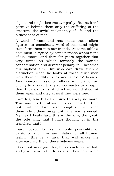object and might become sympathy. But as it is I perceive behind them only the suffering of the creature, the awful melancholy of life and the pitilessness of men.

A word of command has made these silent figures our enemies; a word of command might transform them into our friends. At some table a document is signed by some persons whom none of us knows, and then for years together that very crime on which formerly the world's condemnation and severest penalty fall, becomes our highest aim. But who can draw such a distinction when he looks at these quiet men with their childlike faces and apostles' beards. Any non-commissioned officer is more of an enemy to a recruit, any schoolmaster to a pupil, than they are to us. And yet we would shoot at them again and they at us if they were free.

I am frightened: I dare think this way no more. This way lies the abyss. It is not now the time but I will not lose these thoughts, I will keep them, shut them away until the war is ended. My heart beats fast: this is the aim, the great, the sole aim, that I have thought of in the trenches; that I

have looked for as the only possibility of existence after this annihilation of all human feeling; this is a task that will make life afterward worthy of these hideous years.

I take out my cigarettes, break each one in half and give them to the Russians. They bow to me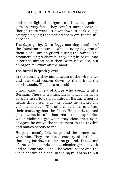# ALL QUIET ON THE WESTERN FRONT

and then light the cigarettes. Now red points glow in every face. They comfort me; it looks as though there were little windows in dark village cottages saying that behind them are rooms full of peace.

The days go by. On a foggy morning another of the Russians is buried; almost every day one of them dies. I am on guard during the burial. The prisoners sing a chorale, they sing in parts, and it sounds almost as if there were no voices, but an organ far away on the moor.

The burial is quickly over.

In the evening they stand again at the wire fence and the wind comes down to them from the beech woods. The stars are cold.

I now know a few of those who speak a little German. There is a musician amongst them, he says he used to be a violinist in Berlin. When he hears that I can play the piano he fetches his violin and plays. The others sit down and lean their backs against the fence. He stands up and plays, sometimes he has that absent expression which violinists get when they close their eyes; or again he sways the instrument to the rhythm and smiles across to me.

He plays mostly folk songs and the others hum with him. They are like a country of dark hills that sing far down under the ground. The sound of the violin stands like a slender girl above it and is clear and alone. The voices cease and the violin continues alone. In the night it is so thin it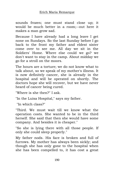sounds frozen; one must stand close up; it would be much better in a room;--out here it makes a man grow sad.

Because I have already had a long leave I get none on Sundays. So the last Sunday before I go back to the front my father and eldest sister come over to see me. All day we sit in the Soldiers' Home. Where else could we go? we don't want to stay in the camp. About midday we go for a stroll on the moors.

The hours are a torture; we do not know what to talk about, so we speak of my mother's illness. It is now definitely cancer, she is already in the hospital and will be operated on shortly. The doctors hope she will recover, but we have never heard of cancer being cured.

"Where is she then?" I ask.

"In the Luisa Hospital," says my father.

"In which class?"

"Third. We must wait till we know what the operation costs. She wanted to be in the third herself. She said that then she would have some company. And besides it is cheaper."

"So she is lying there with all those people. If only she could sleep properly."

My father nods. His face is broken and full of furrows. My mother has always been sickly; and though she has only gone to the hospital when she has been compelled to, it has cost a great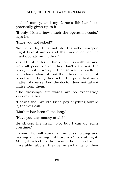## ALL QUIET ON THE WESTERN FRONT

deal of money, and my father's life has been practically given up to it.

"If only I knew how much the operation costs," says he.

"Have you not asked?"

"Not directly, I cannot do that--the surgeon might take it amiss and that would not do; he must operate on mother."

Yes, I think bitterly, that's how it is with us, and with all poor people. They don't dare ask the price, but worry themselves dreadfully beforehand about it; but the others, for whom it is not important, they settle the price first as a matter of course. And the doctor does not take it amiss from them.

"The dressings afterwards are so expensive," says my father.

"Doesn't the Invalid's Fund pay anything toward it, then?" I ask.

"Mother has been ill too long."

"Have you any money at all?"

He shakes his head: "No, but I can do some overtime."

I know. He will stand at his desk folding and pasting and cutting until twelve o'clock at night. At eight o'clock in the evening he will eat some miserable rubbish they get in exchange for their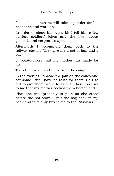food tickets, then he will take a powder for his headache and work on.

In order to cheer him up a bit I tell him a few stories, soldiers' jokes and the like, about generals and sergeant-majors.

Afterwards I accompany them both to the railway station. They give me a pot of jam and a bag

of potato-cakes that my mother has made for me.

Then they go off and I return to the camp.

In the evening I spread the jam on the cakes and eat some. But I have no taste for them. So I go out to give them to the Russians. Then it occurs to me that my mother cooked them herself and

that she was probably in pain as she stood before the hot stove. I put the bag back in my pack and take only two cakes to the Russians.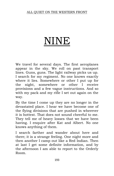#### ALL QUIET ON THE WESTERN FRONT

# NINE

We travel for several days. The first aeroplanes appear in the sky. We roll on past transport lines. Guns, guns. The light railway picks us up. I search for my regiment. No one knows exactly where it lies. Somewhere or other I put up for the night, somewhere or other I receive provisions and a few vague instructions. And so with my pack and my rifle I set out again on the way.

By the time I come up they are no longer in the devastated place. I hear we have become one of the flying divisions that are pushed in wherever it is hottest. That does not sound cheerful to me. They tell me of heavy losses that we have been having. I enquire after Kat and Albert. No one knows anything of them.

I search farther and wander about here and there; it is a strange feeling. One night more and then another I camp out like a Red Indian. Then at last I get some definite information, and by the afternoon I am able to report to the Orderly Room.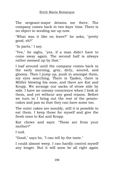The sergeant-major detains me there. The company comes back in two days' time. There is no object in sending me up now.

"What was it like on leave?" he asks, "pretty good, eh?"

"In parts," I say.

"Yes," he sighs, "yes, if a man didn't have to come away again. The second half is always rather messed up by that."

I loaf around until the company comes back in the early morning, grey, dirty, soured, and gloomy. Then I jump up, push in amongst them, my eyes searching. There is Tjaden, there is Müller blowing his nose, and there are Kat and Kropp. We arrange our sacks of straw side by side. I have an uneasy conscience when I look at them, and yet without any good reason. Before we turn in I bring out the rest of the potatocakes and jam so that they can have some too.

The outer cakes are mouldy, still it is possible to eat them. I keep those for myself and give the fresh ones to Kat and Kropp.

Kat chews and says: "These are from your mother?"

I nod.

"Good," says he, "I can tell by the taste."

I could almost weep. I can hardly control myself any longer. But it will soon be all right again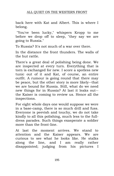back here with Kat and Albert. This is where I belong.

"You've been lucky," whispers Kropp to me before we drop off to sleep, "they say we are going to Russia."

To Russia? It's not much of a war over there.

In the distance the front thunders. The walls of the hut rattle.

There's a great deal of polishing being done. We are inspected at every turn. Everything that is torn is exchanged for new. I score a spotless new tunic out of it and Kat, of course, an entire outfit. A rumour is going round that there may be peace, but the other story is more likely--that we are bound for Russia. Still, what do we need new things for in Russia? At last it leaks out- the Kaiser is coming to review us. Hence all the inspections.

For eight whole days one would suppose we were in a base-camp, there is so much drill and fuss. Everyone is peevish and touchy, we do not take kindly to all this polishing, much less to the fulldress parades. Such things exasperate a soldier more than the front-line.

At last the moment arrives. We stand to attention and the Kaiser appears. We are curious to see what he looks like. He stalks along the line, and I am really rather disappointed; judging from his pictures I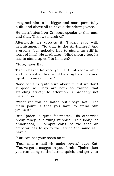imagined him to be bigger and more powerfully built, and above all to have a thundering voice.

He distributes Iron Crosses, speaks to this man and that. Then we march off.

Afterwards we discuss it. Tjaden says with astonishment: "So that is the All-Highest! And everyone, bar nobody, has to stand up stiff in front of him!" He meditates: "Hindenburg too, he has to stand up stiff to him, eh?"

"Sure," says Kat.

Tjaden hasn't finished yet. He thinks for a while and then asks: "And would a king have to stand up stiff to an emperor?"

None of us is quite sure about it, but we don't suppose so. They are both so exalted that standing strictly to attention is probably not insisted on.

"What rot you do hatch out," says Kat. "The main point is that you have to stand stiff yourself."

But Tjaden is quite fascinated. His otherwise prosy fancy is blowing bubbles. "But look," he announces, "I simply can't believe that an emperor has to go to the latrine the same as I have."

"You can bet your boots on it."

"Four and a half-wit make seven," says Kat. "You've got a maggot in your brain, Tjaden, just you run along to the latrine quick, and get your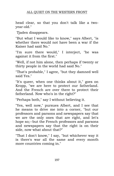head clear, so that you don't talk like a twoyear-old."

Tjaden disappears.

"But what I would like to know," says Albert, "is whether there would not have been a war if the Kaiser had said No."

"I'm sure there would," I interject, "he was against it from the first."

"Well, if not him alone, then perhaps if twenty or thirty people in the world had said No."

"That's probable," I agree, "but they damned well said Yes."

"It's queer, when one thinks about it," goes on Kropp, "we are here to protect our fatherland. And the French are over there to protect their fatherland. Now who's in the right?"

"Perhaps both," say I without believing it.

"Yes, well now," pursues Albert, and I see that he means to drive me into a corner, "but our professors and parsons and newspapers say that we are the only ones that are right, and let's hope so;--but the French professors and parsons and newspapers say that the right is on their side, now what about that?"

"That I don't know," I say, "but whichever way it is there's war all the same and every month more countries coming in."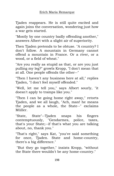Tjaden reappears. He is still quite excited and again joins the conversation, wondering just how a war gets started.

"Mostly by one country badly offending another," answers Albert with a slight air of superiority.

Then Tjaden pretends to be obtuse. "A country? I don't follow. A mountain in Germany cannot offend a mountain in France. Or a river, or a wood, or a field of wheat."

"Are you really as stupid as that, or are you just pulling my leg?" growls Kropp, "I don't mean that at all. One people offends the other--"

"Then I haven't any business here at all," replies Tjaden, "I don't feel myself offended."

"Well, let me tell you," says Albert sourly, "it doesn't apply to tramps like you."

"Then I can be going home right away," retorts Tjaden, and we all laugh, "Ach, man! he means the people as a whole, the State--" exclaims Müller.

"State, State"--Tjaden snaps his fingers contemptuously, "Gendarmes, police, taxes, that's your State;--if that's what you are talking about, no, thank you."

"That's right," says Kat, "you've said something for once, Tjaden. State and home-country, there's a big difference."

"But they go together," insists Kropp, "without the State there wouldn't be any home-country."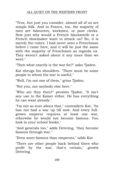"True, but just you consider, almost all of us are simple folk. And in France, too, the majority of men are labourers, workmen, or poor clerks. Now just why would a French blacksmith or a French shoemaker want to attack us? No, it is merely the rulers. I had never seen a Frenchman before I came here, and it will be just the same with the majority of Frenchmen as regards us. They weren't asked about it any more than we were."

"Then what exactly is the war for?" asks Tjaden.

Kat shrugs his shoulders. "There must be some people to whom the war is useful."

"Well, I'm not one of them," grins Tjaden.

"Not you, nor anybody else here."

"Who are they then?" persists Tjaden. "It isn't any use to the Kaiser either. He has everything he can want already."

"I'm not so sure about that," contradicts Kat, "he has not had a war up till now. And every fullgrown emperor requires at least one war, otherwise he would not become famous. You look in your school books."

"And generals too," adds Detering, "they become famous through war."

"Even more famous than emperors," adds Kat.

"There are other people back behind there who profit by the war, that's certain," growls Detering.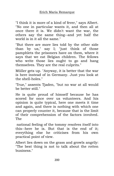"I think it is more of a kind of fever," says Albert. "No one in particular wants it, and then all at once there it is. We didn't want the war, the others say the same thing--and yet half the world is in it all the same."

"But there are more lies told by the other side than by us," say I; "just think of those pamphlets the prisoners have on them, where it says that we eat Belgian children. The fellows who write those lies ought to go and hang themselves. They are the real culprits."

Müller gets up. "Anyway, it is better that the war is here instead of in Germany. Just you look at the shell-holes."

'True," assents Tjaden, "but no war at all would be better still."

He is quite proud of himself because he has scored for once over us volunteers. And his opinion is quite typical, here one meets it time and again, and there is nothing with which one can properly counter it, because that is the limit of their comprehension of the factors involved. The

national feeling of the tommy resolves itself into this--here he is. But that is the end of it; everything else he criticises from his own practical point of view.

Albert lies down on the grass and growls angrily: "The best thing is not to talk about the rotten business."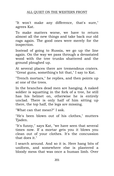## ALL QUIET ON THE WESTERN FRONT

"It won't make any difference, that's sure," agrees Kat.

To make matters worse, we have to return almost all the new things and take back our old rags again. The good ones were merely for the inspection.

Instead of going to Russia, we go up the line again. On the way we pass through a devastated wood with the tree trunks shattered and the ground ploughed up.

At several places there are tremendous craters. "Great guns, something's hit that," I say to Kat.

"Trench mortars," he replies, and then points up at one of the trees.

In the branches dead men are hanging. A naked soldier is squatting in the fork of a tree, he still has his helmet on, otherwise he is entirely unclad. There is only half of him sitting up there, the top half, the legs are missing.

"What can that mean?" I ask.

"He's been blown out of his clothes," mutters Tjaden.

"It's funny," says Kat, "we have seen that several times now. If a mortar gets you it blows you clean out of your clothes. It's the concussion that does it."

I search around. And so it is. Here hang bits of uniform, and somewhere else is plastered a bloody mess that was once a human limb. Over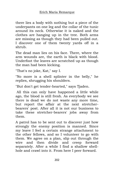there lies a body with nothing but a piece of the underpants on one leg and the collar of the tunic around its neck. Otherwise it is naked and the clothes are hanging up in the tree. Both arms are missing as though they had been pulled out. I discover one of them twenty yards off in a shrub.

The dead man lies on his face. There, where the arm wounds are, the earth is black with blood. Underfoot the leaves are scratched up as though the man had been kicking.

"That's no joke, Kat," say I.

"No more is a shell splinter in the belly," he replies, shrugging his shoulders.

"But don't get tender-hearted," says Tjaden.

All this can only have happened a little while ago, the blood is still fresh. As everybody we see there is dead we do not waste any more time, but report the affair at the next stretcherbearers' post. After all it is not our business to take these stretcher-bearers' jobs away from them.

A patrol has to be sent out to discover just how strongly the enemy position is manned. Since my leave I feel a certain strange attachment to the other fellows, and so I volunteer to go with them. We agree on a plan, slip out through the wire and then divide and creep forward separately. After a while I find a shallow shellhole and crawl into it. From here I peer forward.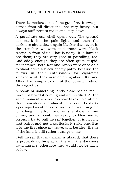There is moderate machine-gun fire. It sweeps across from all directions, not very heavy, but always sufficient to make one keep down.

A parachute star-shell opens out. The ground lies stark in the pale light, and then the darkness shuts down again blacker than ever. In the trenches we were told there were black troops in front of us. That is nasty, it is hard to see them; they are very good at patrolling, too. And oddly enough they are often quite stupid; for instance, both Kat and Kropp were once able to shoot down a black enemy patrol because the fellows in their enthusiasm for cigarettes smoked while they were creeping about. Kat and Albert had simply to aim at the glowing ends of the cigarettes.

A bomb or something lands close beside me. I have not heard it coming and am terrified. At the same moment a senseless fear takes hold of me. Here I am alone and almost helpless in the dark- - perhaps two other eyes have been watching me for a long while from another shell-hole in front of me, and a bomb lies ready to blow me to pieces. I try to pull myself together. It is not my first patrol and not a particularly risky one. But it is the first since my leave, and besides, the lie of the land is still rather strange to me.

I tell myself that my alarm is absurd, that there is probably nothing at all there in the darkness watching me, otherwise they would not be firing so low.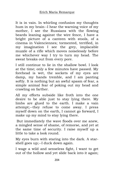It is in vain. In whirling confusion my thoughts hum in my brain--I hear the warning voice of my mother, I see the Russians with the flowing beards leaning against the wire fence, I have a bright picture of a canteen with stools, of a cinema in Valenciennes; tormented, terrified, in my imagination I see the grey, implacable muzzle of a rifle which moves noiselessly before me whichever way I try to turn my head. The sweat breaks out from every pore.

I still continue to lie in the shallow bowl. I look at the time; only a few minutes have passed. My forehead is wet, the sockets of my eyes are damp, my hands tremble, and I am panting softly. It is nothing but an awful spasm of fear, a simple animal fear of poking out my head and crawling on farther.

All my efforts subside like froth into the one desire to be able just to stay lying there. My limbs are glued to the earth. I make a vain attempt;--they refuse to come away. I press myself down on the earth, I cannot go forward, I make up my mind to stay lying there.

But immediately the wave floods over me anew, a mingled sense of shame, of remorse, and yet at the same time of security. I raise myself up a little to take a look round.

My eyes burn with staring into the dark. A starshell goes up;--I duck down again.

I wage a wild and senseless fight, I want to get out of the hollow and yet slide back into it again;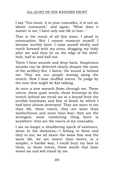I say "You must, it is your comrades, it is not an idiotic command," and again: "What does it matter to me, I have only one life to lose--"

That is the result of all this leave, I plead in extenuation. But I cannot reassure myself; I become terribly faint. I raise myself slowly and reach forward with my arms, dragging my body after me and then lie on the edge of the shellhole, half in and half out.

There I hear sounds and drop back. Suspicious sounds can be detected clearly despite the noise of the artillery-fire. I listen; the sound is behind me. They are our people moving along the trench. Now I hear muffled voices. To judge by the tone that might be Kat talking.

At once a new warmth flows through me. These voices, these quiet words, these footsteps in the trench behind me recall me at a bound from the terrible loneliness and fear of death by which I had been almost destroyed. They are more to me than life, these voices, they are more than motherliness and more than fear; they are the strongest, most comforting thing there is anywhere: they are the voices of my comrades.

I am no longer a shuddering speck of existence, alone in the darkness;--I belong to them and they to me; we all share the same fear and the same life, we are nearer than lovers, in a simpler, a harder way; I could bury my face in them, in these voices, these words that have saved me and will stand by me.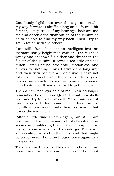Cautiously I glide out over the edge and snake my way forward. I shuffle along on all fours a bit farther, I keep track of my bearings, look around me and observe the distribution of the gunfire so as to be able to find my way back. Then I try to get in touch with the others.

I am still afraid, but it is an intelligent fear, an extraordinarily heightened caution. The night is windy and shadows flit hither and thither in the flicker of the gunfire. It reveals too little and too much. Often I pause, stock still, motionless, and always for nothing. Thus I advance a long way and then turn back in a wide curve. I have not established touch with the others. Every yard nearer our trench fills me with confidence;--and with haste, too. It would be bad to get hit now.

Then a new fear lays hold of me. I can no longer remember the direction. Quiet, I squat in a shellhole and try to locate myself. More than once it has happened that some fellow has jumped joyfully into a trench, only then to discover that it was the wrong one.

After a little time I listen again, but still I am not sure. The confusion of shell-holes now seems so bewildering that I can no longer tell in my agitation which way I should go. Perhaps I am crawling parallel to the lines, and that might go on for ever. So I crawl round once again in a wide curve.

These damned rockets! They seem to burn for an hour, and a man cannot make the least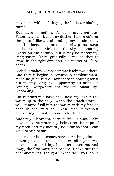movement without bringing the bullets whistling round.

But there is nothing for it, I must get out. Falteringly I work my way farther, I move off over the ground like a crab and rip my hands sorely on the jagged splinters, as sharp as razor blades. Often I think that the sky is becoming lighter on the horizon, but it may be merely my imagination. Then gradually I realise that to crawl in the right direction is a matter of life or death.

A shell crashes. Almost immediately two others. And then it begins in earnest. A bombardment. Machine-guns rattle. Now there is nothing for it but to stay lying low. Apparently an attack is coming. Everywhere the rockets shoot up. Unceasing.

I lie huddled in a large shell-hole, my legs in the water up to the belly. When the attack starts I will let myself fall into the water, with my face as deep in the mud as I can keep it without suffocating. I must pretend to be dead.

Suddenly I hear the barrage lift. At once I slip down into the water, my helmet on the nape of my neck and my mouth just clear so that I can get a breath of air.

I lie motionless;--somewhere something clanks, it stamps and stumbles nearer--all my nerves become taut and icy. It clatters over me and away, the first wave has passed. I have but this one shattering thought: What will you do if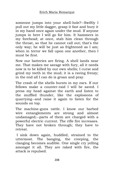someone jumps into your shell-hole?--Swiftly I pull out my little dagger, grasp it fast and bury it in my hand once again under the mud. If anyone jumps in here I will go for him. It hammers in my forehead; at once, stab him clean through the throat, so that he cannot call out; that's the only way; he will be just as frightened as I am; when in terror we fall upon one another, then I must be first.

Now our batteries are firing. A shell lands near me. That makes me savage with fury, all it needs now is to be killed by our own shells; I curse and grind my teeth in the mud; it is a raving frenzy; in the end all I can do is groan and pray.

The crash of the shells bursts in my ears. If our fellows make a counter-raid I will be saved. I press my head against the earth and listen to the muffled thunder, like the explosions of quarrying--and raise it again to listen for the sounds on top.

The machine-guns rattle. I know our barbed wire entanglements are strong and almost undamaged;--parts of them are charged with a powerful electric current. The rifle fire increases. They have not broken through; they have to retreat.

I sink down again, huddled, strained to the uttermost. The banging, the creeping, the clanging becomes audible. One single cry yelling amongst it all. They are raked with fire, the attack is repulsed.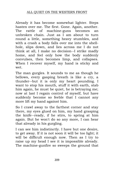Already it has become somewhat lighter. Steps hasten over me. The first. Gone. Again, another. The rattle of machine-guns becomes an unbroken chain. Just as I am about to turn round a little, something heavy stumbles, and with a crash a body falls over me into the shellhole, slips down, and lies across me I do not think at all, I make no decision--I strike madly home, and feel only how the body suddenly convulses, then becomes limp, and collapses. When I recover myself, my hand is sticky and wet.

The man gurgles. It sounds to me as though he bellows, every gasping breath is like a cry, a thunder--but it is only my heart pounding. I want to stop his mouth, stuff it with earth, stab him again, he must be quiet, he is betraying me; now at last I regain control of myself, but have suddenly become so feeble that I cannot any more lift my hand against him.

So I crawl away to the farthest corner and stay there, my eyes glued on him, my hand grasping the knife--ready, if he stirs, to spring at him again. But he won't do so any more, I can hear that already in his gurgling.

I can see him indistinctly. I have but one desire, to get away. If it is not soon it will be too light; it will be difficult enough now. Then as I try to raise up my head I see it is impossible already. The machine-gunfire so sweeps the ground that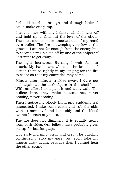I should be shot through and through before I could make one jump.

I test it once with my helmet, which I take off and hold up to find out the level of the shots. The next moment it is knocked out of my hand by a bullet. The fire is sweeping very low to the ground. I am not far enough from the enemy line to escape being picked off by one of the snipers if I attempt to get away.

The light increases. Burning I wait for our attack. My hands are white at the knuckles, I clench them so tightly in my longing for the fire to cease so that my comrades may come.

Minute after minute trickles away. I dare not look again at the dark figure in the shell-hole. With an effort I look past it and wait, wait. The bullets hiss, they make a steel net, never ceasing, never ceasing.

Then I notice my bloody hand and suddenly feel nauseated. I take some earth and rub the skin with it; now my hand is muddy and the blood cannot be seen any more.

The fire does not diminish. It is equally heavy from both sides. Our fellows have probably given me up for lost long ago.

It is early morning, clear and grey. The gurgling continues, I stop my ears, but soon take my fingers away again, because then I cannot hear the other sound.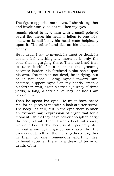The figure opposite me moves. I shrink together and involuntarily look at it. Then my eyes

remain glued to it. A man with a small pointed beard lies there; his head is fallen to one side, one arm is half-bent, his head rests helplessly upon it. The other hand lies on his chest, it is bloody.

He is dead, I say to myself, he must be dead, he doesn't feel anything any more; it is only the body that is gurgling there. Then the head tries to raise itself, for a moment the groaning becomes louder, his forehead sinks back upon his arm. The man is not dead, he is dying, but he is not dead. I drag myself toward him, hesitate, support myself on my hands, creep a bit farther, wait, again a terrible journey of three yards, a long, a terrible journey. At last I am beside him.

Then he opens his eyes. He must have heard me, for he gazes at me with a look of utter terror. The body lies still, but in the eyes there is such an extraordinary expression of fright that for a moment I think they have power enough to carry the body off with them. Hundreds of miles away with one bound. The body is still perfectly still, without a sound, the gurgle has ceased, but the eyes cry out, yell, all the life is gathered together in them for one tremendous effort to flee, gathered together there in a dreadful terror of death, of me.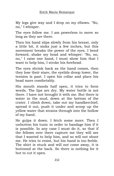My legs give way and I drop on my elbows. "No, no," I whisper.

The eyes follow me. I am powerless to move so long as they are there.

Then his hand slips slowly from his breast, only a little bit, it sinks just a few inches, but this movement breaks the power of the eyes. I bend forward, shake my head and whisper: "No, no, no," I raise one hand, I must show him that I want to help him, I stroke his forehead.

The eyes shrink back as the hand comes, then they lose their stare, the eyelids droop lower, the tension is past. I open his collar and place his head more comfortably.

His mouth stands half open, it tries to form words. The lips are dry. My water bottle is not there. I have not brought it with me. But there is water in the mud, down at the bottom of the crater. I climb down, take out my handkerchief, spread it out, push it under and scoop up the yellow water that strains through into the hollow of my hand.

He gulps it down. I fetch some more. Then I unbutton his tunic in order to bandage him if it is possible. In any case I must do it, so that if the fellows over there capture me they will see that I wanted to help him, and so will not shoot me. He tries to resist, but his hand is too feeble. The shirt is stuck and will not come away, it is buttoned at the back. So there is nothing for it but to cut it open.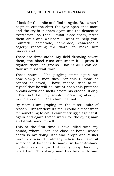I look for the knife and find it again. But when I begin to cut the shirt the eyes open once more and the cry is in them again and the demented expression, so that I must close them, press them shut and whisper: "I want to help you, Comrade, camerade, camerade, camerade--" eagerly repeating the word, to make him understand.

There are three stabs. My field dressing covers them, the blood runs out under it, I press it tighter; there; he groans. That is all I can do. Now we must wait, wait.

These hours.... The gurgling starts again--but how slowly a man dies! For this I know--he cannot be saved, I have, indeed, tried to tell myself that he will be, but at noon this pretence breaks down and melts before his groans. If only I had not lost my revolver crawling about, I would shoot him. Stab him I cannot.

By noon I am groping on the outer limits of reason. Hunger devours me, I could almost weep for something to eat, I cannot struggle against it. Again and again I fetch water for the dying man and drink some myself.

This is the first time I have killed with my hands, whom I can see close at hand, whose death is my doing. Kat and Kropp and Müller have experienced it already, when they have hit someone; it happens to many, in hand-to-hand fighting especially-- But every gasp lays my heart bare. This dying man has time with him,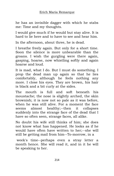he has an invisible dagger with which he stabs me: Time and my thoughts.

I would give much if he would but stay alive. It is hard to lie here and to have to see and hear him.

In the afternoon, about three, he is dead.

I breathe freely again. But only for a short time. Soon the silence is more unbearable than the groans. I wish the gurgling were there again, gasping, hoarse, now whistling softly and again hoarse and loud.

It is mad, what I do. But I must do something. I prop the dead man up again so that he lies comfortably, although he feels nothing any more. I close his eyes. They are brown, his hair is black and a bit curly at the sides.

The mouth is full and soft beneath his moustache; the nose is slightly arched, the skin brownish; it is now not so pale as it was before, when he was still alive. For a moment the face seems almost healthy;--then it collapses suddenly into the strange face of the dead that I have so often seen, strange faces, all alike.

No doubt his wife still thinks of him; she does not know what has happened. He looks as if he would have often have written to her;--she will still be getting mail from him--To-morrow, in a

week's time--perhaps even a stray letter a month hence. She will read it, and in it he will be speaking to her.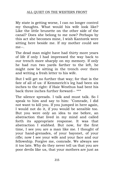My state is getting worse, I can no longer control my thoughts. What would his wife look like? Like the little brunette on the other side of the canal? Does she belong to me now? Perhaps by this act she becomes mine, I wish Kantorek were sitting here beside me. If my mother could see me--.

The dead man might have had thirty more years of life if only I had impressed the way back to our trench more sharply on my memory. If only he had run two yards farther to the left, he might now be sitting in the trench over there and writing a fresh letter to his wife.

But I will get no further that way; for that is the fate of all of us: if Kemmerich's leg had been six inches to the right: if Haie Westhus had bent his back three inches further forward-- \*\*\*

The silence spreads. I talk and must talk. So I speak to him and say to him: "Comrade, I did not want to kill you. If you jumped in here again, I would not do it, if you would be sensible too. But you were only an idea to me before, an abstraction that lived in my mind and called forth its appropriate response. It was that abstraction I stabbed. But now, for the first time, I see you are a man like me. I thought of your hand-grenades, of your bayonet, of your rifle; now I see your wife and your face and our fellowship. Forgive me, comrade. We always see it too late. Why do they never tell us that you are poor devils like us, that your mothers are just as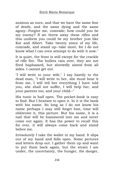anxious as ours, and that we have the same fear of death, and the same dying and the same agony--Forgive me, comrade; how could you be my enemy? If we threw away these rifles and this uniform you could be my brother just like Kat and Albert. Take twenty years of my life, comrade, and stand up--take more, for I do not know what I can even attempt to do with it now."

It is quiet, the front is still except for the crackle of rifle fire. The bullets rain over, they are not fired haphazard, but shrewdly aimed from all sides. I cannot get out.

"I will write to your wife," I say hastily to the dead man, "I will write to her, she must hear it from me, I will tell her everything I have told you, she shall not suffer, I will help her, and your parents too, and your child--"

His tunic is half open. The pocket-book is easy to find. But I hesitate to open it. In it is the book with his name. So long as I do not know his name perhaps I may still forget him, time will obliterate it, this picture. But his name, it is a nail that will be hammered into me and never come out again. It has the power to recall this for ever, it will always come back and stand before me.

Irresolutely I take the wallet in my hand. It slips out of my hand and falls open. Some pictures and letters drop out. I gather them up and want to put them back again, but the strain I am under, the uncertainty, the hunger, the danger,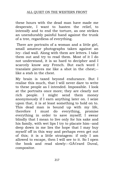these hours with the dead man have made me desperate, I want to hasten the relief, to intensify and to end the torture, as one strikes an unendurably painful hand against the trunk of a tree, regardless of everything.

There are portraits of a woman and a little girl, small amateur photographs taken against an ivy- clad wall. Along with them are letters. I take them out and try to read them. Most of it I do not understand, it is so hard to decipher and I scarcely know any French. But each word I translate pierces me like a shot in the chest;- like a stab in the chest.

My brain is taxed beyond endurance. But I realise this much, that I will never dare to write to these people as I intended. Impossible. I look at the portraits once more; they are clearly not rich people. I might send them money anonymously if I earn anything later on. I seize upon that, it is at least something to hold on to. This dead man is bound up with my life, therefore I must do everything, promise everything in order to save myself; I swear blindly that I mean to live only for his sake and his family, with wet lips I try to placate him--and deep down in me lies the hope that I may buy myself off in this way and perhaps even get out of this; it is a little stratagem: if only I am allowed to escape, then I will see to it. So I open the book and read slowly:--GA © rard Duval, compositor.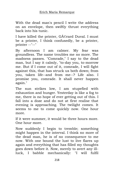With the dead man's pencil I write the address on an envelope, then swiftly thrust everything back into his tunic.

I have killed the printer, GAC rard Duval. I must be a printer, I think confusedly, be a printer, printer --"--"

By afternoon I am calmer. My fear was groundless. The name troubles me no more. The madness passes. "Comrade," I say to the dead man, but I say it calmly, "to-day you, to-morrow me. But if I come out of it, comrade, I will fight against this, that has struck us both down; from you, taken life--and from me--? Life also. I promise you, comrade. It shall never happen again."

The sun strikes low, I am stupefied with exhaustion and hunger. Yesterday is like a fog to me, there is no hope of ever getting out of this. I fall into a doze and do not at first realise that evening is approaching. The twilight comes. It seems to me to come quickly now. One hour more.

If it were summer, it would be three hours more. One hour more.

Now suddenly I begin to tremble; something might happen in the interval. I think no more of the dead man, he is of no consequence to me now. With one bound the lust to live flares up again and everything that has filled my thoughts goes down before it. Now, merely to avert any illluck, I babble mechanically: "I will fulfil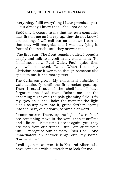everything, fulfil everything I have promised you- -" but already I know that I shall not do so.

Suddenly it occurs to me that my own comrades may fire on me as I creep up; they do not know I am coming. I will call out as soon as I can so that they will recognise me. I will stay lying in front of the trench until they answer me.

The first star. The front remains quiet. I breathe deeply and talk to myself in my excitement: "No foolishness now, Paul--Quiet, Paul, quiet--then you will be saved, Paul." When I use my Christian name it works as though someone else spoke to me, it has more power.

The darkness grows. My excitement subsides, I wait cautiously until the first rocket goes up. Then I crawl out of the shell-hole. I have forgotten the dead man. Before me lies the oncoming night and the pale gleaming field. I fix my eyes on a shell-hole; the moment the light dies I scurry over into it, grope farther, spring into the next, duck down, scramble onward.

I come nearer. There, by the light of a rocket I see something move in the wire, then it stiffens and I lie still. Next time I see it again, yes, they are men from our trench. But I am suspicious until I recognise our helmets. Then I call. And immediately an answer rings out, my name: "Paul--Paul--"

I call again in answer. It is Kat and Albert who have come out with a stretcher to look for me.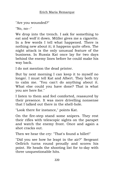"Are you wounded?"

"No, no--"

We drop into the trench. I ask for something to eat and wolf it down. Müller gives me a cigarette. In a few words I tell what happened. There is nothing new about it; it happens quite often. The night attack is the only unusual feature of the business. In Russia Kat once lay for two days behind the enemy lines before he could make his way back.

I do not mention the dead printer.

But by next morning I can keep it to myself no longer. I must tell Kat and Albert. They both try to calm me. "You can't do anything about it. What else could you have done? That is what you are here for."

I listen to them and feel comforted, reassured by their presence. It was mere drivelling nonsense that I talked out there in the shell-hole.

"Look there for instance," points Kat.

On the fire-step stand some snipers. They rest their rifles with telescopic sights on the parapet and watch the enemy front. Once and again a shot cracks out.

Then we hear the cry: "That's found a billet!"

"Did you see how he leapt in the air?" Sergeant Oellrich turns round proudly and scores his point. He heads the shooting list for to-day with three unquestionable hits.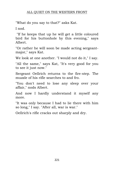"What do you say to that?" asks Kat.

I nod.

"If he keeps that up he will get a little coloured bird for his buttonhole by this evening," says Albert.

"Or rather he will soon be made acting sergeantmajor," says Kat.

We look at one another. "I would not do it," I say.

"All the same," says Kat, "It's very good for you to see it just now."

Sergeant Oellrich returns to the fire-step. The muzzle of his rifle searches to and fro.

"You don't need to lose any sleep over your affair," nods Albert.

And now I hardly understand it myself any more.

"It was only because I had to lie there with him so long," I say. "After all, war is war."

Oellrich's rifle cracks out sharply and dry.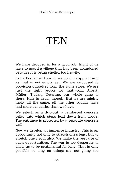## TEN

We have dropped in for a good job. Eight of us have to guard a village that has been abandoned because it is being shelled too heavily.

In particular we have to watch the supply dump as that is not empty yet. We are supposed to provision ourselves from the same store. We are just the right people for that;--Kat, Albert, Müller, Tjaden, Detering, our whole gang is there. Haie is dead, though. But we are mighty lucky all the same, all the other squads have had more casualties than we have.

We select, as a dug-out, a reinforced concrete cellar into which steps lead down from above. The entrance is protected by a separate concrete wall.

Now we develop an immense industry. This is an opportunity not only to stretch one's legs, but to stretch one's soul also. We make the best use of such opportunities. The war is too desperate to allow us to be sentimental for long. That is only possible so long as things are not going too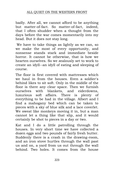badly. After all, we cannot afford to be anything but matter-of-fact. So matter-of-fact, indeed, that I often shudder when a thought from the days before the war comes momentarily into my head. But it does not stay long.

We have to take things as lightly as we can, so we make the most of every opportunity, and nonsense stands stark and immediate beside horror. It cannot be otherwise, that is how we hearten ourselves. So we zealously set to work to create an idyll--an idyll of eating and sleeping of course.

The floor is first covered with mattresses which we haul in from the houses. Even a soldier's behind likes to sit soft. Only in the middle of the floor is there any clear space. Then we furnish ourselves with blankets, and eiderdowns, luxurious soft affairs. There is plenty of everything to be had in the village. Albert and I find a mahogany bed which can be taken to pieces with a sky of blue silk and a lace coverlet. We sweat like monkeys moving it in, but a man cannot let a thing like that slip, and it would certainly be shot to pieces in a day or two.

Kat and I do a little patrolling through the houses. In very short time we have collected a dozen eggs and two pounds of fairly fresh butter. Suddenly there is a crash in the drawing-room, and an iron stove hurtles through the wall past us and on, a yard from us out through the wall behind. Two holes. It comes from the house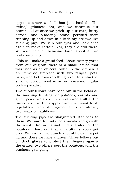opposite where a shell has just landed. "The swine," grimaces Kat, and we continue our search. All at once we prick up our ears, hurry across, and suddenly stand petrified--there running up and down in a little sty are two live sucking pigs. We rub our eyes and look once again to make certain. Yes, they are still there. We seize hold of them--no doubt about it, two real young pigs.

This will make a grand feed. About twenty yards from our dug-out there is a small house that was used as an officers' billet. In the kitchen is an immense fireplace with two ranges, pots, pans, and kettles--everything, even to a stack of small chopped wood in an outhouse--a regular cook's paradise.

Two of our fellows have been out in the fields all the morning hunting for potatoes, carrots and green peas. We are quite uppish and sniff at the tinned stuff in the supply dump, we want fresh vegetables. In the dining-room there are already two heads of cauliflower.

The sucking pigs are slaughtered. Kat sees to them. We want to make potato-cakes to go with the roast. But we cannot find a grater for the potatoes. However, that difficulty is soon got over. With a nail we punch a lot of holes in a pot lid and there we have a grater. Three fellows put on thick gloves to protect their fingers against the grater, two others peel the potatoes, and the business gets going.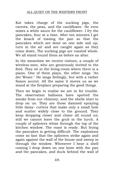## ALL QUIET ON THE WESTERN FRONT

Kat takes charge of the sucking pigs, the carrots, the peas, and the cauliflower. He even mixes a white sauce for the cauliflower. I fry the pancakes, four at a time. After ten minutes I get the knack of tossing the pan so that the pancakes which are done on one side sail up, turn in the air and are caught again as they come down. The sucking pigs are roasted whole. We all stand round them as before an altar.

In the meantime we receive visitors, a couple of wireless-men, who are generously invited to the feed. They sit in the living-room where there is a piano. One of them plays, the other sings "An der Weser." He sings feelingly, but with a rather Saxon accent. All the same it moves us as we stand at the fireplace preparing the good things.

Then we begin to realise we are in for trouble. The observation balloons have spotted the smoke from our chimney, and the shells start to drop on us. They are those damned spraying little daisy- cutters that make only a small hole and scatter widely close to the ground. They keep dropping closer and closer all round us; still we cannot leave the grub in the lurch. A couple of splinters whizz through the top of the kitchen window. The roast is ready. But frying the pancakes is getting difficult. The explosions come so fast that the splinters strike again and again against the wall of the house and sweep in through the window. Whenever I hear a shell coming I drop down on one knee with the pan and the pancakes, and duck behind the wall of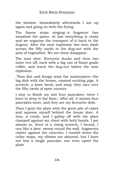the window. Immediately afterwards I am up again and going on with the frying.

The Saxon stops singing--a fragment has smashed the piano. At last everything is ready and we organise the transport of it back to the dugout. After the next explosion two men dash across the fifty yards to the dug-out with the pots of vegetables. We see them disappear.

The next shot. Everyone ducks and then two more trot off, each with a big can of finest grade coffee, and reach the dug-out before the next explosion.

Then Kat and Kropp seize the masterpiece--the big dish with the brown, roasted sucking pigs. A screech, a knee bend, and away they race over the fifty yards of open country.

I stay to finish my last four pancakes; twice I have to drop to the floor;--after all, it means four pancakes more, and they are my favourite dish.

Then I grab the plate with the great pile of cakes and squeeze myself behind the house door. A hiss, a crash, and I gallop off with the plate clamped against my chest with both hands. I am almost in, there is a rising screech, I bound, I run like a deer, sweep round the wall, fragments clatter against the concrete, I tumble down the cellar steps, my elbows are skinned, but I have not lost a single pancake, nor even upset the plate.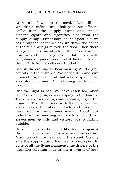At two o'clock we start the meal. It lasts till six. We drink coffee until half-past six--officer's coffee from the supply dump--and smoke officer's cigars and cigarettes--also from the supply dump. Punctually at half-past six we begin supper. At ten o'clock we throw the bones of the sucking pigs outside the door. Then there is cognac and rum--also from the blessed supply dump-- and once again long, fat cigars with belly-bands. Tjaden says that it lacks only one thing: Girls from an officer's brothel.

Late in the evening we hear mewing. A little grey cat sits in the entrance. We entice it in and give it something to eat. And that wakes up our own appetites once more. Still chewing, we lie down to sleep.

But the night is bad. We have eaten too much fat. Fresh baby pig is very griping to the bowels. There is an everlasting coming and going in the dug-out. Two, three men with their pants down are always sitting about outside and cursing. I have been out nine times myself. About four o'clock in the morning we reach a record: all eleven men, guards and visitors, are squatting outside.

Burning houses stand out like torches against the night. Shells lumber across and crash down. Munition columns tear along the street. On one side the supply dump has been ripped open. In spite of all the flying fragments the drivers of the munition columns pour in like a swarm of bees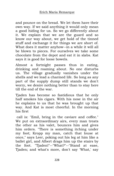and pounce on the bread. We let them have their own way. If we said anything it would only mean a good hiding for us. So we go differently about it. We explain that we are the guard and so know our way about, we get hold of the tinned stuff and exchange it for things we are short of. What does it matter anyhow--in a while it will all be blown to pieces. For ourselves we take some chocolate from the depot and eat it in slabs. Kat says it is good for loose bowels.

Almost a fortnight passes thus in eating, drinking and roaming about. No one disturbs us. The village gradually vanishes under the shells and we lead a charmed life. So long as any part of the supply dump still stands we don't worry, we desire nothing better than to stay here till the end of the war.

Tjaden has become so fastidious that he only half smokes his cigars. With his nose in the air he explains to us that he was brought up that way. And Kat is most cheerful. In the morning his first

call is: "Emil, bring in the caviare and coffee." We put on extraordinary airs, every man treats the other as his valet, bounces him and gives him orders. "There is something itching under my foot; Kropp my man, catch that louse at once," says Leer, poking out his leg at him like a ballet girl, and Albert drags him up the stairs by the foot. "Tjaden!"--"What?"--"Stand at ease, Tjaden; and what's more, don't say 'What,' say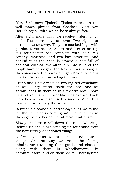'Yes, Sir,'--now: Tjaden!" Tjaden retorts in the well-known phrase from Goethe's "Gotz von Berlichingen," with which he is always free.

After eight more days we receive orders to go back. The palmy days are over. Two big motor lorries take us away. They are stacked high with planks. Nevertheless, Albert and I erect on top our four-poster bed complete with blue silk canopy, mattress, and two lace coverlets. And behind it at the head is stowed a bag full of choicest edibles. We often dip into it, and the tough ham sausages, the tins of liver sausages, the conserves, the boxes of cigarettes rejoice our hearts. Each man has a bag to himself.

Kropp and I have rescued two big red armchairs as well. They stand inside the bed, and we sprawl back in them as in a theatre box. Above us swells the silken cover like a baldaquin. Each man has a long cigar in his mouth. And thus from aloft we survey the scene.

Between us stands a parrot cage that we found for the cat. She is coming with us, and lies in the cage before her saucer of meat, and purrs.

Slowly the lorries roll down the road. We sing. Behind us shells are sending up fountains from the now utterly abandoned village.

A few days later we are sent to evacuate a village. On the way we meet the fleeing inhabitants trundling their goods and chattels along with them in wheelbarrows, in perambulators, and on their backs. Their figures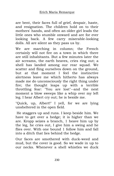are bent, their faces full of grief, despair, haste, and resignation. The children hold on to their mothers' hands, and often an older girl leads the little ones who stumble onward and are for ever looking back. A few carry miserable-looking dolls. All are silent as they pass us by.

We are marching in column; the French certainly will not fire on a town in which there are still inhabitants. But a few minutes later the air screams, the earth heaves, cries ring out; a shell has landed among our rear squad. We scatter and fling ourselves down on the ground, but at that moment I feel the instinctive alertness leave me which hitherto has always made me do unconsciously the right thing under fire; the thought leaps up with a terrible throttling fear: "You are lost"--and the next moment a blow sweeps like a whip over my left leg. I hear Albert cry out; he is beside me.

"Quick, up, Albert!" I yell, for we are lying unsheltered in the open field.

He staggers up and runs. I keep beside him. We have to get over a hedge; it is higher than we are. Kropp seizes a branch, 1 heave him up by the leg, he cries out, I give him a swing and he flies over. With one bound 1 follow him and fall into a ditch that lies behind the hedge.

Our faces are smothered with duck-weed and mud, but the cover is good. So we wade in up to our necks. Whenever a shell whistles we duck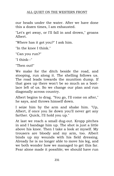our heads under the water. After we have done this a dozen times, I am exhausted.

"Let's get away, or I'll fall in and drown," groans Albert.

"Where has it got you?" I ask him.

"In the knee I think."

"Can you run?"

"I think--"

"Then out!"

We make for the ditch beside the road, and stooping, run along it. The shelling follows us. The road leads towards the munition dump. If that goes up there won't be so much as a bootlace left of us. So we change our plan and run diagonally across country.

Albert begins to drag. "You go, I'll come on after," he says, and throws himself down.

I seize him by the arm and shake him. "Up, Albert, if once you lie down you'll never get any farther. Quick, I'll hold you up."

At last we reach a small dug-out. Kropp pitches in and I bandage him up. The shot is just a little above his knee. Then I take a look at myself. My trousers are bloody and my arm, too. Albert binds up my wounds with his field dressing. Already he is no longer able to move his leg, and we both wonder how we managed to get this far. Fear alone made it possible; we should have run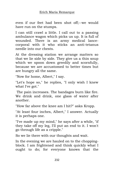even if our feet had been shot off;--we would have run on the stumps.

I can still crawl a little. I call out to a passing ambulance wagon which picks us up. It is full of wounded. There is an army medical lancecorporal with it who sticks an anti-tetanus needle into our chests.

At the dressing station we arrange matters so that we lie side by side. They give us a thin soup which we spoon down greedily and scornfully, because we are accustomed to better times but are hungry all the same.

"Now for home, Albert," I say.

"Let's hope so," he replies, "I only wish I knew what I've got."

The pain increases. The bandages burn like fire. We drink and drink, one glass of water after another.

"How far above the knee am I hit?" asks Kropp.

"At least four inches, Albert," I answer. Actually it is perhaps one.

"I've made up my mind," he says after a while, "if they take off my leg, I'll put an end to it. I won't go through life as a cripple."

So we lie there with our thoughts and wait.

In the evening we are hauled on to the choppingblock. I am frightened and think quickly what I ought to do; for everyone knows that the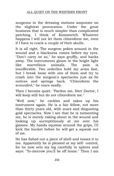surgeons in the dressing stations amputate on the slightest provocation. Under the great business that is much simpler than complicated patching. I think of Kemmerich. Whatever happens I will not let them chloroform me, even if I have to crack a couple of their skulls.

It is all right. The surgeon pokes around in the wound and a blackness comes before my eyes. "Don't carry on so," he says gruffly, and hacks away. The instruments gleam in the bright light like marvellous animals. The pain is insufferable. Two orderlies hold my arms fast, but I break loose with one of them and try to crash into the surgeon's spectacles just as he notices and springs back. "Chloroform the scoundrel," he roars madly.

Then I become quiet. "Pardon me, Herr Doctor, I will keep still but do not chloroform me."

"Well now," he cackles and takes up his instrument again. He is a fair fellow, not more than thirty years old, with scars and disgusting gold spectacles. Now I see that he is tormenting me, he is merely raking about in the wound and looking up surreptitiously at me over his glasses. My hands squeeze around the grips, I'll kick the bucket before he will get a squeak out of me.

He has fished out a piece of shell and tosses it to me. Apparently he is pleased at my self- control, for he now sets my leg carefully in splints and says: "To-morrow you'll be off home." Then I am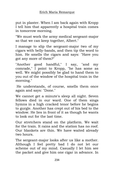put in plaster. When I am back again with Kropp I tell him that apparently a hospital train comes in tomorrow morning.

"We must work the army medical sergeant-major so that we can keep together, Albert."

I manage to slip the sergeant-major two of my cigars with belly-bands, and then tip the word to him. He smells the cigars and says: "Have you got any more of them?"

"Another good handful," I say, "and my comrade," I point to Kropp, "he has some as well. We might possibly be glad to hand them to you out of the window of the hospital train in the morning."

He understands, of course, smells them once again and says: "Done."

We cannot get a minute's sleep all night. Seven fellows died in our ward. One of them sings hymns in a high cracked tenor before he begins to gurgle. Another has crept out of his bed to the window. He lies in front of it as though he wants to look out for the last time.

Our stretchers stand on the platform. We wait for the train. It rains and the station has no roof. Our blankets are thin. We have waited already two hours.

The sergeant-major looks after us like a mother. Although I feel pretty bad I do not let our scheme out of my mind. Casually I let him see the packet and give him one cigar in advance. In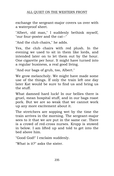exchange the sergeant-major covers us over with a waterproof sheet.

"Albert, old man," I suddenly bethink myself, "our four-poster and the cat--"

"And the club chairs," he adds.

Yes, the club chairs with red plush. In the evening we used to sit in them like lords, and intended later on to let them out by the hour. One cigarette per hour. It might have turned into a regular business, a real good living.

"And our bags of grub, too, Albert."

We grow melancholy. We might have made some use of the things. If only the train left one day later Kat would be sure to find us and bring us the stuff.

What damned hard luck! In our bellies there is gruel, mean hospital stuff, and in our bags roast pork. But we are so weak that we cannot work up any more excitement about it.

The stretchers are sopping wet by the time the train arrives in the morning. The sergeant-major sees to it that we are put in the same car. There is a crowd of red-cross nurses. Kropp is stowed in below. I am lifted up and told to get into the bed above him.

"Good God!" I exclaim suddenly.

"What is it?" asks the sister.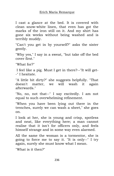I cast a glance at the bed. It is covered with clean snow-white linen, that even has got the marks of the iron still on it. And my shirt has gone six weeks without being washed and is terribly muddy.

"Can't you get in by yourself?" asks the sister gently.

"Why yes," I say in a sweat, "but take off the bed cover first."

"What for?"

I feel like a pig. Must I get in there?--"It will get- -" I hesitate.

"A little bit dirty?" she suggests helpfully. "That doesn't matter, we will wash it again afterwards."

"No, no, not that--" I say excitedly. I am not equal to such overwhelming refinement.

"When you have been lying out there in the trenches, surely we can wash a sheet," she goes on.

I look at her, she is young and crisp, spotless and neat, like everything here; a man cannot realise that it isn't for officers only, and feels himself strange and in some way even alarmed.

All the same the woman is a tormentor, she is going to force me to say it. "It is only--" I try again, surely she must know what I mean.

"What is it then?"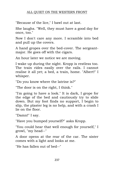"Because of the lice," I bawl out at last.

She laughs. "Well, they must have a good day for once, too."

Now I don't care any more. I scramble into bed and pull up the covers.

A hand gropes over the bed-cover. The sergeantmajor. He goes off with the cigars.

An hour later we notice we are moving.

I wake up during the night. Kropp is restless too. The train rides easily over the rails. I cannot realise it all yet; a bed, a train, home. "Albert!" I whisper.

"Do you know where the latrine is?"

"The door is on the right, I think."

"I'm going to have a look." It is dark, I grope for the edge of the bed and cautiously try to slide down. But my foot finds no support, I begin to slip, the plaster leg is no help, and with a crash I lie on the floor.

"Damn!" I say.

"Have you bumped yourself?" asks Kropp.

"You could hear that well enough for yourself," I growl, "my head--"

A door opens at the rear of the car. The sister comes with a light and looks at me.

"He has fallen out of bed--"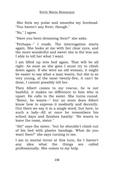She feels my pulse and smooths my forehead. "You haven't any fever, though."

"No," I agree.

"Have you been dreaming then?" she asks.

"Perhaps--" I evade. The interrogation starts again. She looks at me with her clear eyes, and the more wonderful and sweet she is the less am I able to tell her what I want.

I am lifted up into bed again. That will be all right. As soon as she goes I must try to climb down again. If she were an old woman, it might be easier to say what a man wants, but she is so very young, at the most twenty-five, it can't be done, I cannot possibly tell her.

Then Albert comes to my rescue, he is not bashful, it makes no difference to him who is upset. He calls to the sister. She turns round. "Sister, he wants--" but no more does Albert know how to express it modestly and decently. Out there we say it in a single word, but here, to such a lady--All at once he remembers his school days and finishes hastily: "He wants to leave the room, sister."

"Ah!" says the sister, "but he shouldn't climb out of his bed with plaster bandage. What do you want then?" she says turning to me.

I am in mortal terror at this turn, for I haven't any idea what the things are called professionally. She comes to my help.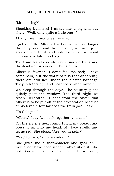"Little or big?"

Shocking business! I sweat like a pig and say shyly: "Well, only quite a little one--"

At any rate it produces the effect.

I get a bottle. After a few hours I am no longer the only one, and by morning we are quite accustomed to it and ask for what we want without any false modesty.

The train travels slowly. Sometimes it halts and the dead are unloaded. It halts often.

Albert is feverish. I don't feel too bad; I have some pain, but the worst of it is that apparently there are still lice under the plaster bandage. They itch terribly, and I cannot scratch myself.

We sleep through the days. The country glides quietly past the window. The third night we reach Herbesthal. I hear from the sister that Albert is to be put off at the next station because of his fever. "How far does the train go?" I ask.

"To Cologne."

"Albert," I say "we stick together; you see."

On the sister's next round I hold my breath and press it up into my head. My face swells and turns red. She stops. "Are you in pain?"

"Yes," I groan, "all of a sudden."

She gives me a thermometer and goes on. I would not have been under Kat's tuition if I did not know what to do now. These army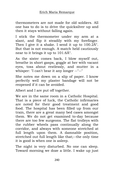thermometers are not made for old soldiers. All one has to do is to drive the quicksilver up and then it stays without falling again.

I stick the thermometer under my arm at a slant, and flip it steadily with my forefinger. Then I give it a shake. I send it up to  $100.2\text{\AA}^{\circ}$ . But that is not enough. A match held cautiously near to it brings it up to  $101.6\text{\AA}^{\circ}$ .

As the sister comes back, I blow myself out, breathe in short gasps, goggle at her with vacant eyes, toss about restlessly, and mutter in a whisper: "I can't bear it any longer --"--"

She notes me down on a slip of paper. I know perfectly well my plaster bandage will not be reopened if it can be avoided.

Albert and I are put off together.

We are in the same room in a Catholic Hospital. That is a piece of luck, the Catholic infirmaries are noted for their good treatment and good food. The hospital has been filled up from our train, there are a great many bed cases amongst them. We do not get examined to-day because there are too few surgeons. The flat trolleys with the rubber wheels pass continually along the corridor, and always with someone stretched at full length upon them. A damnable position, stretched out full length like that;--the only time it is good is when one is asleep.

The night is very disturbed. No one can sleep. Toward morning we doze a little. I wake up just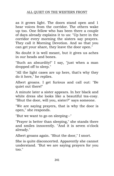## ALL QUIET ON THE WESTERN FRONT

as it grows light. The doors stand open and 1 hear voices from the corridor. The others wake up too. One fellow who has been there a couple of days already explains it to us: "Up here in the corridor every morning the sisters say prayers. They call it Morning Devotion. And so that you can get your share, they leave the door open."

No doubt it is well meant, but it gives us aches in our heads and bones.

"Such an absurdity!" I say, "just when a man dropped off to sleep."

"All the light cases are up here, that's why they do it here," he replies.

Albert groans. I get furious and call out: "Be quiet out there!"

A minute later a sister appears. In her black and white dress she looks like a beautiful tea-cosy. "Shut the door, will you, sister?" says someone.

"We are saying prayers, that is why the door is open," she responds.

"But we want to go on sleeping--"

"Prayer is better than sleeping," she stands there and smiles innocently. "And it is seven o'clock already."

Albert groans again. "Shut the door," I snort.

She is quite disconcerted. Apparently she cannot understand. "But we are saying prayers for you too."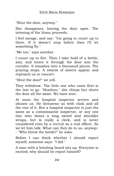"Shut the door, anyway."

She disappears, leaving the door open. The intoning of the litany proceeds.

I feel savage, and say: "I'm going to count up to three. If it doesn't stop before then I'll let something fly."

"Me too," says another.

I count up to five. Then I take hold of a bottle, aim, and heave it through the door into the corridor. It smashes into a thousand pieces. The praying stops. A swarm of sisters appear and reproach us in concert.

"Shut the door!" we yell.

They withdraw. The little one who came first is the last to go. "Heathen," she chirps but shuts the door all the same. We have won.

At noon the hospital inspector arrives and abuses us. He threatens us with clink and all the rest of it. But a hospital inspector is just the same as a commissariat inspector, or any one else who wears a long sword and shoulder straps, but is really a clerk, and is never considered even by a recruit as a real officer. So we let him talk. What can they do to us, anyway- - "Who threw the bottle?" he asks.

Before I can think whether I should report myself, someone says: "I did."

A man with a bristling beard sits up. Everyone is excited; why should he report himself?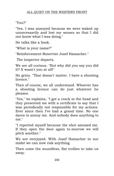"You?"

"Yes. I was annoyed because we were waked up unnecessarily and lost my senses so that I did not know what I was doing."

He talks like a book.

"What is your name?"

"Reinforcement-Reservist Josef Hamacher."

The inspector departs.

We are all curious. "But why did you say you did it? It wasn't you at all!"

He grins. "That doesn't matter. I have a shooting licence."

Then of course, we all understand. Whoever has a shooting licence can do just whatever he pleases.

"Yes," he explains, "I got a crack in the head and they presented me with a certificate to say that I was periodically not responsible for my actions. Ever since then I've had a grand time. No one dares to annoy me. And nobody does anything to me."

"I reported myself because the shot amused me. If they open the door again to-morrow we will pitch another."

We are overjoyed. With Josef Hamacher in our midst we can now risk anything.

Then come the soundless, flat trollies to take us away.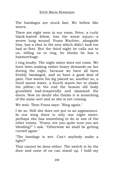The bandages are stuck fast. We bellow like steers.

There are eight men in our room. Peter, a curly black-haired fellow, has the worst injury;--a severe lung wound. Franz Wachter, alongside him, has a shot in the arm which didn't look too bad at first. But the third night he calls out to us, telling us to ring, he thinks he has a haemorrhage.

I ring loudly. The night sister does not come. We have been making rather heavy demands on her during the night, because we have all been freshly bandaged, and so have a good deal of pain. One wants his leg placed so, another so, a third wants water, a fourth wants her to shake his pillow;--in the end the buxom old body grumbled bad-temperedly and slammed the doors. Now no doubt she thinks it is something of the same sort and so she is not coming.

We wait. Then Franz says: "Ring again."

I do so. Still she does not put in an appearance. In our wing there is only one night sister, perhaps she has something to do in one of the other rooms. "Franz, are you quite sure you are bleeding?" I ask. "Otherwise we shall be getting cursed again."

"The bandage is wet. Can't anybody make a light?"

That cannot be done either. The switch is by the door and none of us can stand up. I hold my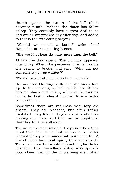## ALL QUIET ON THE WESTERN FRONT

thumb against the button of the bell till it becomes numb. Perhaps the sister has fallen asleep. They certainly have a great deal to do and are all overworked day after day. And added to that is the everlasting praying.

"Should we smash a bottle?" asks Josef Hamacher of the shooting licence.

"She wouldn't hear that any more than the bell."

At last the door opens. The old lady appears, mumbling. When she perceives Franz's trouble she begins to bustle, and says: "Why did not someone say I was wanted?"

"We did ring. And none of us here can walk."

He has been bleeding badly and she binds him up. In the morning we look at his face, it has become sharp and yellow, whereas the evening before he looked almost healthy. Now a sister comes oftener.

Sometimes there are red-cross voluntary aid sisters. They are pleasant, but often rather unskilled. They frequently give us pain when remaking our beds, and then are so frightened that they hurt us still more.

The nuns are more reliable. They know how they must take hold of us, but we would be better pleased if they were somewhat more cheerful. A few of them have real spirit, they are superb. There is no one but would do anything for Sister Libertine, this marvellous sister, who spreads good cheer through the whole wing even when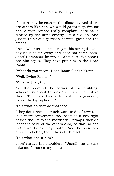she can only be seen in the distance. And there are others like her. We would go through fire for her. A man cannot really complain, here he is treated by the nuns exactly like a civilian. And just to think of a garrison hospital gives one the creeps.

Franz Wachter does not regain his strength. One day he is taken away and does not come back. Josef Hamacher knows all about it: "We shan't see him again. They have put him in the Dead Room."

"What do you mean, Dead Room?" asks Kropp.

"Well, Dying Room--"

"What is that, then?"

"A little room at the corner of the building. Whoever is about to kick the bucket is put in there. There are two beds in it. It is generally called the Dying Room."

"But what do they do that for?"

"They don't have so much work to do afterwards. It is more convenient, too, because it lies right beside the lift to the mortuary. Perhaps they do it for the sake of the others also, so that no one in the ward dies in sympathy. And they can look after him better, too, if he is by himself."

"But what about him?"

Josef shrugs his shoulders. "Usually he doesn't take much notice any more."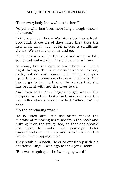"Does everybody know about it then?"

"Anyone who has been here long enough knows, of course."

In the afternoon Franz Wachter's bed has a fresh occupant. A couple of days later they take the new man away, too. Josef makes a significant glance. We see many come and go.

Often relatives sit by the beds and weep or talk softly and awkwardly. One old woman will not

go away, but she cannot stay there the whole night through. The next morning she comes very early, but not early enough; for when she goes up to the bed, someone else is in it already. She has to go to the mortuary. The apples that she has brought with her she gives to us.

And then little Peter begins to get worse. His temperature chart looks bad, and one day the flat trolley stands beside his bed. "Where to?" he asks.

"To the bandaging ward."

He is lifted out. But the sister makes the mistake of removing his tunic from the hook and putting it on the trolley too, so that she should not have to make two journeys. Peter understands immediately and tries to roll off the trolley. "I'm stopping here!"

They push him back. He cries out feebly with his shattered lung: "I won't go to the Dying Room."

"But we are going to the bandaging ward."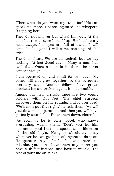"Then what do you want my tunic for?" He can speak no more. Hoarse, agitated, he whispers: "Stopping here!"

They do not answer but wheel him out. At the door he tries to raise himself up. His black curly head sways, his eyes are full of tears. "I will come back again! I will come back again!" he cries.

The door shuts. We are all excited; but we say nothing. At last Josef says: "Many a man has said that. Once a man is in there, he never comes through."

I am operated on and vomit for two days. My bones will not grow together, so the surgeon's secretary says. Another fellow's have grown crooked; his are broken again. It is damnable.

Among our new arrivals there are two young soldiers with flat feet. The chief surgeon discovers them on his rounds, and is overjoyed. "We'll soon put that right," he tells them, "we will just do a small operation, and then you will have perfectly sound feet. Enter them down, sister."

As soon as he is gone, Josef, who knows everything, warns them: "Don't you let him operate on you! That is a special scientific stunt of the old boy's. He goes absolutely crazy whenever he can get hold of anyone to do it on. He operates on you for flat feet, and there's no mistake, you don't have them any more; you have club feet instead, and have to walk all the rest of your life on sticks."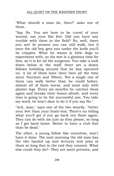"What should a man do, then?" asks one of them.

"Say No. You are here to be cured of your wound, not your flat feet. Did you have any trouble with them in the field? No, well, there you are! At present you can still walk, but if once the old boy gets you under the knife you'll be cripples. What he wants is little dogs to experiment with, so the war is a glorious time for him, as it is for all the surgeons. You take a look down below at the staff; there are a dozen fellows hobbling around that he has operated on. A lot of them have been here all the time since 'fourteen and 'fifteen. Not a single one of them can walk better than he could before, almost all of them worse, and most only with plaster legs. Every six months he catches them again and breaks their bones afresh, and every time is going to be the successful one. You take my word, he won't dare to do it if you say No."

"Ach, man," says one of the two wearily, "better your feet than your brain-box. There's no telling what you'll get if you go back out there again. They can do with me just as they please, so long as I get back home. Better to have a club foot than be dead."

The other, a young fellow like ourselves, won't have it done. The next morning the old man has the two hauled up and lectures and jaws at them so long that in the end they consent. What else could they do?--They are mere privates, and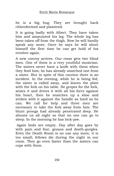he is a big bug. They are brought back chloroformed and plastered.

It is going badly with Albert. They have taken him and amputated his leg. The whole leg has been taken off from the thigh. Now he will hardly speak any more. Once he says he will shoot himself the first time he can get hold of his revolver again.

A new convoy arrives. Our room gets two blind men. One of them is a very youthful musician. The sisters never have a knife with them when they feed him; he has already snatched one from a sister. But in spite of this caution there is an incident. In the evening, while he is being fed, the sister is called away, and leaves the plate with the fork on his table. He gropes for the fork, seizes it and drives it with all his force against his heart, then he snatches up a shoe and strikes with it against the handle as hard as he can. We call for help and three men are necessary to take the fork away from him. The blunt prongs had already penetrated deep. He abuses us all night so that no one can go to sleep. In the morning he has lock-jaw.

Again beds are empty. Day after day goes by with pain and fear, groans and death-gurgles. Even the Death Room is no use any more, it is too small; fellows die during the night in our room. They go even faster than the sisters can cope with them.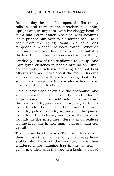But one day the door flies open, the flat trolley rolls in, and there on the stretcher, pale, thin, upright and triumphant, with his shaggy head of curls sits Peter. Sister Libertine with beaming looks pushes him over to his former bed. He is back from the Dying Room. We have long supposed him dead. He looks round: "What do you say now?" And Josef has to admit that it is the first time he has ever known of such a thing.

Gradually a few of us are allowed to get up. And I am given crutches to hobble around on. But I do not make much use of them; I cannot bear Albert's gaze as I move about the room. His eyes always follow me with such a strange look. So I sometimes escape to the corridor;--there I can move about more freely.

On the next floor below are the abdominal and spine cases, head wounds and double amputations. On the right side of the wing are the jaw wounds, gas cases, nose, ear, and neck wounds. On the left the blind and the lung wounds, pelvis wounds, wounds in the joints, wounds in the kidneys, wounds in the testicles, wounds in the intestines. Here a man realises for the first time in how many places a man can get hit.

Two fellows die of tetanus. Their skin turns pale, their limbs stiffen, at last only their eyes live- stubbornly. Many of the wounded have their shattered limbs hanging free in the air from a gallows; underneath the wound a basin is placed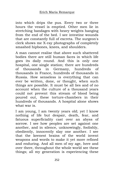into which drips the pus. Every two or three hours the vessel is emptied. Other men lie in stretching bandages with heavy weights hanging from the end of the bed. I see intestine wounds that are constantly full of excreta. The surgeon's clerk shows me X-ray photographs of completely smashed hipbones, knees, and shoulders.

A man cannot realise that above such shattered bodies there are still human faces in which life goes its daily round. And this is only one hospital, one single station; there are hundreds of thousands in Germany, hundreds of thousands in France, hundreds of thousands in Russia. How senseless is everything that can ever be written, done, or thought, when such things are possible. It must be all lies and of no account when the culture of a thousand years could not prevent this stream of blood being poured out, these torture-chambers in their hundreds of thousands. A hospital alone shows what war is.

I am young, I am twenty years old; yet I know nothing of life but despair, death, fear, and fatuous superficiality cast over an abyss of sorrow. I see how peoples are set against one another, and in silence, unknowingly, foolishly, obediently, innocently slay one another. I see that the keenest brains of the world invent weapons and words to make it yet more refined and enduring. And all men of my age, here and over there, throughout the whole world see these things; all my generation is experiencing these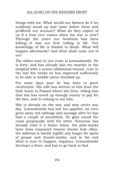things with me. What would our fathers do if we suddenly stood up and came before them and proffered our account? What do they expect of us if a time ever comes when the war is over? Through the years our business has been killing;--it was our first calling in life. Our knowledge of life is limited to death. What will happen afterwards? And what shall come out of  $2<sub>115</sub>$ 

The oldest man in our room is Lewandowski. He is forty, and has already lain ten months in the hospital with a severe abdominal wound. Just in the last few weeks he has improved sufficiently to be able to hobble about doubled up.

For some days past he has been in great excitement. His wife has written to him from the little home in Poland where she lives, telling him that she has saved up enough money to pay for the fare, and is coming to see him.

She is already on the way and may arrive any day. Lewandowski has lost his appetite, he even gives away red cabbage and sausage after he has had a couple of mouthfuls. He goes round the room perpetually with the letter. Everyone has already read it a dozen times, the post-marks have been examined heaven knows how often, the address is hardly legible any longer for spots of grease and thumb-marks, and in the end what is sure to happen, happens. Lewandowski develops a fever, and has to go back to bed.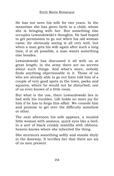He has not seen his wife for two years. In the meantime she has given birth to a child, whom she is bringing with her. But something else occupies Lewandowski's thoughts. He had hoped to get permission to go out when his old woman came; for obviously seeing is all very well, but when a man gets his wife again after such a long time, if at all possible, a man wants something else besides.

Lewandowski has discussed it all with us at great length; in the army there are no secrets about such things. And what's more, nobody finds anything objectionable in it. Those of us who are already able to go out have told him of a couple of very good spots in the town, parks and squares, where he would not be disturbed; one of us even knows of a little room.

But what is the use, there Lewandowski lies in bed with his troubles. Life holds no more joy for him if he has to forgo this affair. We console him and promise to get over the difficulty somehow or other.

The next afternoon his wife appears, a tousled little woman with anxious, quick eyes like a bird, in a sort of black crinkly mantilla with ribbons; heaven knows where she inherited the thing.

She murmurs something softly and stands shyly in the doorway. It terrifies her that there are six of us men present.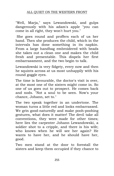## ALL QUIET ON THE WESTERN FRONT

"Well, Marja," says Lewandowski, and gulps dangerously with his adam's apple "you can come in all right, they won't hurt you."

She goes round and proffers each of us her hand. Then she produces the child, which in the intervals has done something in its napkin. From a large handbag embroidered with beads she takes out a clean one and makes the child fresh and presentable. This dispels her first embarrassment, and the two begin to talk.

Lewandowski is very fidgety, every now and then he squints across at us most unhappily with his round goggle eyes.

The time is favourable, the doctor's visit is over, at the most one of the sisters might come in. So one of us goes out to prospect. He comes back and nods. "Not a soul to be seen. Now's your chance, Johann, set to."

The two speak together in an undertone. The woman turns a little red and looks embarrassed. We grin good-naturedly and make pooh-poohing gestures, what does it matter! The devil take all conventions, they were made for other times; here lies the carpenter Johann Lewandowski, a soldier shot to a cripple, and there is his wife; who knows when he will see her again? He wants to have her, and he should have her, good.

Two men stand at the door to forestall the sisters and keep them occupied if they chance to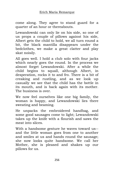come along. They agree to stand guard for a quarter of an hour or thereabouts.

Lewandowski can only lie on his side, so one of us props a couple of pillows against his side, Albert gets the child to hold, we all turn round a bit, the black mantilla disappears under the bedclothes, we make a great clatter and play skat noisily.

All goes well. I hold a club solo with four jacks which nearly goes the round. In the process we almost forget Lewandowski. After a while the child begins to squall, although Albert, in desperation, rocks it to and fro. There is a bit of creaking and rustling, and as we look up casually we see that the child has the bottle in its mouth, and is back again with its mother. The business is over.

We now feel ourselves like one big family, the woman is happy, and Lewandowski lies there sweating and beaming.

He unpacks the embroidered handbag, and some good sausages come to light; Lewandowski takes up the knife with a flourish and saws the meat into slices.

With a handsome gesture he waves toward us- and the little woman goes from one to another and smiles at us and hands round the sausage; she now looks quite handsome. We call her Mother, she is pleased and shakes up our pillows for us.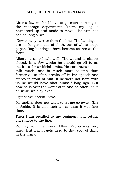After a few weeks I have to go each morning to the massage department. There my leg is harnessed up and made to move. The arm has healed long since.

New convoys arrive from the line. The bandages. are no longer made of cloth, but of white crepe paper. Rag bandages have become scarce at the front.

Albert's stump heals well. The wound is almost closed. In a few weeks he should go off to an institute for artificial limbs. He continues not to talk much, and is much more solemn than formerly. He often breaks off in his speech and stares in front of him. If he were not here with us he would have shot himself long ago. But now he is over the worst of it, and he often looks on while we play skat.

I get convalescent leave.

My mother does not want to let me go away. She is feeble. It is all much worse than it was last time.

Then I am recalled to my regiment and return once more to the line.

Parting from my friend Albert Kropp was very hard. But a man gets used to that sort of thing in the army.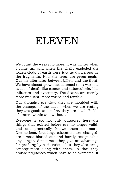## ELEVEN

We count the weeks no more. It was winter when I came up, and when the shells exploded the frozen clods of earth were just as dangerous as the fragments. Now the trees are green again. Our life alternates between billets and the front. We have almost grown accustomed to it; war is a cause of death like cancer and tuberculosis, like influenza and dysentery. The deaths are merely more frequent, more varied and terrible.

Our thoughts are clay, they are moulded with the changes of the days;--when we are resting they are good; under fire, they are dead. Fields of craters within and without.

Everyone is so, not only ourselves here--the things that existed before are no longer valid, and one practically knows them no more. Distinctions, breeding, education are changed, are almost blotted out and hardly recognisable any longer. Sometimes they give an advantage for profiting by a situation;--but they also bring consequences along with them, in that they arouse prejudices which have to be overcome. It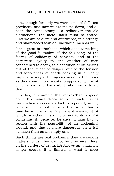is as though formerly we were coins of different provinces; and now we are melted down, and all bear the same stamp. To rediscover the old distinctions, the metal itself must be tested. First we are soldiers and afterwards, in a strange and shamefaced fashion, individual men as well.

It is a great brotherhood, which adds something of the good-fellowship of the folk-song, of the feeling of solidarity of convicts, and of the desperate loyalty to one another of men condemned to death, to a condition of life arising out of the midst of danger, out of the tension and forlornness of death--seeking in a wholly unpathetic way a fleeting enjoyment of the hours as they come. If one wants to appraise it, it is at once heroic and banal--but who wants to do that?

It is this, for example, that makes Tjaden spoon down his ham-and-pea soup in such tearing haste when an enemy attack is reported, simply because he cannot be sure that in an hour's time he will be alive. We have discussed it at length, whether it is right or not to do so. Kat condemns it, because, he says, a man has to reckon with the possibility of an abdominal wound, and that is more dangerous on a full stomach than on an empty one.

Such things are real problems, they are serious matters to us, they cannot be otherwise. Here, on the borders of death, life follows an amazingly simple course, it is limited to what is most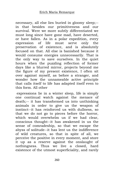necessary, all else lies buried in gloomy sleep;- in that besides our primitiveness and our survival. Were we more subtly differentiated we must long since have gone mad, have deserted, or have fallen. As in a polar expedition, every expression of life must serve only the preservation of existence, and is absolutely focused on that. All else is banished because it would consume energies unnecessarily. That is the only way to save ourselves. In the quiet hours when the puzzling reflection of former days like a blurred mirror, projects beyond me the figure of my present existence, I often sit over against myself, as before a stranger, and wonder how the unnameable active principle that calls itself to life has adapted itself even to this form. All other

expressions lie in a winter sleep, life is simply one continual watch against the menace of death;-- it has transformed us into unthinking animals in order to give us the weapon of instinct--it has reinforced us with dullness, so that we do not go to pieces before the horror, which would overwhelm us if we had clear, conscious thought--it has awakened in us the sense of comradeship, so that we escape the abyss of solitude--it has lent us the indifference of wild creatures, so that in spite of all, we perceive the positive in every moment, and store it up as a reserve against the onslaught of nothingness. Thus we live a closed, hard existence of the utmost superficiality, and rarely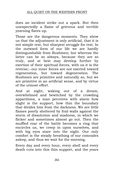does an incident strike out a spark. But then unexpectedly a flame of grievous and terrible yearning flares up.

Those are the dangerous moments. They show us that the adjustment is only artificial, that it is not simple rest, but sharpest struggle for rest. In the outward form of our life we are hardly distinguishable from Bushmen; but whereas the latter can be so always, because they are so truly, and at best may develop further by exertion of their spiritual forces, with us it is the reverse;--our inner forces are not exerted toward regeneration, but toward degeneration. The Bushmen are primitive and naturally so, but we are primitive in an artificial sense, and by virtue of the utmost effort.

And at night, waking out of a dream, overwhelmed and bewitched by the crowding apparitions, a man perceives with alarm how slight is the support, how thin the boundary that divides him from the darkness. We are little flames poorly sheltered by frail walls against the storm of dissolution and madness, in which we flicker and sometimes almost go out. Then the muffled roar of the battle becomes a ring that encircles us, we creep in upon ourselves, and with big eyes stare into the night. Our only comfort is the steady breathing of our comrades asleep, and thus we wait for the morning.

Every day and every hour, every shell and every death cuts into this thin support, and the years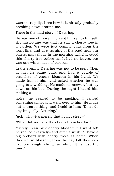waste it rapidly. I see how it is already gradually breaking down around me.

There is the mad story of Detering.

He was one of those who kept himself to himself. His misfortune was that he saw a cherry tree in a garden. We were just coming back from the front line, and at a turning of the road near our billets, marvellous in the morning twilight, stood this cherry tree before us. It had no leaves, but was one white mass of blossom.

In the evening Detering was not to be seen. Then at last he came back and had a couple of branches of cherry blossom in his hand. We made fun of him, and asked whether he was going to a wedding. He made no answer, but lay down on his bed. During the night I heard him making a

noise, he seemed to be packing. I sensed something amiss and went over to him. He made out it was nothing, and I said to him: "Don't do anything silly, Detering."

"Ach, why--it's merely that I can't sleep--"

"What did you pick the cherry branches for?"

"Surely I can pick cherry blossom if I want to!" he replied evasively--and after a while: "I have a big orchard with cherry trees at home. When they are in blossom, from the hay loft they look like one single sheet, so white. It is just the time."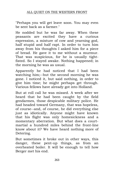"Perhaps you will get leave soon. You may even be sent back as a farmer."

He nodded but he was far away. When these peasants are excited they have a curious expression, a mixture of cow and yearning god, half stupid and half rapt. In order to turn him away from his thoughts I asked him for a piece of bread. He gave it to me without a murmur. That was suspicious, for he is usually tightfisted. So I stayed awake. Nothing happened; in the morning he was as usual.

Apparently he had noticed that I had been watching him;--but the second morning he was gone. I noticed it, but said nothing, in order to give him time; he might perhaps get through. Various fellows have already got into Holland.

But at roll call he was missed. A week after we heard that he had been caught by the field gendarmes, those despicable military police. He had headed toward Germany, that was hopeless, of course--and, of course, he did everything else just as idiotically. Anyone might have known that his flight was only homesickness and a momentary aberration. But what does a courtmartial a hundred miles behind the front-line know about it? We have heard nothing more of Detering.

But sometimes it broke out in other ways, this danger, these pent-up things, as from an overheated boiler. It will be enough to tell how Berger met his end.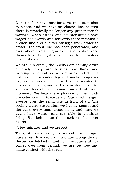Our trenches have now for some time been shot to pieces, and we have an elastic line, so that there is practically no longer any proper trench warfare. When attack and counter-attack have waged backwards and forwards there remains a broken line and a bitter struggle from crater to crater. The front-line has been penetrated, and everywhere small groups have established themselves, the fight is carried on from clusters of shell-holes.

We are in a crater, the English are coming down obliquely, they are turning our flank and working in behind us. We are surrounded. It is not easy to surrender, fog and smoke hang over us, no one would recognise that we wanted to give ourselves up, and perhaps we don't want to, a man doesn't even know himself at such moments. We hear the explosions of the handgrenades coming towards us. Our machine-gun sweeps over the semicircle in front of us. The cooling-water evaporates, we hastily pass round the case, every man pisses in it, and thus we again have water, and are able to continue firing. But behind us the attack crashes ever nearer.

A few minutes and we are lost.

Then, at closest range, a second machine-gun bursts out. It is set up in a crater alongside us; Berger has fetched it, and now the counterattack comes over from behind; we are set free and make contact with the rear.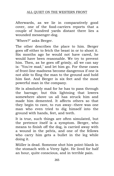Afterwards, as we lie in comparatively good cover, one of the food-carriers reports that a couple of hundred yards distant there lies a wounded messenger-dog.

"Where?" asks Berger.

The other describes the place to him. Berger goes off either to fetch the beast in or to shoot it. Six months ago he would not have cared, he would have been reasonable. We try to prevent him. Then, as he goes off grimly, all we can say is: "You're mad," and let him go. For these cases of front-line madness become dangerous if one is not able to fling the man to the ground and hold him fast. And Berger is six feet and the most powerful man in the company.

He is absolutely mad for he has to pass through the barrage; but this lightning that lowers somewhere above us all has struck him and made him demented. It affects others so that they begin to rave, to run away--there was one man who even tried to dig himself into the ground with hands, feet, and teeth.

It is true, such things are often simulated, but the pretence itself is a symptom. Berger, who means to finish off the dog, is carried away with a wound in the pelvis, and one of the fellows who carry him gets a bullet in the leg while doing it.

Müller is dead. Someone shot him point-blank in the stomach with a Verey light. He lived for half an hour, quite conscious, and in terrible pain.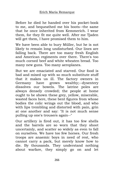Before he died he handed over his pocket-book to me, and bequeathed me his boots--the same that he once inherited from Kemmerich. I wear them, for they fit me quite well. After me Tjaden will get them, I have promised them to him.

We have been able to bury Müller, but he is not likely to remain long undisturbed. Our lines are falling back. There are too many fresh English and American regiments over there. There's too much corned beef and white wheaten bread. Too many new guns. Too many aeroplanes.

But we are emaciated and starved. Our food is bad and mixed up with so much substitute stuff that it makes us ill. The factory owners in Germany have grown wealthy;--dysentery dissolves our bowels. The latrine poles are always densely crowded; the people at home ought to be shown these grey, yellow, miserable, wasted faces here, these bent figures from whose bodies the colic wrings out the blood, and who with lips trembling and distorted with pain, grin at one another and say: "It is not much sense pulling up one's trousers again--"

Our artillery is fired out, it has too few shells and the barrels are so worn that they shoot uncertainly, and scatter so widely as even to fall on ourselves. We have too few horses. Our fresh troops are anaemic boys in need of rest, who cannot carry a pack, but merely know how to die. By thousands. They understand nothing about warfare, they simply go on and let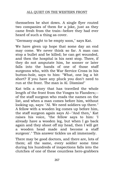themselves be shot down. A single flyer routed two companies of them for a joke, just as they came fresh from the train--before they had ever heard of such a thing as cover.

"Germany ought to be empty soon," says Kat.

We have given up hope that some day an end may come. We never think so far. A man can stop a bullet and be killed; he can get wounded, and then the hospital is his next stop. There, if they do not amputate him, he sooner or later falls into the hands of one of those staff surgeons who, with the War Service Cross in his button-hole, says to him: "What, one leg a bit short? If you have any pluck you don't need to run at the front. The man is Al. Dismiss!"

Kat tells a story that has travelled the whole length of the front from the Vosges to Flanders;- of the staff surgeon who reads the names on the list, and when a man comes before him, without looking up, says: "Al. We need soldiers up there." A fellow with a wooden leg comes up before him, the staff surgeon again says Al--"And then," Kat raises his voice, "the fellow says to him: 'I already have a wooden leg, but when I go back again and they shoot off my head, then I will get a wooden head made and become a staff surgeon'." This answer tickles us all immensely.

There may be good doctors, and there are, lots of them; all the same, every soldier some time during his hundreds of inspections falls into the clutches of one of these countless hero-grabbers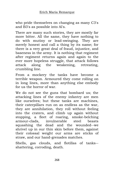who pride themselves on changing as many C3's and B3's as possible into Al's.

There are many such stories, they are mostly far more bitter. All the same, they have nothing to do with mutiny or lead-swinging. They are merely honest and call a thing by its name; for there is a very great deal of fraud, injustice, and baseness in the army. It is nothing that regiment after regiment returns again and again to the ever more hopeless struggle, that attack follows attack along the weakening, retreating, crumbling line.

From a mockery the tanks have become a terrible weapon. Armoured they come rolling on in long lines, more than anything else embody for us the horror of war.

We do not see the guns that bombard us; the attacking lines of the enemy infantry are men like ourselves; but these tanks are machines, their caterpillars run on as endless as the war, they are annihilation, they roll without feeling into the craters, and climb up again without stopping, a fleet of roaring, smoke-belching armour-clads, invulnerable steel beasts squashing the dead and the wounded--we shrivel up in our thin skin before them, against their colossal weight our arms are sticks of straw, and our hand-grenades matches.

Shells, gas clouds, and flotillas of tanks- shattering, corroding, death.

268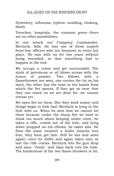Dysentery, influenza, typhus--scalding, choking, death.

Trenches, hospitals, the common grave--there are no other possibilities.

In one attack our Company Commander, Bertinck, falls. He was one of those superb front-line officers who are foremost in every hot place. He was with us for two years without being wounded, so that something had to happen in the end.

We occupy a crater and get surrounded. The stink of petroleum or oil blows across with the fumes of powder. Two fellows with a flamethrower are seen, one carries the tin on his back, the other has the hose in his hands from which the fire spouts. If they get so near that they can reach us we are done for, we cannot retreat yet.

We open fire on them. But they work nearer and things begin to look bad. Bertinck is lying in the hole with us. When he sees that we cannot hit them because under the sharp fire we have to think too much about keeping under cover, he takes a rifle, crawls out of the hole, and lying down propped on his elbows, he takes aim. He fires--the same moment a bullet smacks into him, they have got him. Still he lies and aims again;--once he shifts and again takes aim; at last the rifle cracks. Bertinck lets the gun drop and says: "Good," and slips back into the hole. The hindermost of the two flame-throwers is hit,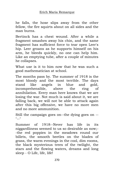he falls, the hose slips away from the other fellow, the fire squirts about on all sides and the man burns.

Bertinck has a chest wound. After a while a fragment smashes away his chin, and the same fragment has sufficient force to tear open Leer's hip. Leer groans as he supports himself on his arm, he bleeds quickly, no one can help him. Like an emptying tube, after a couple of minutes he collapses.

What use is it to him now that he was such a good mathematician at school.

The months pass by. The summer of 1918 is the most bloody and the most terrible. The days stand like angels in blue and gold, incomprehensible, above the ring of annihilation. Every man here knows that we are losing the war. Not much is said about it, we are falling back, we will not be able to attack again after this big offensive, we have no more men and no more ammunition.

Still the campaign goes on--the dying goes on --  $"$ 

Summer of 1918--Never has life in its niggardliness seemed to us so desirable as now;- -the red poppies in the meadows round our billets, the smooth beetles on the blades of grass, the warm evenings in the cool, dim rooms, the black mysterious trees of the twilight, the stars and the flowing waters, dreams and long sleep - O Life, life, life!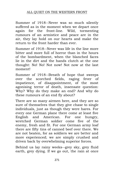Summer of 1918--Never was so much silently suffered as in the moment when we depart once again for the front-line. Wild, tormenting rumours of an armistice and peace are in the air, they lay hold on our hearts and make the return to the front harder than ever.

Summer of 1918--Never was life in the line more bitter and more full of horror than in the hours of the bombardment, when the blanched faces lie in the dirt and the hands clutch at the one thought: No! No! Not now! Not now at the last moment!

Summer of 1918--Breath of hope that sweeps over the scorched fields, raging fever of impatience, of disappointment, of the most agonising terror of death, insensate question: Why? Why do they make an end? And why do these rumours of an end fly about?

There are so many airmen here, and they are so sure of themselves that they give chase to single individuals, just as though they were hares. For every one German plane there come at least five English and American. For one hungry, wretched German soldier come five of the enemy, fresh and fit. For one German army loaf there are fifty tins of canned beef over there. We are not beaten, for as soldiers we are better and more experienced; we are simply crushed and driven back by overwhelming superior forces.

Behind us lay rainy weeks--grey sky, grey fluid earth, grey dying. If we go out, the rain at once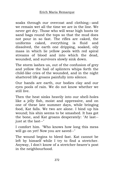soaks through our overcoat and clothing;--and we remain wet all the time we are in the line. We never get dry. Those who will wear high boots tie sand bags round the tops so that the mud does not pour in so fast. The rifles are caked, the uniforms caked, everything is fluid and dissolved, the earth one dripping, soaked, oily mass in which lie yellow pools with red spiral streams of blood and into which the dead, wounded, and survivors slowly sink down.

The storm lashes us, out of the confusion of grey and yellow the hail of splinters whips forth the child-like cries of the wounded, and in the night shattered life groans painfully into silence.

Our hands are earth, our bodies clay and our eyes pools of rain. We do not know whether we still live.

Then the heat sinks heavily into our shell-holes like a jelly fish, moist and oppressive, and on one of these late summer days, while bringing food, Kat falls. We two are alone. I bind up his wound; his shin seems to be smashed. It has got the bone, and Kat groans desperately: "At last- just at the last--"

I comfort him. "Who knows how long this mess will go on yet! Now you are saved--"

The wound begins to bleed fast. Kat cannot be left by himself while I try to find a stretcher. Anyway, I don't know of a stretcher-bearer's post in the neighbourhood.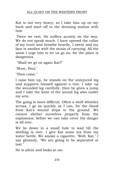Kat is not very heavy; so I take him up on my back and start off to the dressing station with him.

Twice we rest. He suffers acutely on the way. We do not speak much. I have opened the collar of my tunic and breathe heavily, I sweat and my face is swollen with the strain of carrying. All the same I urge him to let us go on, for the place is dangerous.

"Shall we go on again Kat?"

"Must, Paul."

"Then come."

I raise him up, he stands on the uninjured leg and supports himself against a tree. I take up the wounded leg carefully, then he gives a jump and I take the knee of the sound leg also under my arm.

The going is more difficult. Often a shell whistles across. I go as quickly as I can, for the blood from Kat's wound drips to the ground. We cannot shelter ourselves properly from the explosions; before we can take cover the danger is all over.

We lie down in a small hole to wait till the shelling is over. I give Kat some tea from my water bottle. We smoke a cigarette. "Well, Kat," I say gloomily, "We are going to be separated at last."

He is silent and looks at me.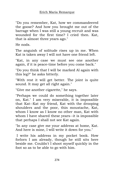"Do you remember, Kat, how we commandeered the goose? And how you brought me out of the barrage when I was still a young recruit and was wounded for the first time? I cried then. Kat, that is almost three years ago."

He nods.

The anguish of solitude rises up in me. When Kat is taken away I will not have one friend left.

"Kat, in any case we must see one another again, if it is peace-time before you come back."

"Do you think that I will be marked Al again with this leg?" he asks bitterly.

"With rest it will get better. The joint is quite sound. It may get all right again."

"Give me another cigarette," he says.

"Perhaps we could do something together later on, Kat." I am very miserable, it is impossible that Kat--Kat my friend, Kat with the drooping shoulders and the poor, thin moustache, Kat, whom I know as I know no other man, Kat with whom I have shared these years--it is impossible that perhaps I shall not see Kat again.

"In any case give me your address at home, Kat. And here is mine, I will write it down for you."

I write his address in my pocket book. How forlorn I am already, though he still sits here beside me. Couldn't I shoot myself quickly in the foot so as to be able to go with him.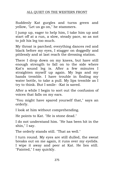Suddenly Kat gurgles and turns green and yellow, "Let us go on," he stammers.

I jump up, eager to help him, I take him up and start off at a run, a slow, steady pace, so as not to jolt his leg too much.

My throat is parched; everything dances red and black before my eyes, I stagger on doggedly and pitilessly and at last reach the dressing station.

There I drop down on my knees, but have still enough strength to fall on to the side where Kat's sound leg is. After a few minutes I straighten myself up again. My legs and my hands tremble. I have trouble in finding my water bottle, to take a pull. My lips tremble as I try to think. But I smile- -Kat is saved.

After a while I begin to sort out the confusion of voices that falls on my ears.

"You might have spared yourself that," says an orderly.

I look at him without comprehending.

He points to Kat. "He is stone dead."

I do not understand him. "He has been hit in the shin," I say.

The orderly stands still. "That as well."

I turn round. My eyes are still dulled, the sweat breaks out on me again, it runs over my eyelids. I wipe it away and peer at Kat. He lies still. "Fainted," I say quickly.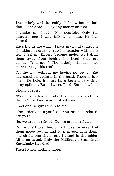The orderly whistles softly. "I know better than that. He is dead. I'll lay any money on that."

I shake my head: "Not possible. Only ten minutes ago I was talking to him. He has fainted."

Kat's hands are warm, I pass my hand under his shoulders in order to rub his temples with some tea. I feel my fingers become moist. As I draw them away from behind his head, they are bloody. "You see--" The orderly whistles once more through his teeth.

On the way without my having noticed it, Kat has caught a splinter in the head. There is just one little hole, it must have been a very tiny, stray splinter. But it has sufficed. Kat is dead.

Slowly I get up.

"Would you like to take his paybook and his things?" the lance-corporal asks me.

I nod and he gives them to me.

The orderly is mystified. "You are not related, are you?"

No, we are not related. No, we are not related.

Do I walk? Have I feet still? I raise my eyes, I let them move round, and turn myself with them, one circle, one circle, and I stand in the midst. All is as usual. Only the Militiaman Stanislaus Katczinsky has died.

Then I know nothing more.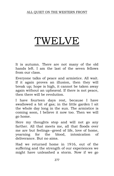## TWELVE

It is autumn. There are not many of the old hands left. I am the last of the seven fellows from our class.

Everyone talks of peace and armistice. All wait. If it again proves an illusion, then they will break up; hope is high, it cannot be taken away again without an upheaval. If there is not peace, then there will be revolution.

I have fourteen days rest, because I have swallowed a bit of gas; in the little garden I sit the whole day long in the sun. The armistice is coming soon, I believe it now too. Then we will go home.

Here my thoughts stop and will not go any farther. All that meets me, all that floods over me are but feelings--greed of life, love of home, yearning for the blood, intoxication of deliverance. But no aims.

Had we returned home in 1916, out of the suffering and the strength of our experiences we might have unleashed a storm. Now if we go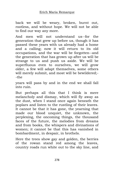back we will be weary, broken, burnt out, rootless, and without hope. We will not be able to find our way any more.

And men will not understand us--for the generation that grew up before us, though it has passed these years with us already had a home and a calling; now it will return to its old occupations, and the war will be forgotten--and the generation that has grown up after us will be strange to us and push us aside. We will be superfluous even to ourselves, we will grow older, a few will adapt themselves, some others will merely submit, and most will be bewildered;- -the

years will pass by and in the end we shall fall into ruin.

But perhaps all this that I think is mere melancholy and dismay, which will fly away as the dust, when I stand once again beneath the poplars and listen to the rustling of their leaves. It cannot be that it has gone, the yearning that made our blood unquiet, the unknown, the perplexing, the oncoming things, the thousand faces of the future, the melodies from dreams and from books, the whispers and divinations of women; it cannot be that this has vanished in bombardment, in despair, in brothels.

Here the trees show gay and golden, the berries of the rowan stand red among the leaves, country roads run white out to the sky line, and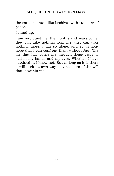the canteens hum like beehives with rumours of peace.

I stand up.

I am very quiet. Let the months and years come, they can take nothing from me, they can take nothing more. I am so alone, and so without hope that I can confront them without fear. The life that has borne me through these years is still in my hands and my eyes. Whether I have subdued it, I know not. But so long as it is there it will seek its own way out, heedless of the will that is within me.